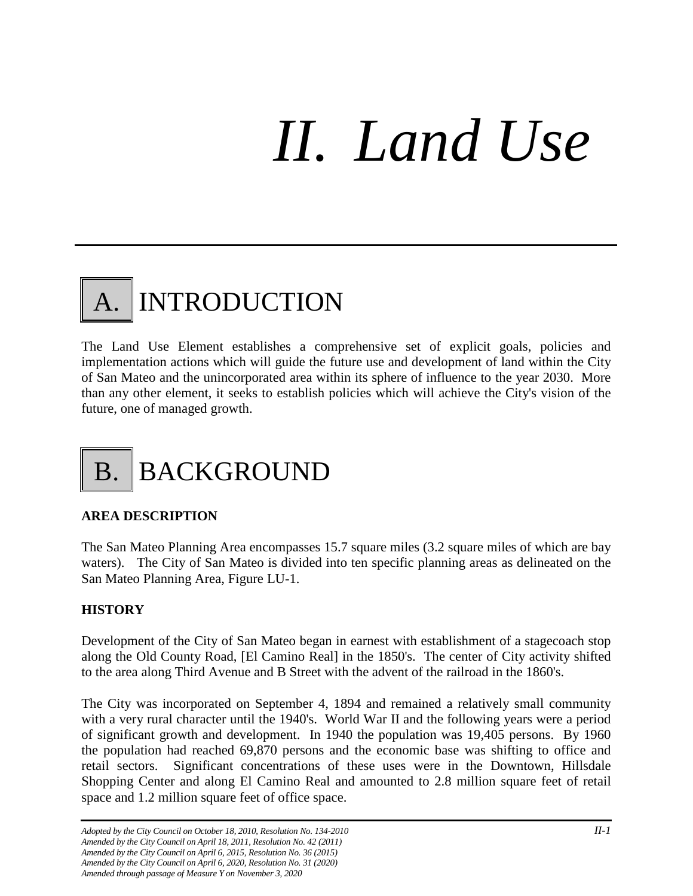# *II. Land Use*

# **INTRODUCTION**

The Land Use Element establishes a comprehensive set of explicit goals, policies and implementation actions which will guide the future use and development of land within the City of San Mateo and the unincorporated area within its sphere of influence to the year 2030. More than any other element, it seeks to establish policies which will achieve the City's vision of the future, one of managed growth.

# B. BACKGROUND

# **AREA DESCRIPTION**

The San Mateo Planning Area encompasses 15.7 square miles (3.2 square miles of which are bay waters). The City of San Mateo is divided into ten specific planning areas as delineated on the San Mateo Planning Area, Figure LU-1.

# **HISTORY**

Development of the City of San Mateo began in earnest with establishment of a stagecoach stop along the Old County Road, [El Camino Real] in the 1850's. The center of City activity shifted to the area along Third Avenue and B Street with the advent of the railroad in the 1860's.

The City was incorporated on September 4, 1894 and remained a relatively small community with a very rural character until the 1940's. World War II and the following years were a period of significant growth and development. In 1940 the population was 19,405 persons. By 1960 the population had reached 69,870 persons and the economic base was shifting to office and retail sectors. Significant concentrations of these uses were in the Downtown, Hillsdale Shopping Center and along El Camino Real and amounted to 2.8 million square feet of retail space and 1.2 million square feet of office space.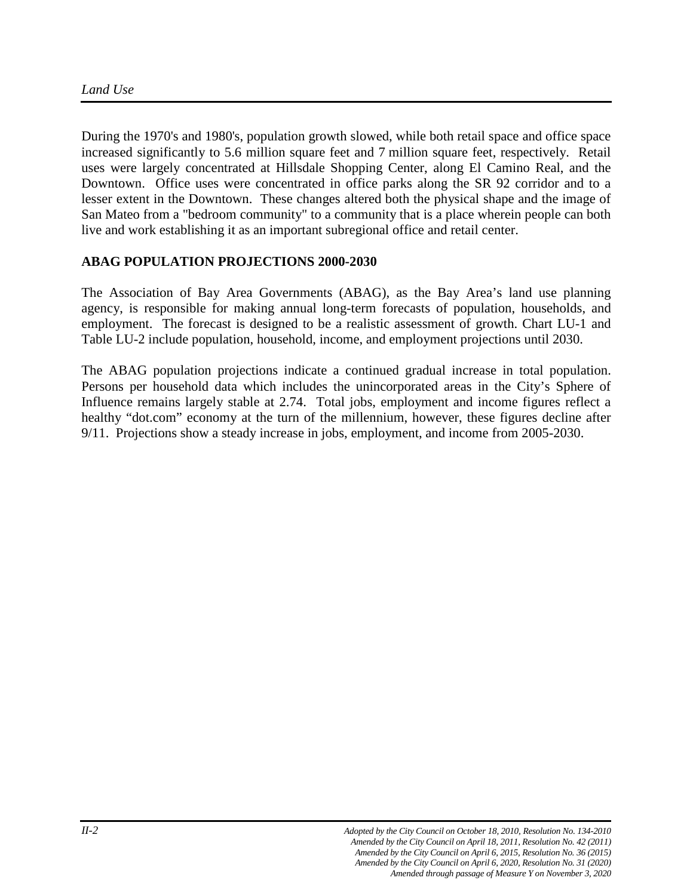During the 1970's and 1980's, population growth slowed, while both retail space and office space increased significantly to 5.6 million square feet and 7 million square feet, respectively. Retail uses were largely concentrated at Hillsdale Shopping Center, along El Camino Real, and the Downtown. Office uses were concentrated in office parks along the SR 92 corridor and to a lesser extent in the Downtown. These changes altered both the physical shape and the image of San Mateo from a "bedroom community" to a community that is a place wherein people can both live and work establishing it as an important subregional office and retail center.

# **ABAG POPULATION PROJECTIONS 2000-2030**

The Association of Bay Area Governments (ABAG), as the Bay Area's land use planning agency, is responsible for making annual long-term forecasts of population, households, and employment. The forecast is designed to be a realistic assessment of growth. Chart LU-1 and Table LU-2 include population, household, income, and employment projections until 2030.

The ABAG population projections indicate a continued gradual increase in total population. Persons per household data which includes the unincorporated areas in the City's Sphere of Influence remains largely stable at 2.74. Total jobs, employment and income figures reflect a healthy "dot.com" economy at the turn of the millennium, however, these figures decline after 9/11. Projections show a steady increase in jobs, employment, and income from 2005-2030.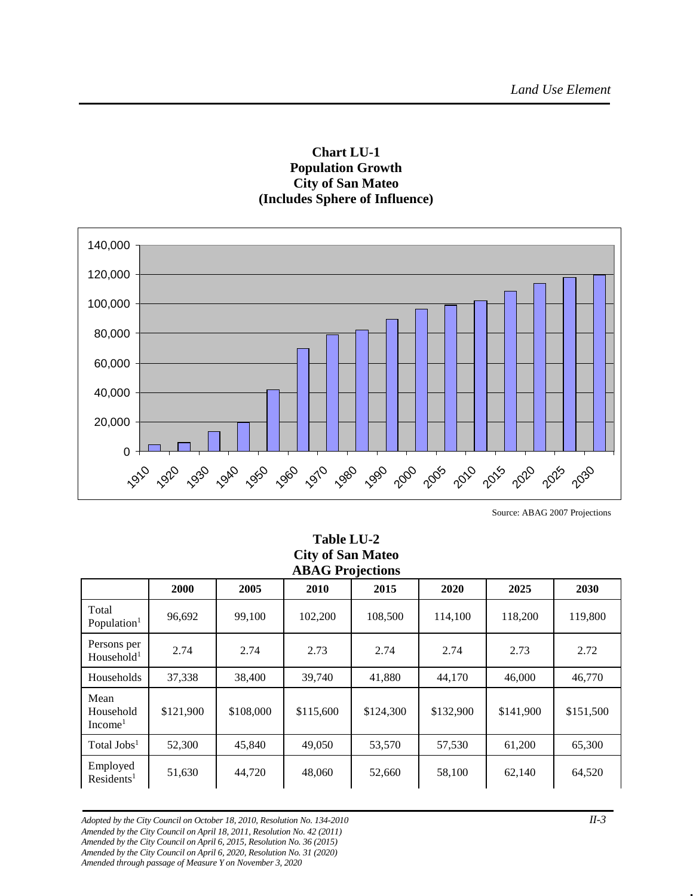# **Chart LU-1 Population Growth City of San Mateo (Includes Sphere of Influence)**



Source: ABAG 2007 Projections

| <b>CITY OF SAIL MATED</b><br><b>ABAG Projections</b> |           |           |           |           |           |           |           |
|------------------------------------------------------|-----------|-----------|-----------|-----------|-----------|-----------|-----------|
|                                                      | 2000      | 2005      | 2010      | 2015      | 2020      | 2025      | 2030      |
| Total<br>Population <sup>1</sup>                     | 96,692    | 99,100    | 102,200   | 108,500   | 114,100   | 118,200   | 119,800   |
| Persons per<br>Household <sup>1</sup>                | 2.74      | 2.74      | 2.73      | 2.74      | 2.74      | 2.73      | 2.72      |
| Households                                           | 37,338    | 38,400    | 39,740    | 41,880    | 44,170    | 46,000    | 46,770    |
| Mean<br>Household<br>Income <sup>1</sup>             | \$121,900 | \$108,000 | \$115,600 | \$124,300 | \$132,900 | \$141,900 | \$151,500 |
| Total Jobs <sup>1</sup>                              | 52,300    | 45,840    | 49,050    | 53,570    | 57,530    | 61,200    | 65,300    |
| Employed<br>Residents <sup>1</sup>                   | 51,630    | 44,720    | 48,060    | 52,660    | 58,100    | 62,140    | 64,520    |

**Table LU-2**  $\mathbf{C}_{\text{ext}} \mathbf{M}$ 

*Adopted by the City Council on October 18, 2010, Resolution No. 134-2010 II-3 Amended by the City Council on April 18, 2011, Resolution No. 42 (2011) Amended by the City Council on April 6, 2015, Resolution No. 36 (2015) Amended by the City Council on April 6, 2020, Resolution No. 31 (2020) Amended through passage of Measure Y on November 3, 2020*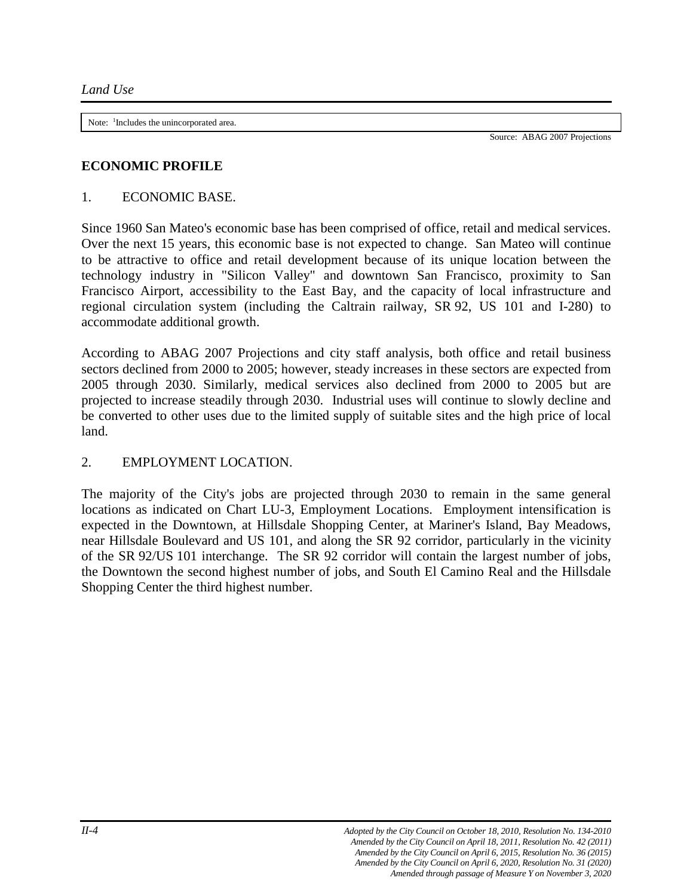Note: <sup>1</sup>Includes the unincorporated area.

Source: ABAG 2007 Projections

#### **ECONOMIC PROFILE**

#### 1. ECONOMIC BASE.

Since 1960 San Mateo's economic base has been comprised of office, retail and medical services. Over the next 15 years, this economic base is not expected to change. San Mateo will continue to be attractive to office and retail development because of its unique location between the technology industry in "Silicon Valley" and downtown San Francisco, proximity to San Francisco Airport, accessibility to the East Bay, and the capacity of local infrastructure and regional circulation system (including the Caltrain railway, SR 92, US 101 and I-280) to accommodate additional growth.

According to ABAG 2007 Projections and city staff analysis, both office and retail business sectors declined from 2000 to 2005; however, steady increases in these sectors are expected from 2005 through 2030. Similarly, medical services also declined from 2000 to 2005 but are projected to increase steadily through 2030. Industrial uses will continue to slowly decline and be converted to other uses due to the limited supply of suitable sites and the high price of local land.

# 2. EMPLOYMENT LOCATION.

The majority of the City's jobs are projected through 2030 to remain in the same general locations as indicated on Chart LU-3, Employment Locations. Employment intensification is expected in the Downtown, at Hillsdale Shopping Center, at Mariner's Island, Bay Meadows, near Hillsdale Boulevard and US 101, and along the SR 92 corridor, particularly in the vicinity of the SR 92/US 101 interchange. The SR 92 corridor will contain the largest number of jobs, the Downtown the second highest number of jobs, and South El Camino Real and the Hillsdale Shopping Center the third highest number.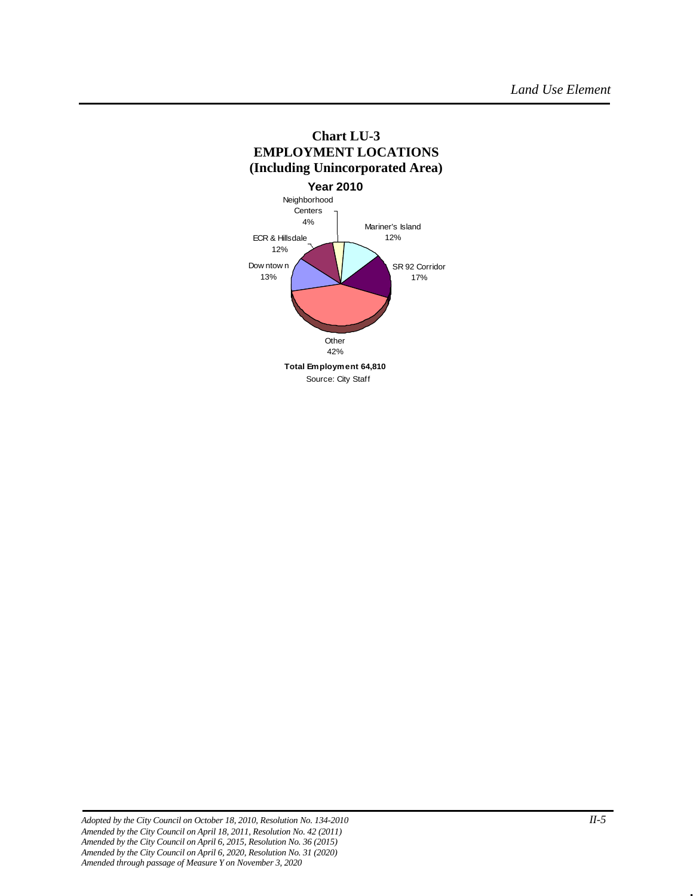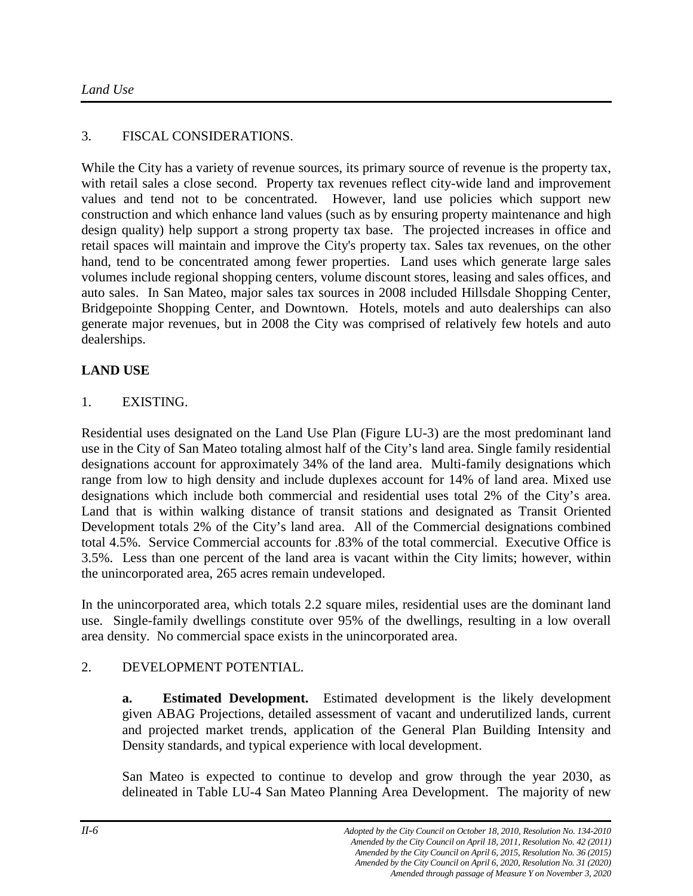# 3. FISCAL CONSIDERATIONS.

While the City has a variety of revenue sources, its primary source of revenue is the property tax, with retail sales a close second. Property tax revenues reflect city-wide land and improvement values and tend not to be concentrated. However, land use policies which support new construction and which enhance land values (such as by ensuring property maintenance and high design quality) help support a strong property tax base. The projected increases in office and retail spaces will maintain and improve the City's property tax. Sales tax revenues, on the other hand, tend to be concentrated among fewer properties. Land uses which generate large sales volumes include regional shopping centers, volume discount stores, leasing and sales offices, and auto sales. In San Mateo, major sales tax sources in 2008 included Hillsdale Shopping Center, Bridgepointe Shopping Center, and Downtown. Hotels, motels and auto dealerships can also generate major revenues, but in 2008 the City was comprised of relatively few hotels and auto dealerships.

# **LAND USE**

# 1. EXISTING.

Residential uses designated on the Land Use Plan (Figure LU-3) are the most predominant land use in the City of San Mateo totaling almost half of the City's land area. Single family residential designations account for approximately 34% of the land area. Multi-family designations which range from low to high density and include duplexes account for 14% of land area. Mixed use designations which include both commercial and residential uses total 2% of the City's area. Land that is within walking distance of transit stations and designated as Transit Oriented Development totals 2% of the City's land area. All of the Commercial designations combined total 4.5%. Service Commercial accounts for .83% of the total commercial. Executive Office is 3.5%. Less than one percent of the land area is vacant within the City limits; however, within the unincorporated area, 265 acres remain undeveloped.

In the unincorporated area, which totals 2.2 square miles, residential uses are the dominant land use. Single-family dwellings constitute over 95% of the dwellings, resulting in a low overall area density. No commercial space exists in the unincorporated area.

# 2. DEVELOPMENT POTENTIAL.

**a. Estimated Development.** Estimated development is the likely development given ABAG Projections, detailed assessment of vacant and underutilized lands, current and projected market trends, application of the General Plan Building Intensity and Density standards, and typical experience with local development.

San Mateo is expected to continue to develop and grow through the year 2030, as delineated in Table LU-4 San Mateo Planning Area Development. The majority of new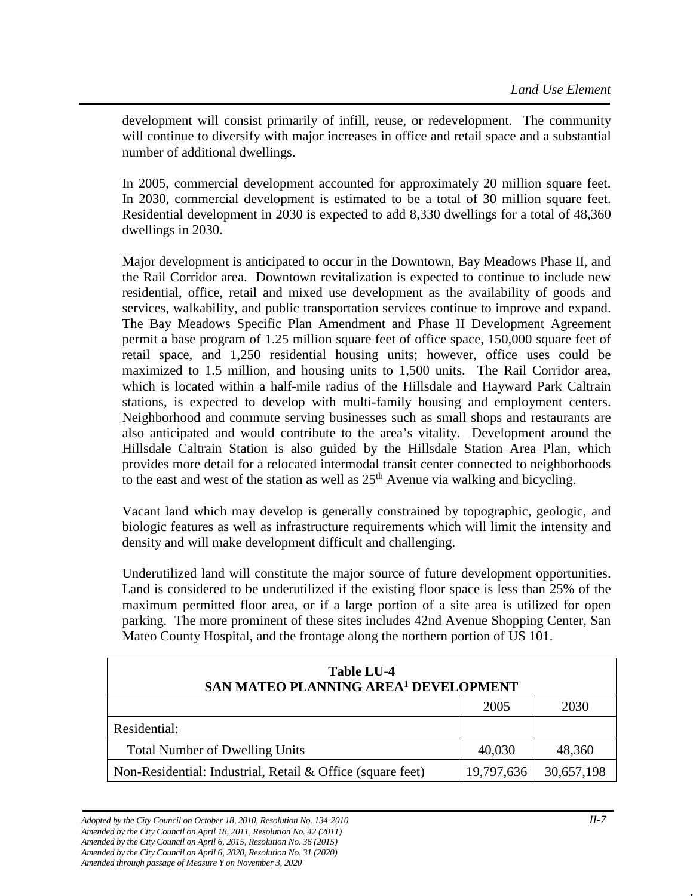development will consist primarily of infill, reuse, or redevelopment. The community will continue to diversify with major increases in office and retail space and a substantial number of additional dwellings.

In 2005, commercial development accounted for approximately 20 million square feet. In 2030, commercial development is estimated to be a total of 30 million square feet. Residential development in 2030 is expected to add 8,330 dwellings for a total of 48,360 dwellings in 2030.

Major development is anticipated to occur in the Downtown, Bay Meadows Phase II, and the Rail Corridor area. Downtown revitalization is expected to continue to include new residential, office, retail and mixed use development as the availability of goods and services, walkability, and public transportation services continue to improve and expand. The Bay Meadows Specific Plan Amendment and Phase II Development Agreement permit a base program of 1.25 million square feet of office space, 150,000 square feet of retail space, and 1,250 residential housing units; however, office uses could be maximized to 1.5 million, and housing units to 1,500 units. The Rail Corridor area, which is located within a half-mile radius of the Hillsdale and Hayward Park Caltrain stations, is expected to develop with multi-family housing and employment centers. Neighborhood and commute serving businesses such as small shops and restaurants are also anticipated and would contribute to the area's vitality. Development around the Hillsdale Caltrain Station is also guided by the Hillsdale Station Area Plan, which provides more detail for a relocated intermodal transit center connected to neighborhoods to the east and west of the station as well as  $25<sup>th</sup>$  Avenue via walking and bicycling.

Vacant land which may develop is generally constrained by topographic, geologic, and biologic features as well as infrastructure requirements which will limit the intensity and density and will make development difficult and challenging.

Underutilized land will constitute the major source of future development opportunities. Land is considered to be underutilized if the existing floor space is less than 25% of the maximum permitted floor area, or if a large portion of a site area is utilized for open parking. The more prominent of these sites includes 42nd Avenue Shopping Center, San Mateo County Hospital, and the frontage along the northern portion of US 101.

| Table LU-4<br>SAN MATEO PLANNING AREA <sup>1</sup> DEVELOPMENT |            |            |  |  |  |
|----------------------------------------------------------------|------------|------------|--|--|--|
|                                                                | 2005       | 2030       |  |  |  |
| Residential:                                                   |            |            |  |  |  |
| <b>Total Number of Dwelling Units</b>                          | 40,030     | 48,360     |  |  |  |
| Non-Residential: Industrial, Retail & Office (square feet)     | 19,797,636 | 30,657,198 |  |  |  |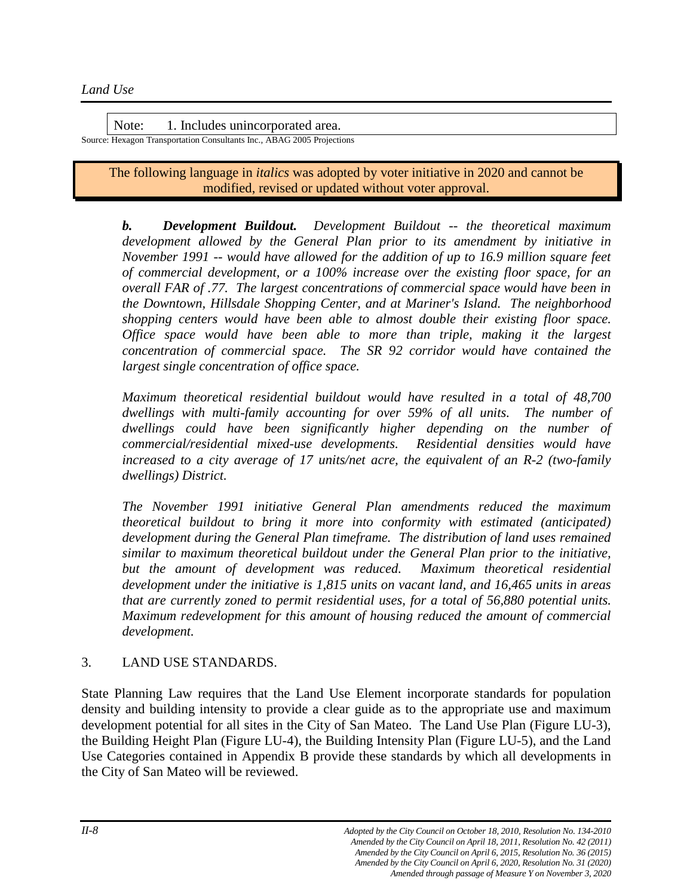Note: 1. Includes unincorporated area. Source: Hexagon Transportation Consultants Inc., ABAG 2005 Projections

> The following language in *italics* was adopted by voter initiative in 2020 and cannot be modified, revised or updated without voter approval.

*b. Development Buildout. Development Buildout -- the theoretical maximum development allowed by the General Plan prior to its amendment by initiative in November 1991 -- would have allowed for the addition of up to 16.9 million square feet of commercial development, or a 100% increase over the existing floor space, for an overall FAR of .77. The largest concentrations of commercial space would have been in the Downtown, Hillsdale Shopping Center, and at Mariner's Island. The neighborhood shopping centers would have been able to almost double their existing floor space. Office space would have been able to more than triple, making it the largest concentration of commercial space. The SR 92 corridor would have contained the largest single concentration of office space.* 

*Maximum theoretical residential buildout would have resulted in a total of 48,700 dwellings with multi-family accounting for over 59% of all units. The number of dwellings could have been significantly higher depending on the number of commercial/residential mixed-use developments. Residential densities would have increased to a city average of 17 units/net acre, the equivalent of an R-2 (two-family dwellings) District.* 

*The November 1991 initiative General Plan amendments reduced the maximum theoretical buildout to bring it more into conformity with estimated (anticipated) development during the General Plan timeframe. The distribution of land uses remained similar to maximum theoretical buildout under the General Plan prior to the initiative,*  but the amount of development was reduced. Maximum theoretical residential *development under the initiative is 1,815 units on vacant land, and 16,465 units in areas that are currently zoned to permit residential uses, for a total of 56,880 potential units. Maximum redevelopment for this amount of housing reduced the amount of commercial development.*

# 3. LAND USE STANDARDS.

State Planning Law requires that the Land Use Element incorporate standards for population density and building intensity to provide a clear guide as to the appropriate use and maximum development potential for all sites in the City of San Mateo. The Land Use Plan (Figure LU-3), the Building Height Plan (Figure LU-4), the Building Intensity Plan (Figure LU-5), and the Land Use Categories contained in Appendix B provide these standards by which all developments in the City of San Mateo will be reviewed.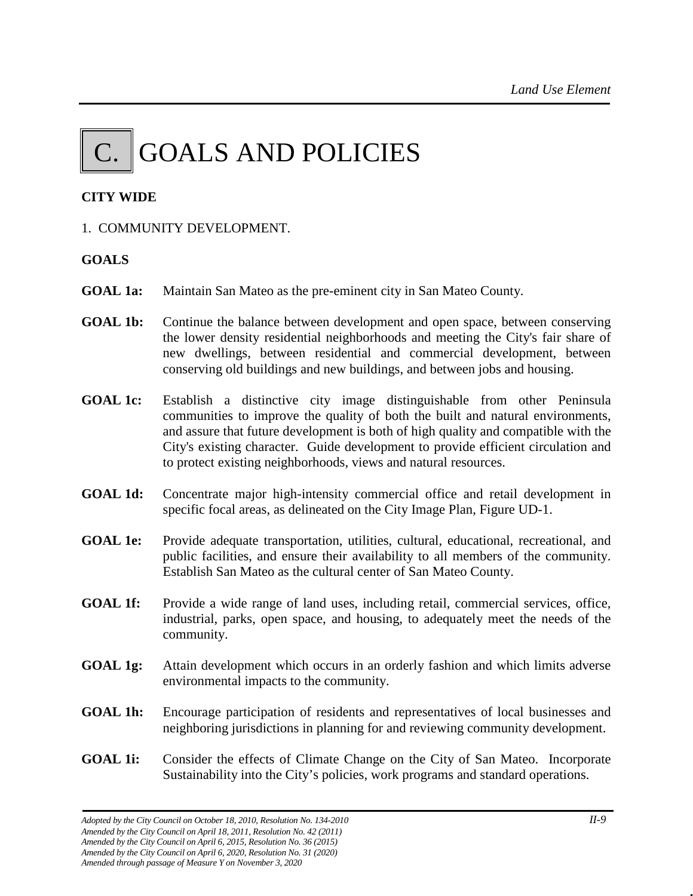# $\|$  C.  $\|$  GOALS AND POLICIES

# **CITY WIDE**

1. COMMUNITY DEVELOPMENT.

# **GOALS**

- **GOAL 1a:** Maintain San Mateo as the pre-eminent city in San Mateo County.
- **GOAL 1b:** Continue the balance between development and open space, between conserving the lower density residential neighborhoods and meeting the City's fair share of new dwellings, between residential and commercial development, between conserving old buildings and new buildings, and between jobs and housing.
- **GOAL 1c:** Establish a distinctive city image distinguishable from other Peninsula communities to improve the quality of both the built and natural environments, and assure that future development is both of high quality and compatible with the City's existing character. Guide development to provide efficient circulation and to protect existing neighborhoods, views and natural resources.
- **GOAL 1d:** Concentrate major high-intensity commercial office and retail development in specific focal areas, as delineated on the City Image Plan, Figure UD-1.
- **GOAL 1e:** Provide adequate transportation, utilities, cultural, educational, recreational, and public facilities, and ensure their availability to all members of the community. Establish San Mateo as the cultural center of San Mateo County.
- **GOAL 1f:** Provide a wide range of land uses, including retail, commercial services, office, industrial, parks, open space, and housing, to adequately meet the needs of the community.
- **GOAL 1g:** Attain development which occurs in an orderly fashion and which limits adverse environmental impacts to the community.
- **GOAL 1h:** Encourage participation of residents and representatives of local businesses and neighboring jurisdictions in planning for and reviewing community development.
- **GOAL 1i:** Consider the effects of Climate Change on the City of San Mateo. Incorporate Sustainability into the City's policies, work programs and standard operations.

*Adopted by the City Council on October 18, 2010, Resolution No. 134-2010 II-9 Amended by the City Council on April 18, 2011, Resolution No. 42 (2011) Amended by the City Council on April 6, 2015, Resolution No. 36 (2015) Amended by the City Council on April 6, 2020, Resolution No. 31 (2020) Amended through passage of Measure Y on November 3, 2020*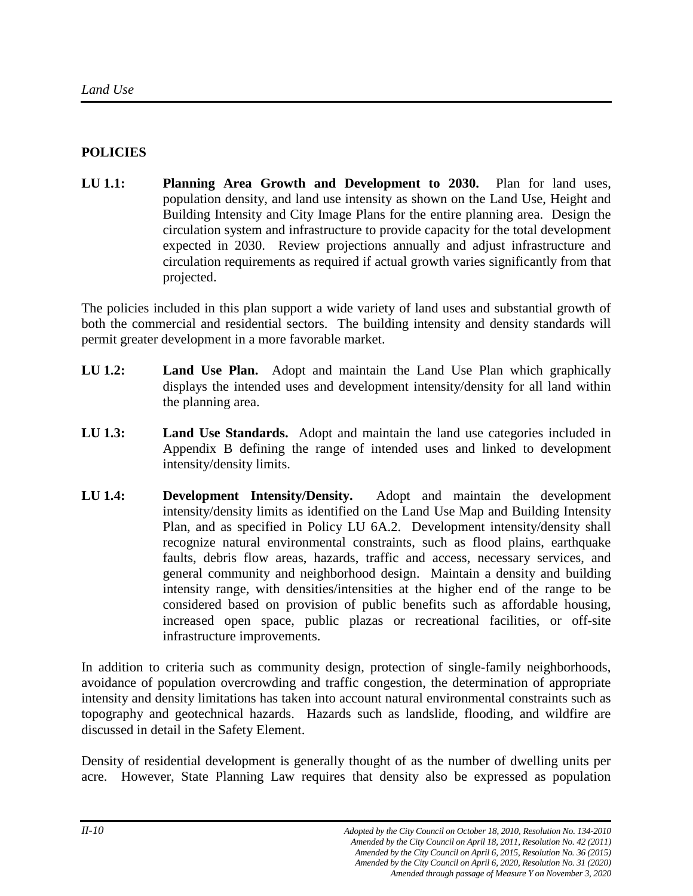# **POLICIES**

**LU 1.1: Planning Area Growth and Development to 2030.** Plan for land uses, population density, and land use intensity as shown on the Land Use, Height and Building Intensity and City Image Plans for the entire planning area. Design the circulation system and infrastructure to provide capacity for the total development expected in 2030. Review projections annually and adjust infrastructure and circulation requirements as required if actual growth varies significantly from that projected.

The policies included in this plan support a wide variety of land uses and substantial growth of both the commercial and residential sectors. The building intensity and density standards will permit greater development in a more favorable market.

- **LU 1.2: Land Use Plan.** Adopt and maintain the Land Use Plan which graphically displays the intended uses and development intensity/density for all land within the planning area.
- **LU 1.3: Land Use Standards.** Adopt and maintain the land use categories included in Appendix B defining the range of intended uses and linked to development intensity/density limits.
- **LU 1.4: Development Intensity/Density.** Adopt and maintain the development intensity/density limits as identified on the Land Use Map and Building Intensity Plan, and as specified in Policy LU 6A.2. Development intensity/density shall recognize natural environmental constraints, such as flood plains, earthquake faults, debris flow areas, hazards, traffic and access, necessary services, and general community and neighborhood design. Maintain a density and building intensity range, with densities/intensities at the higher end of the range to be considered based on provision of public benefits such as affordable housing, increased open space, public plazas or recreational facilities, or off-site infrastructure improvements.

In addition to criteria such as community design, protection of single-family neighborhoods, avoidance of population overcrowding and traffic congestion, the determination of appropriate intensity and density limitations has taken into account natural environmental constraints such as topography and geotechnical hazards. Hazards such as landslide, flooding, and wildfire are discussed in detail in the Safety Element.

Density of residential development is generally thought of as the number of dwelling units per acre. However, State Planning Law requires that density also be expressed as population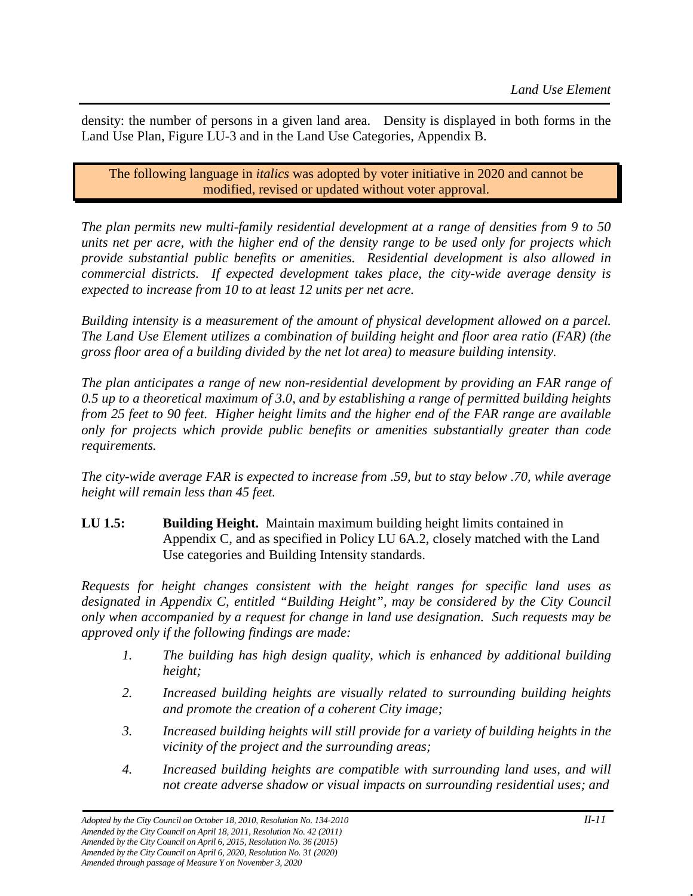density: the number of persons in a given land area. Density is displayed in both forms in the Land Use Plan, Figure LU-3 and in the Land Use Categories, Appendix B.

The following language in *italics* was adopted by voter initiative in 2020 and cannot be modified, revised or updated without voter approval.

*The plan permits new multi-family residential development at a range of densities from 9 to 50 units net per acre, with the higher end of the density range to be used only for projects which provide substantial public benefits or amenities. Residential development is also allowed in commercial districts. If expected development takes place, the city-wide average density is expected to increase from 10 to at least 12 units per net acre.*

*Building intensity is a measurement of the amount of physical development allowed on a parcel. The Land Use Element utilizes a combination of building height and floor area ratio (FAR) (the gross floor area of a building divided by the net lot area) to measure building intensity.*

*The plan anticipates a range of new non-residential development by providing an FAR range of 0.5 up to a theoretical maximum of 3.0, and by establishing a range of permitted building heights from 25 feet to 90 feet. Higher height limits and the higher end of the FAR range are available only for projects which provide public benefits or amenities substantially greater than code requirements.* 

*The city-wide average FAR is expected to increase from .59, but to stay below .70, while average height will remain less than 45 feet.*

**LU 1.5: Building Height.** Maintain maximum building height limits contained in Appendix C, and as specified in Policy LU 6A.2, closely matched with the Land Use categories and Building Intensity standards.

*Requests for height changes consistent with the height ranges for specific land uses as designated in Appendix C, entitled "Building Height", may be considered by the City Council only when accompanied by a request for change in land use designation. Such requests may be approved only if the following findings are made:*

- *1. The building has high design quality, which is enhanced by additional building height;*
- *2. Increased building heights are visually related to surrounding building heights and promote the creation of a coherent City image;*
- *3. Increased building heights will still provide for a variety of building heights in the vicinity of the project and the surrounding areas;*
- *4. Increased building heights are compatible with surrounding land uses, and will not create adverse shadow or visual impacts on surrounding residential uses; and*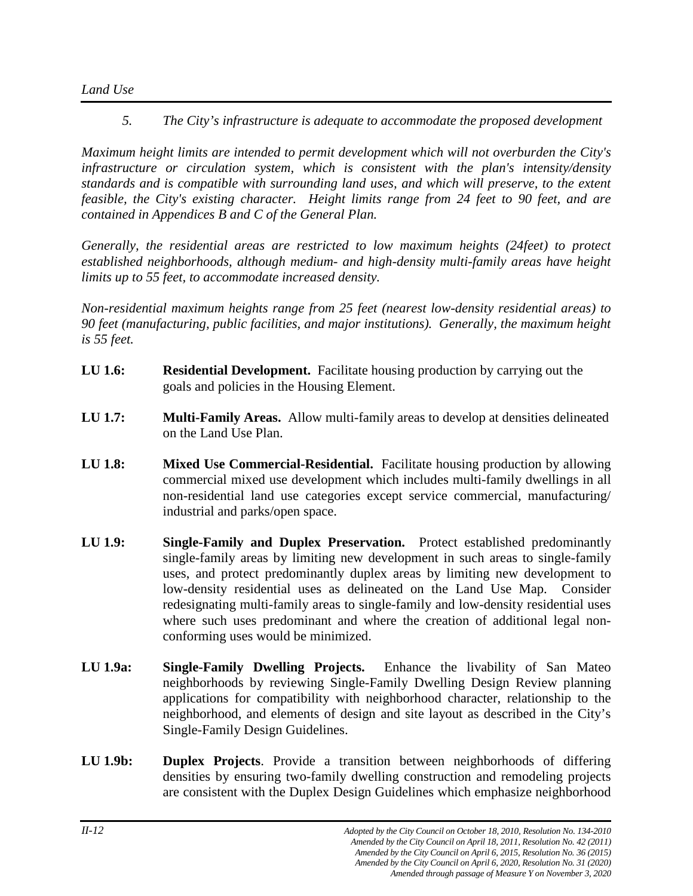*Land Use*

*5. The City's infrastructure is adequate to accommodate the proposed development*

*Maximum height limits are intended to permit development which will not overburden the City's infrastructure or circulation system, which is consistent with the plan's intensity/density standards and is compatible with surrounding land uses, and which will preserve, to the extent feasible, the City's existing character. Height limits range from 24 feet to 90 feet, and are contained in Appendices B and C of the General Plan.*

*Generally, the residential areas are restricted to low maximum heights (24feet) to protect established neighborhoods, although medium- and high-density multi-family areas have height limits up to 55 feet, to accommodate increased density.*

*Non-residential maximum heights range from 25 feet (nearest low-density residential areas) to 90 feet (manufacturing, public facilities, and major institutions). Generally, the maximum height is 55 feet.*

- **LU 1.6: Residential Development.** Facilitate housing production by carrying out the goals and policies in the Housing Element.
- **LU 1.7: Multi-Family Areas.** Allow multi-family areas to develop at densities delineated on the Land Use Plan.
- **LU 1.8: Mixed Use Commercial-Residential.** Facilitate housing production by allowing commercial mixed use development which includes multi-family dwellings in all non-residential land use categories except service commercial, manufacturing/ industrial and parks/open space.
- **LU 1.9: Single-Family and Duplex Preservation.** Protect established predominantly single-family areas by limiting new development in such areas to single-family uses, and protect predominantly duplex areas by limiting new development to low-density residential uses as delineated on the Land Use Map. Consider redesignating multi-family areas to single-family and low-density residential uses where such uses predominant and where the creation of additional legal nonconforming uses would be minimized.
- **LU 1.9a: Single-Family Dwelling Projects.** Enhance the livability of San Mateo neighborhoods by reviewing Single-Family Dwelling Design Review planning applications for compatibility with neighborhood character, relationship to the neighborhood, and elements of design and site layout as described in the City's Single-Family Design Guidelines.
- **LU 1.9b: Duplex Projects**. Provide a transition between neighborhoods of differing densities by ensuring two-family dwelling construction and remodeling projects are consistent with the Duplex Design Guidelines which emphasize neighborhood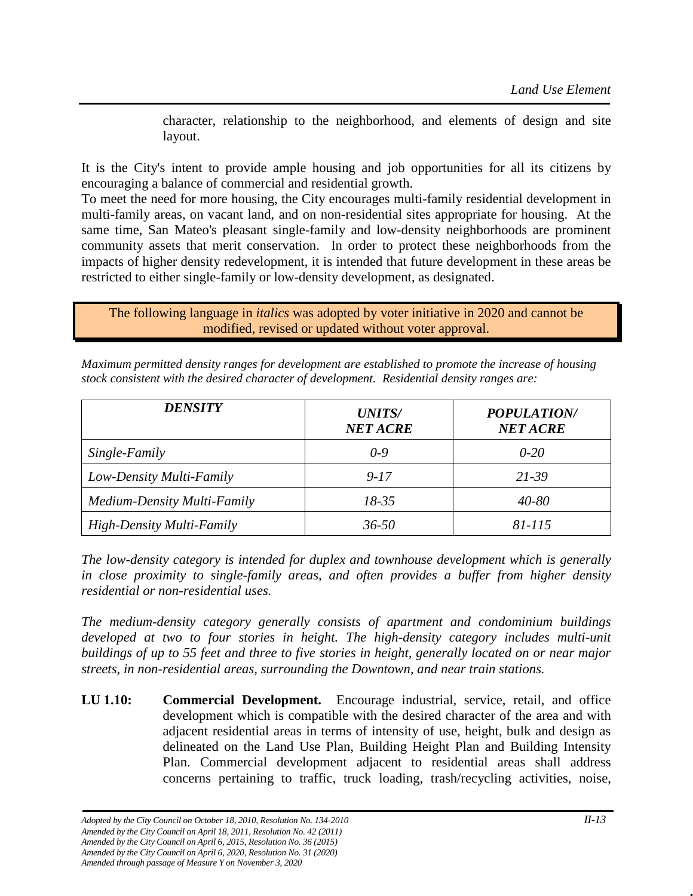character, relationship to the neighborhood, and elements of design and site layout.

It is the City's intent to provide ample housing and job opportunities for all its citizens by encouraging a balance of commercial and residential growth.

To meet the need for more housing, the City encourages multi-family residential development in multi-family areas, on vacant land, and on non-residential sites appropriate for housing. At the same time, San Mateo's pleasant single-family and low-density neighborhoods are prominent community assets that merit conservation. In order to protect these neighborhoods from the impacts of higher density redevelopment, it is intended that future development in these areas be restricted to either single-family or low-density development, as designated.

The following language in *italics* was adopted by voter initiative in 2020 and cannot be modified, revised or updated without voter approval.

| <i><b>DENSITY</b></i>            | <b>UNITS/</b><br><b>NET ACRE</b> | <b>POPULATION/</b><br><b>NET ACRE</b> |
|----------------------------------|----------------------------------|---------------------------------------|
| Single-Family                    | 0-9                              | $0 - 20$                              |
| Low-Density Multi-Family         | $9 - 17$                         | 21-39                                 |
| Medium-Density Multi-Family      | $18 - 35$                        | $40 - 80$                             |
| <b>High-Density Multi-Family</b> | $36 - 50$                        | 81-115                                |

*Maximum permitted density ranges for development are established to promote the increase of housing stock consistent with the desired character of development. Residential density ranges are:*

*The low-density category is intended for duplex and townhouse development which is generally in close proximity to single-family areas, and often provides a buffer from higher density residential or non-residential uses.*

*The medium-density category generally consists of apartment and condominium buildings*  developed at two to four stories in height. The high-density category includes multi-unit *buildings of up to 55 feet and three to five stories in height, generally located on or near major streets, in non-residential areas, surrounding the Downtown, and near train stations.* 

**LU 1.10: Commercial Development.** Encourage industrial, service, retail, and office development which is compatible with the desired character of the area and with adjacent residential areas in terms of intensity of use, height, bulk and design as delineated on the Land Use Plan, Building Height Plan and Building Intensity Plan. Commercial development adjacent to residential areas shall address concerns pertaining to traffic, truck loading, trash/recycling activities, noise,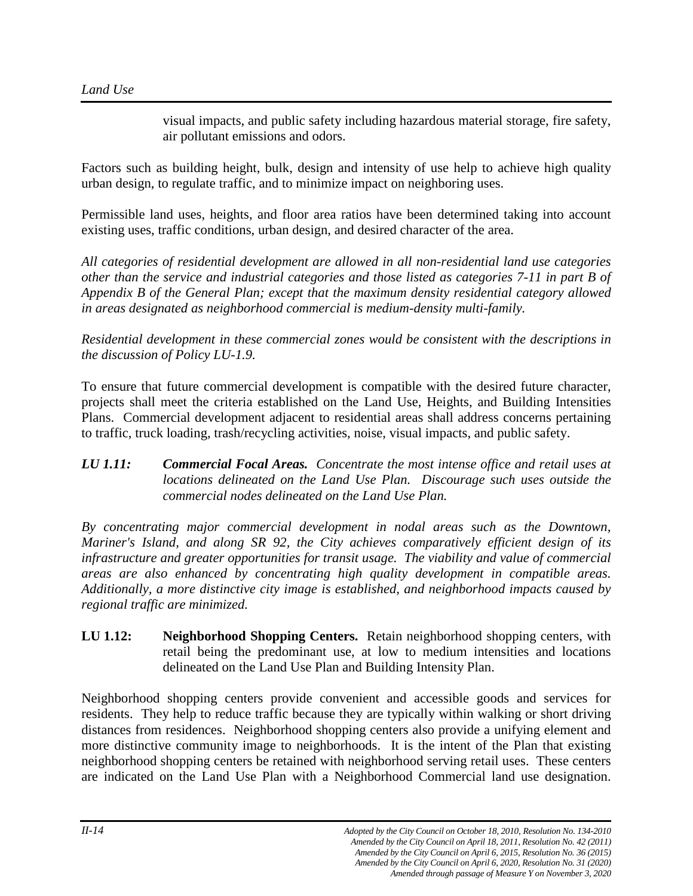visual impacts, and public safety including hazardous material storage, fire safety, air pollutant emissions and odors.

Factors such as building height, bulk, design and intensity of use help to achieve high quality urban design, to regulate traffic, and to minimize impact on neighboring uses.

Permissible land uses, heights, and floor area ratios have been determined taking into account existing uses, traffic conditions, urban design, and desired character of the area.

*All categories of residential development are allowed in all non-residential land use categories other than the service and industrial categories and those listed as categories 7-11 in part B of Appendix B of the General Plan; except that the maximum density residential category allowed in areas designated as neighborhood commercial is medium-density multi-family.*

*Residential development in these commercial zones would be consistent with the descriptions in the discussion of Policy LU-1.9.*

To ensure that future commercial development is compatible with the desired future character, projects shall meet the criteria established on the Land Use, Heights, and Building Intensities Plans. Commercial development adjacent to residential areas shall address concerns pertaining to traffic, truck loading, trash/recycling activities, noise, visual impacts, and public safety.

# *LU 1.11: Commercial Focal Areas. Concentrate the most intense office and retail uses at locations delineated on the Land Use Plan. Discourage such uses outside the commercial nodes delineated on the Land Use Plan.*

*By concentrating major commercial development in nodal areas such as the Downtown, Mariner's Island, and along SR 92, the City achieves comparatively efficient design of its infrastructure and greater opportunities for transit usage. The viability and value of commercial areas are also enhanced by concentrating high quality development in compatible areas. Additionally, a more distinctive city image is established, and neighborhood impacts caused by regional traffic are minimized.*

**LU 1.12: Neighborhood Shopping Centers.** Retain neighborhood shopping centers, with retail being the predominant use, at low to medium intensities and locations delineated on the Land Use Plan and Building Intensity Plan.

Neighborhood shopping centers provide convenient and accessible goods and services for residents. They help to reduce traffic because they are typically within walking or short driving distances from residences. Neighborhood shopping centers also provide a unifying element and more distinctive community image to neighborhoods. It is the intent of the Plan that existing neighborhood shopping centers be retained with neighborhood serving retail uses. These centers are indicated on the Land Use Plan with a Neighborhood Commercial land use designation.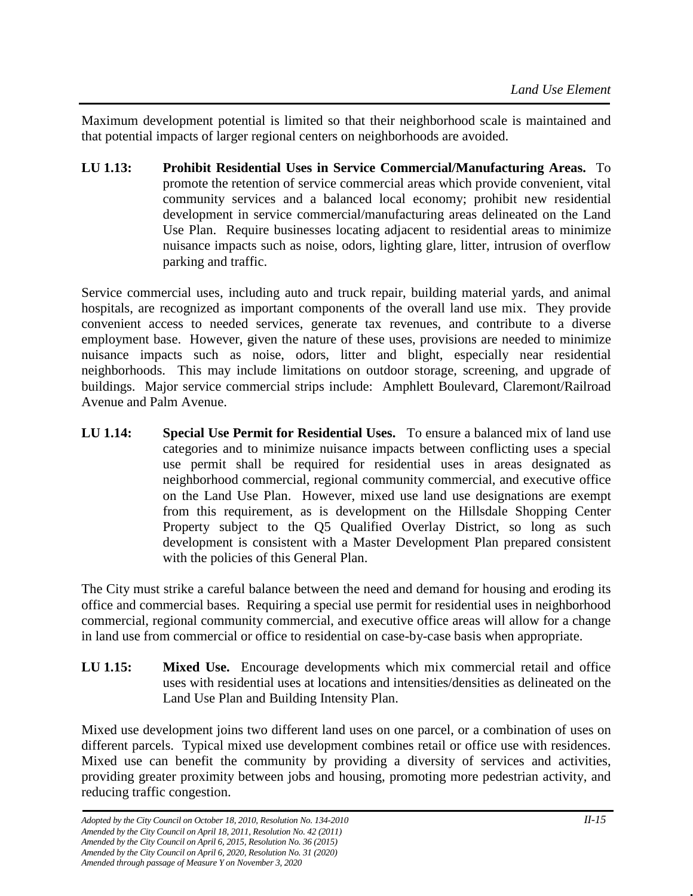Maximum development potential is limited so that their neighborhood scale is maintained and that potential impacts of larger regional centers on neighborhoods are avoided.

**LU 1.13: Prohibit Residential Uses in Service Commercial/Manufacturing Areas.** To promote the retention of service commercial areas which provide convenient, vital community services and a balanced local economy; prohibit new residential development in service commercial/manufacturing areas delineated on the Land Use Plan. Require businesses locating adjacent to residential areas to minimize nuisance impacts such as noise, odors, lighting glare, litter, intrusion of overflow parking and traffic.

Service commercial uses, including auto and truck repair, building material yards, and animal hospitals, are recognized as important components of the overall land use mix. They provide convenient access to needed services, generate tax revenues, and contribute to a diverse employment base. However, given the nature of these uses, provisions are needed to minimize nuisance impacts such as noise, odors, litter and blight, especially near residential neighborhoods. This may include limitations on outdoor storage, screening, and upgrade of buildings. Major service commercial strips include: Amphlett Boulevard, Claremont/Railroad Avenue and Palm Avenue.

**LU 1.14: Special Use Permit for Residential Uses.** To ensure a balanced mix of land use categories and to minimize nuisance impacts between conflicting uses a special use permit shall be required for residential uses in areas designated as neighborhood commercial, regional community commercial, and executive office on the Land Use Plan. However, mixed use land use designations are exempt from this requirement, as is development on the Hillsdale Shopping Center Property subject to the Q5 Qualified Overlay District, so long as such development is consistent with a Master Development Plan prepared consistent with the policies of this General Plan.

The City must strike a careful balance between the need and demand for housing and eroding its office and commercial bases. Requiring a special use permit for residential uses in neighborhood commercial, regional community commercial, and executive office areas will allow for a change in land use from commercial or office to residential on case-by-case basis when appropriate.

**LU 1.15: Mixed Use.** Encourage developments which mix commercial retail and office uses with residential uses at locations and intensities/densities as delineated on the Land Use Plan and Building Intensity Plan.

Mixed use development joins two different land uses on one parcel, or a combination of uses on different parcels. Typical mixed use development combines retail or office use with residences. Mixed use can benefit the community by providing a diversity of services and activities, providing greater proximity between jobs and housing, promoting more pedestrian activity, and reducing traffic congestion.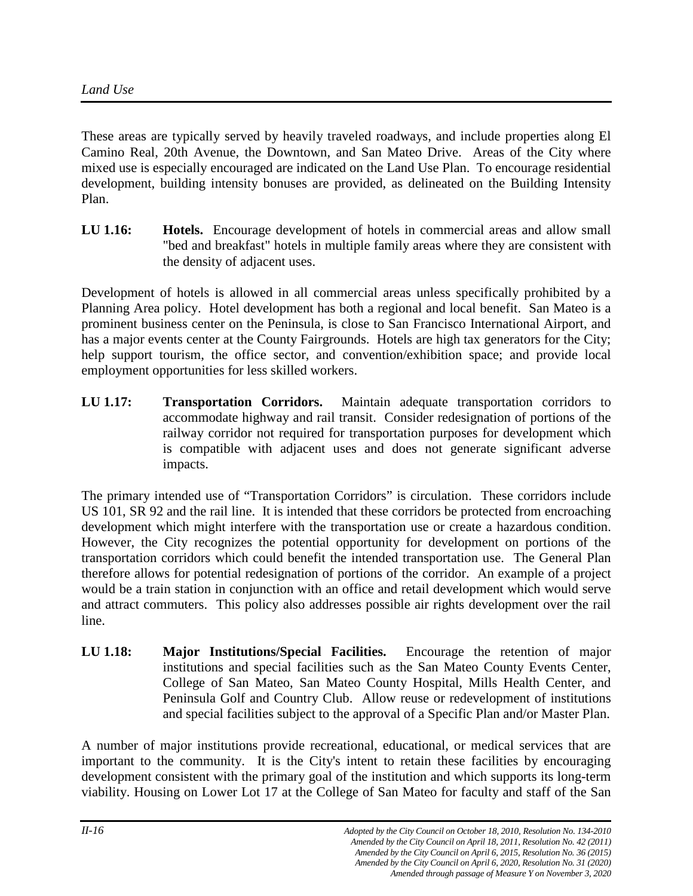These areas are typically served by heavily traveled roadways, and include properties along El Camino Real, 20th Avenue, the Downtown, and San Mateo Drive. Areas of the City where mixed use is especially encouraged are indicated on the Land Use Plan. To encourage residential development, building intensity bonuses are provided, as delineated on the Building Intensity Plan.

**LU 1.16: Hotels.** Encourage development of hotels in commercial areas and allow small "bed and breakfast" hotels in multiple family areas where they are consistent with the density of adjacent uses.

Development of hotels is allowed in all commercial areas unless specifically prohibited by a Planning Area policy. Hotel development has both a regional and local benefit. San Mateo is a prominent business center on the Peninsula, is close to San Francisco International Airport, and has a major events center at the County Fairgrounds. Hotels are high tax generators for the City; help support tourism, the office sector, and convention/exhibition space; and provide local employment opportunities for less skilled workers.

**LU 1.17: Transportation Corridors.** Maintain adequate transportation corridors to accommodate highway and rail transit. Consider redesignation of portions of the railway corridor not required for transportation purposes for development which is compatible with adjacent uses and does not generate significant adverse impacts.

The primary intended use of "Transportation Corridors" is circulation. These corridors include US 101, SR 92 and the rail line. It is intended that these corridors be protected from encroaching development which might interfere with the transportation use or create a hazardous condition. However, the City recognizes the potential opportunity for development on portions of the transportation corridors which could benefit the intended transportation use. The General Plan therefore allows for potential redesignation of portions of the corridor. An example of a project would be a train station in conjunction with an office and retail development which would serve and attract commuters. This policy also addresses possible air rights development over the rail line.

**LU 1.18: Major Institutions/Special Facilities.** Encourage the retention of major institutions and special facilities such as the San Mateo County Events Center, College of San Mateo, San Mateo County Hospital, Mills Health Center, and Peninsula Golf and Country Club. Allow reuse or redevelopment of institutions and special facilities subject to the approval of a Specific Plan and/or Master Plan.

A number of major institutions provide recreational, educational, or medical services that are important to the community. It is the City's intent to retain these facilities by encouraging development consistent with the primary goal of the institution and which supports its long-term viability. Housing on Lower Lot 17 at the College of San Mateo for faculty and staff of the San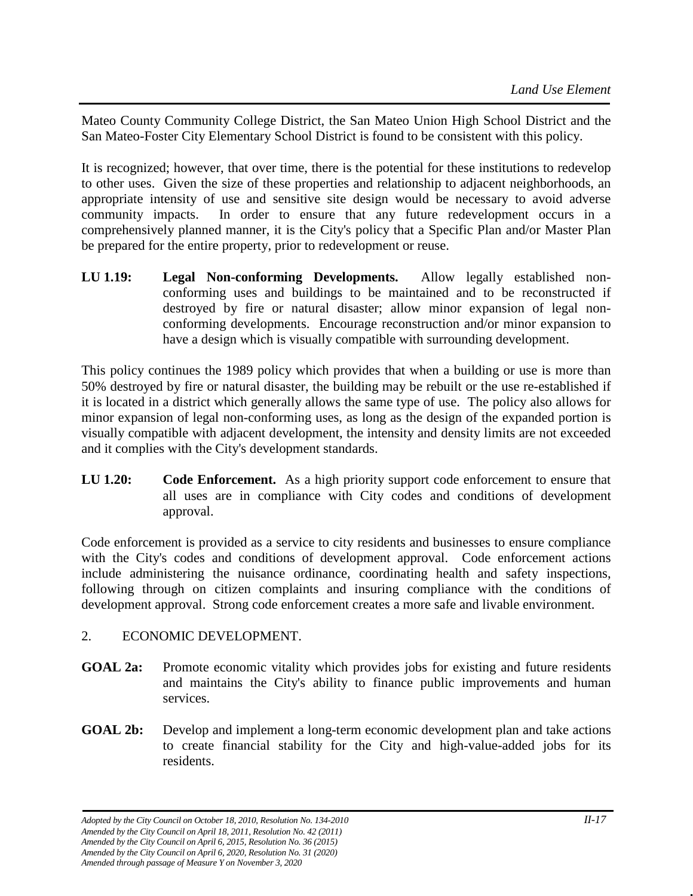Mateo County Community College District, the San Mateo Union High School District and the San Mateo-Foster City Elementary School District is found to be consistent with this policy.

It is recognized; however, that over time, there is the potential for these institutions to redevelop to other uses. Given the size of these properties and relationship to adjacent neighborhoods, an appropriate intensity of use and sensitive site design would be necessary to avoid adverse community impacts. In order to ensure that any future redevelopment occurs in a comprehensively planned manner, it is the City's policy that a Specific Plan and/or Master Plan be prepared for the entire property, prior to redevelopment or reuse.

**LU 1.19: Legal Non-conforming Developments.** Allow legally established nonconforming uses and buildings to be maintained and to be reconstructed if destroyed by fire or natural disaster; allow minor expansion of legal nonconforming developments. Encourage reconstruction and/or minor expansion to have a design which is visually compatible with surrounding development.

This policy continues the 1989 policy which provides that when a building or use is more than 50% destroyed by fire or natural disaster, the building may be rebuilt or the use re-established if it is located in a district which generally allows the same type of use. The policy also allows for minor expansion of legal non-conforming uses, as long as the design of the expanded portion is visually compatible with adjacent development, the intensity and density limits are not exceeded and it complies with the City's development standards.

**LU 1.20: Code Enforcement.** As a high priority support code enforcement to ensure that all uses are in compliance with City codes and conditions of development approval.

Code enforcement is provided as a service to city residents and businesses to ensure compliance with the City's codes and conditions of development approval. Code enforcement actions include administering the nuisance ordinance, coordinating health and safety inspections, following through on citizen complaints and insuring compliance with the conditions of development approval. Strong code enforcement creates a more safe and livable environment.

# 2. ECONOMIC DEVELOPMENT.

- **GOAL 2a:** Promote economic vitality which provides jobs for existing and future residents and maintains the City's ability to finance public improvements and human services.
- **GOAL 2b:** Develop and implement a long-term economic development plan and take actions to create financial stability for the City and high-value-added jobs for its residents.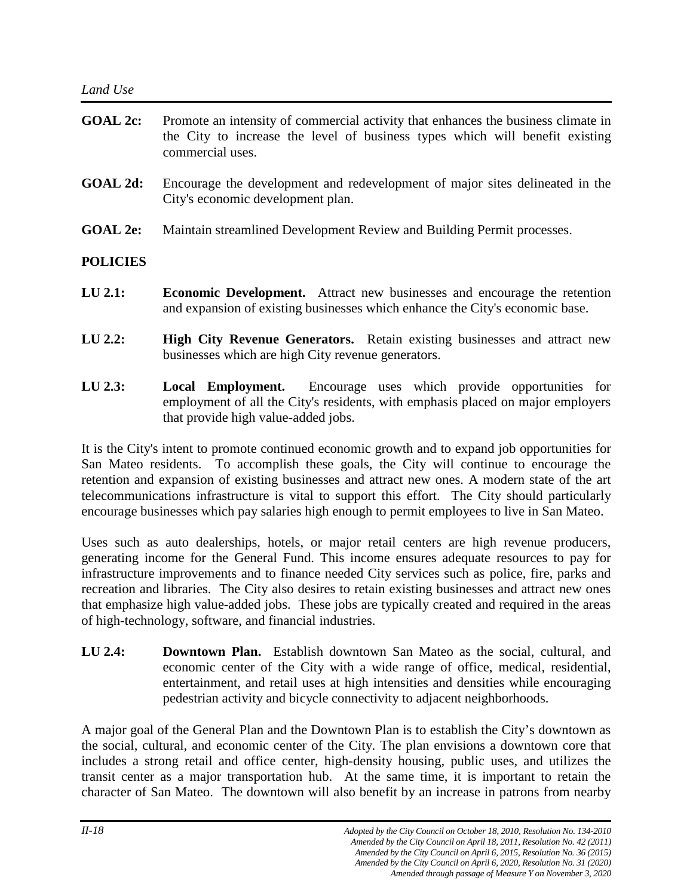| <b>GOAL 2c:</b> | Promote an intensity of commercial activity that enhances the business climate in<br>the City to increase the level of business types which will benefit existing<br>commercial uses. |
|-----------------|---------------------------------------------------------------------------------------------------------------------------------------------------------------------------------------|
| GOAL 2d:        | Encourage the development and redevelopment of major sites delineated in the<br>City's economic development plan.                                                                     |
| <b>GOAL 2e:</b> | Maintain streamlined Development Review and Building Permit processes.                                                                                                                |
| <b>POLICIES</b> |                                                                                                                                                                                       |

- **LU 2.1: Economic Development.** Attract new businesses and encourage the retention and expansion of existing businesses which enhance the City's economic base.
- **LU 2.2: High City Revenue Generators.** Retain existing businesses and attract new businesses which are high City revenue generators.
- **LU 2.3: Local Employment.** Encourage uses which provide opportunities for employment of all the City's residents, with emphasis placed on major employers that provide high value-added jobs.

It is the City's intent to promote continued economic growth and to expand job opportunities for San Mateo residents. To accomplish these goals, the City will continue to encourage the retention and expansion of existing businesses and attract new ones. A modern state of the art telecommunications infrastructure is vital to support this effort. The City should particularly encourage businesses which pay salaries high enough to permit employees to live in San Mateo.

Uses such as auto dealerships, hotels, or major retail centers are high revenue producers, generating income for the General Fund. This income ensures adequate resources to pay for infrastructure improvements and to finance needed City services such as police, fire, parks and recreation and libraries. The City also desires to retain existing businesses and attract new ones that emphasize high value-added jobs. These jobs are typically created and required in the areas of high-technology, software, and financial industries.

**LU 2.4: Downtown Plan.** Establish downtown San Mateo as the social, cultural, and economic center of the City with a wide range of office, medical, residential, entertainment, and retail uses at high intensities and densities while encouraging pedestrian activity and bicycle connectivity to adjacent neighborhoods.

A major goal of the General Plan and the Downtown Plan is to establish the City's downtown as the social, cultural, and economic center of the City. The plan envisions a downtown core that includes a strong retail and office center, high-density housing, public uses, and utilizes the transit center as a major transportation hub. At the same time, it is important to retain the character of San Mateo. The downtown will also benefit by an increase in patrons from nearby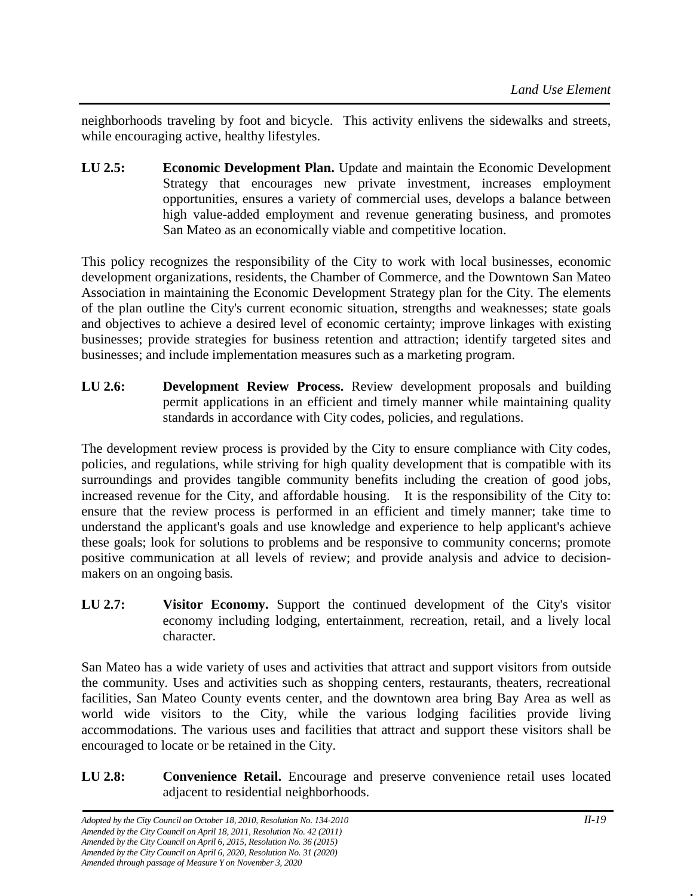neighborhoods traveling by foot and bicycle. This activity enlivens the sidewalks and streets, while encouraging active, healthy lifestyles.

**LU 2.5: Economic Development Plan.** Update and maintain the Economic Development Strategy that encourages new private investment, increases employment opportunities, ensures a variety of commercial uses, develops a balance between high value-added employment and revenue generating business, and promotes San Mateo as an economically viable and competitive location.

This policy recognizes the responsibility of the City to work with local businesses, economic development organizations, residents, the Chamber of Commerce, and the Downtown San Mateo Association in maintaining the Economic Development Strategy plan for the City. The elements of the plan outline the City's current economic situation, strengths and weaknesses; state goals and objectives to achieve a desired level of economic certainty; improve linkages with existing businesses; provide strategies for business retention and attraction; identify targeted sites and businesses; and include implementation measures such as a marketing program.

**LU 2.6: Development Review Process.** Review development proposals and building permit applications in an efficient and timely manner while maintaining quality standards in accordance with City codes, policies, and regulations.

The development review process is provided by the City to ensure compliance with City codes, policies, and regulations, while striving for high quality development that is compatible with its surroundings and provides tangible community benefits including the creation of good jobs, increased revenue for the City, and affordable housing. It is the responsibility of the City to: ensure that the review process is performed in an efficient and timely manner; take time to understand the applicant's goals and use knowledge and experience to help applicant's achieve these goals; look for solutions to problems and be responsive to community concerns; promote positive communication at all levels of review; and provide analysis and advice to decisionmakers on an ongoing basis.

**LU 2.7: Visitor Economy.** Support the continued development of the City's visitor economy including lodging, entertainment, recreation, retail, and a lively local character.

San Mateo has a wide variety of uses and activities that attract and support visitors from outside the community. Uses and activities such as shopping centers, restaurants, theaters, recreational facilities, San Mateo County events center, and the downtown area bring Bay Area as well as world wide visitors to the City, while the various lodging facilities provide living accommodations. The various uses and facilities that attract and support these visitors shall be encouraged to locate or be retained in the City.

**LU 2.8: Convenience Retail.** Encourage and preserve convenience retail uses located adjacent to residential neighborhoods.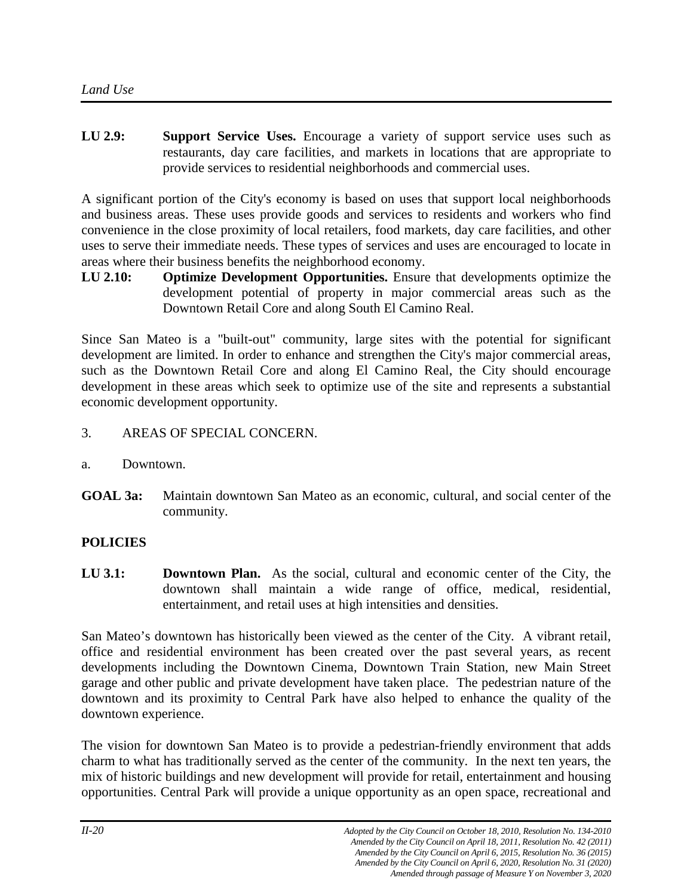**LU 2.9: Support Service Uses.** Encourage a variety of support service uses such as restaurants, day care facilities, and markets in locations that are appropriate to provide services to residential neighborhoods and commercial uses.

A significant portion of the City's economy is based on uses that support local neighborhoods and business areas. These uses provide goods and services to residents and workers who find convenience in the close proximity of local retailers, food markets, day care facilities, and other uses to serve their immediate needs. These types of services and uses are encouraged to locate in areas where their business benefits the neighborhood economy.

**LU 2.10: Optimize Development Opportunities.** Ensure that developments optimize the development potential of property in major commercial areas such as the Downtown Retail Core and along South El Camino Real.

Since San Mateo is a "built-out" community, large sites with the potential for significant development are limited. In order to enhance and strengthen the City's major commercial areas, such as the Downtown Retail Core and along El Camino Real, the City should encourage development in these areas which seek to optimize use of the site and represents a substantial economic development opportunity.

- 3. AREAS OF SPECIAL CONCERN.
- a. Downtown.
- **GOAL 3a:** Maintain downtown San Mateo as an economic, cultural, and social center of the community.

# **POLICIES**

**LU 3.1: Downtown Plan.** As the social, cultural and economic center of the City, the downtown shall maintain a wide range of office, medical, residential, entertainment, and retail uses at high intensities and densities.

San Mateo's downtown has historically been viewed as the center of the City. A vibrant retail, office and residential environment has been created over the past several years, as recent developments including the Downtown Cinema, Downtown Train Station, new Main Street garage and other public and private development have taken place. The pedestrian nature of the downtown and its proximity to Central Park have also helped to enhance the quality of the downtown experience.

The vision for downtown San Mateo is to provide a pedestrian-friendly environment that adds charm to what has traditionally served as the center of the community. In the next ten years, the mix of historic buildings and new development will provide for retail, entertainment and housing opportunities. Central Park will provide a unique opportunity as an open space, recreational and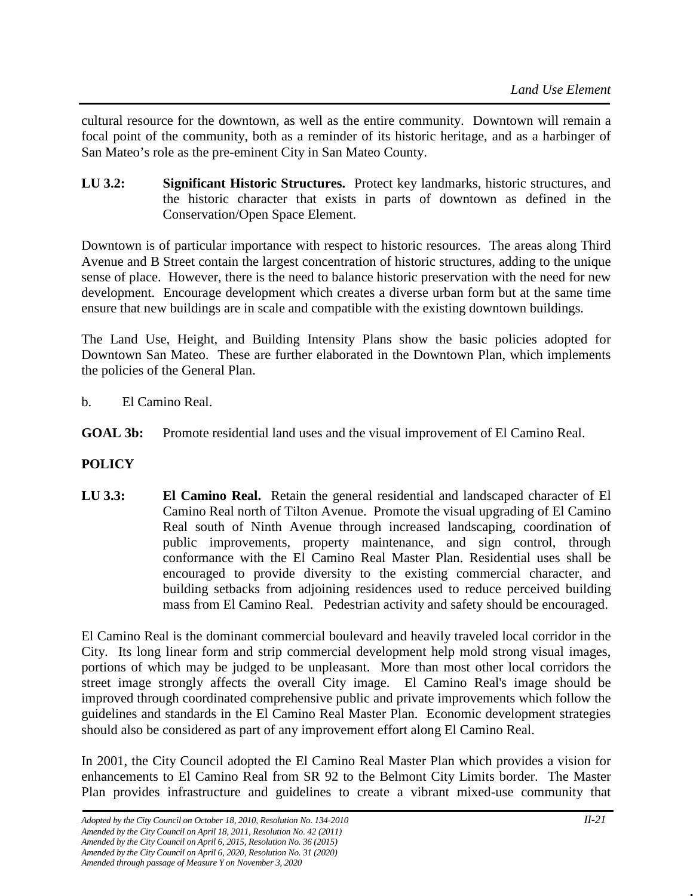cultural resource for the downtown, as well as the entire community. Downtown will remain a focal point of the community, both as a reminder of its historic heritage, and as a harbinger of San Mateo's role as the pre-eminent City in San Mateo County.

**LU 3.2: Significant Historic Structures.** Protect key landmarks, historic structures, and the historic character that exists in parts of downtown as defined in the Conservation/Open Space Element.

Downtown is of particular importance with respect to historic resources. The areas along Third Avenue and B Street contain the largest concentration of historic structures, adding to the unique sense of place. However, there is the need to balance historic preservation with the need for new development. Encourage development which creates a diverse urban form but at the same time ensure that new buildings are in scale and compatible with the existing downtown buildings.

The Land Use, Height, and Building Intensity Plans show the basic policies adopted for Downtown San Mateo. These are further elaborated in the Downtown Plan, which implements the policies of the General Plan.

- b. El Camino Real.
- **GOAL 3b:** Promote residential land uses and the visual improvement of El Camino Real.

# **POLICY**

**LU 3.3: El Camino Real.** Retain the general residential and landscaped character of El Camino Real north of Tilton Avenue. Promote the visual upgrading of El Camino Real south of Ninth Avenue through increased landscaping, coordination of public improvements, property maintenance, and sign control, through conformance with the El Camino Real Master Plan. Residential uses shall be encouraged to provide diversity to the existing commercial character, and building setbacks from adjoining residences used to reduce perceived building mass from El Camino Real. Pedestrian activity and safety should be encouraged.

El Camino Real is the dominant commercial boulevard and heavily traveled local corridor in the City. Its long linear form and strip commercial development help mold strong visual images, portions of which may be judged to be unpleasant. More than most other local corridors the street image strongly affects the overall City image. El Camino Real's image should be improved through coordinated comprehensive public and private improvements which follow the guidelines and standards in the El Camino Real Master Plan. Economic development strategies should also be considered as part of any improvement effort along El Camino Real.

In 2001, the City Council adopted the El Camino Real Master Plan which provides a vision for enhancements to El Camino Real from SR 92 to the Belmont City Limits border. The Master Plan provides infrastructure and guidelines to create a vibrant mixed-use community that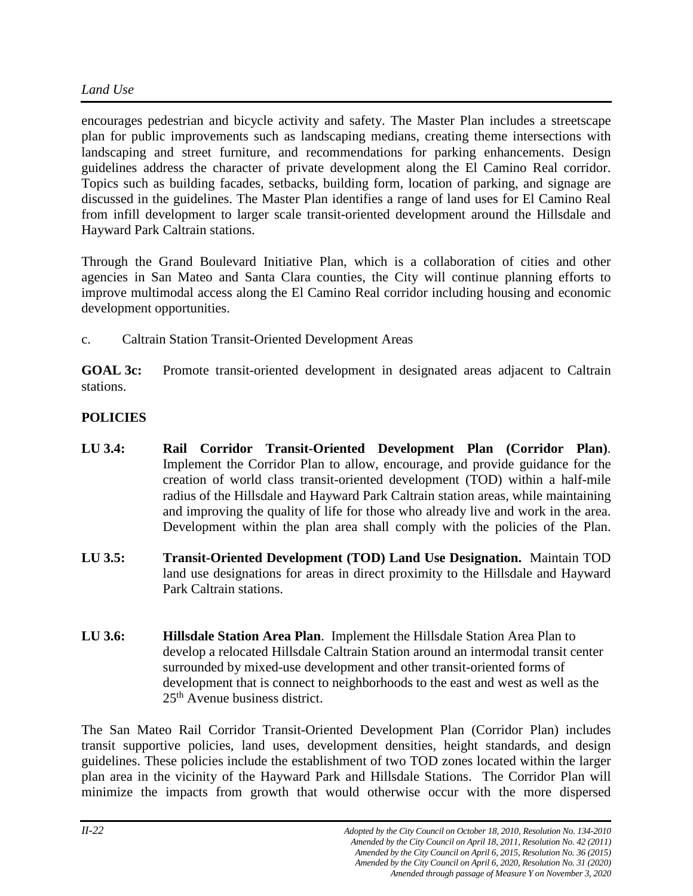encourages pedestrian and bicycle activity and safety. The Master Plan includes a streetscape plan for public improvements such as landscaping medians, creating theme intersections with landscaping and street furniture, and recommendations for parking enhancements. Design guidelines address the character of private development along the El Camino Real corridor. Topics such as building facades, setbacks, building form, location of parking, and signage are discussed in the guidelines. The Master Plan identifies a range of land uses for El Camino Real from infill development to larger scale transit-oriented development around the Hillsdale and Hayward Park Caltrain stations.

Through the Grand Boulevard Initiative Plan, which is a collaboration of cities and other agencies in San Mateo and Santa Clara counties, the City will continue planning efforts to improve multimodal access along the El Camino Real corridor including housing and economic development opportunities.

c. Caltrain Station Transit-Oriented Development Areas

**GOAL 3c:** Promote transit-oriented development in designated areas adjacent to Caltrain stations.

# **POLICIES**

- **LU 3.4: Rail Corridor Transit-Oriented Development Plan (Corridor Plan)**. Implement the Corridor Plan to allow, encourage, and provide guidance for the creation of world class transit-oriented development (TOD) within a half-mile radius of the Hillsdale and Hayward Park Caltrain station areas, while maintaining and improving the quality of life for those who already live and work in the area. Development within the plan area shall comply with the policies of the Plan.
- **LU 3.5: Transit-Oriented Development (TOD) Land Use Designation.** Maintain TOD land use designations for areas in direct proximity to the Hillsdale and Hayward Park Caltrain stations.
- **LU 3.6: Hillsdale Station Area Plan**. Implement the Hillsdale Station Area Plan to develop a relocated Hillsdale Caltrain Station around an intermodal transit center surrounded by mixed-use development and other transit-oriented forms of development that is connect to neighborhoods to the east and west as well as the 25<sup>th</sup> Avenue business district.

The San Mateo Rail Corridor Transit-Oriented Development Plan (Corridor Plan) includes transit supportive policies, land uses, development densities, height standards, and design guidelines. These policies include the establishment of two TOD zones located within the larger plan area in the vicinity of the Hayward Park and Hillsdale Stations. The Corridor Plan will minimize the impacts from growth that would otherwise occur with the more dispersed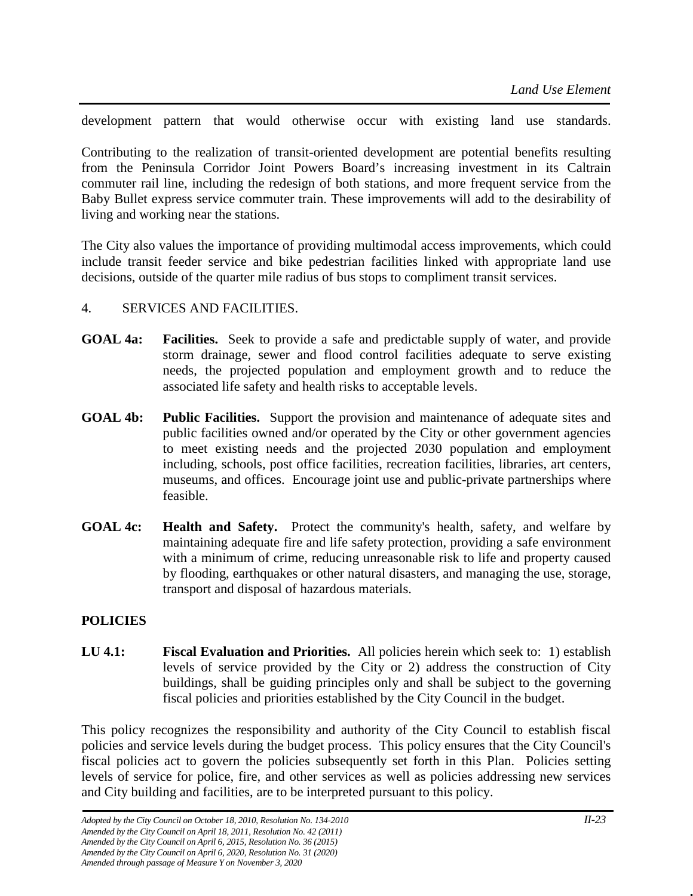development pattern that would otherwise occur with existing land use standards.

Contributing to the realization of transit-oriented development are potential benefits resulting from the Peninsula Corridor Joint Powers Board's increasing investment in its Caltrain commuter rail line, including the redesign of both stations, and more frequent service from the Baby Bullet express service commuter train. These improvements will add to the desirability of living and working near the stations.

The City also values the importance of providing multimodal access improvements, which could include transit feeder service and bike pedestrian facilities linked with appropriate land use decisions, outside of the quarter mile radius of bus stops to compliment transit services.

#### 4. SERVICES AND FACILITIES.

- **GOAL 4a: Facilities.** Seek to provide a safe and predictable supply of water, and provide storm drainage, sewer and flood control facilities adequate to serve existing needs, the projected population and employment growth and to reduce the associated life safety and health risks to acceptable levels.
- **GOAL 4b: Public Facilities.** Support the provision and maintenance of adequate sites and public facilities owned and/or operated by the City or other government agencies to meet existing needs and the projected 2030 population and employment including, schools, post office facilities, recreation facilities, libraries, art centers, museums, and offices. Encourage joint use and public-private partnerships where feasible.
- **GOAL 4c: Health and Safety.** Protect the community's health, safety, and welfare by maintaining adequate fire and life safety protection, providing a safe environment with a minimum of crime, reducing unreasonable risk to life and property caused by flooding, earthquakes or other natural disasters, and managing the use, storage, transport and disposal of hazardous materials.

# **POLICIES**

**LU 4.1: Fiscal Evaluation and Priorities.** All policies herein which seek to: 1) establish levels of service provided by the City or 2) address the construction of City buildings, shall be guiding principles only and shall be subject to the governing fiscal policies and priorities established by the City Council in the budget.

This policy recognizes the responsibility and authority of the City Council to establish fiscal policies and service levels during the budget process. This policy ensures that the City Council's fiscal policies act to govern the policies subsequently set forth in this Plan. Policies setting levels of service for police, fire, and other services as well as policies addressing new services and City building and facilities, are to be interpreted pursuant to this policy.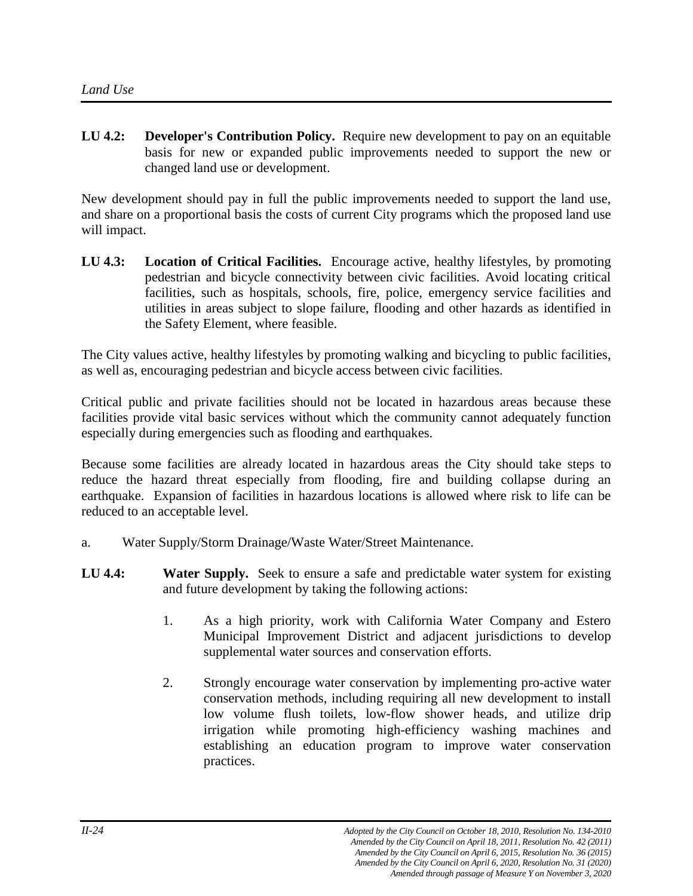**LU 4.2: Developer's Contribution Policy.** Require new development to pay on an equitable basis for new or expanded public improvements needed to support the new or changed land use or development.

New development should pay in full the public improvements needed to support the land use, and share on a proportional basis the costs of current City programs which the proposed land use will impact.

**LU 4.3: Location of Critical Facilities.** Encourage active, healthy lifestyles, by promoting pedestrian and bicycle connectivity between civic facilities. Avoid locating critical facilities, such as hospitals, schools, fire, police, emergency service facilities and utilities in areas subject to slope failure, flooding and other hazards as identified in the Safety Element, where feasible.

The City values active, healthy lifestyles by promoting walking and bicycling to public facilities, as well as, encouraging pedestrian and bicycle access between civic facilities.

Critical public and private facilities should not be located in hazardous areas because these facilities provide vital basic services without which the community cannot adequately function especially during emergencies such as flooding and earthquakes.

Because some facilities are already located in hazardous areas the City should take steps to reduce the hazard threat especially from flooding, fire and building collapse during an earthquake. Expansion of facilities in hazardous locations is allowed where risk to life can be reduced to an acceptable level.

- a. Water Supply/Storm Drainage/Waste Water/Street Maintenance.
- **LU 4.4: Water Supply.** Seek to ensure a safe and predictable water system for existing and future development by taking the following actions:
	- 1. As a high priority, work with California Water Company and Estero Municipal Improvement District and adjacent jurisdictions to develop supplemental water sources and conservation efforts.
	- 2. Strongly encourage water conservation by implementing pro-active water conservation methods, including requiring all new development to install low volume flush toilets, low-flow shower heads, and utilize drip irrigation while promoting high-efficiency washing machines and establishing an education program to improve water conservation practices.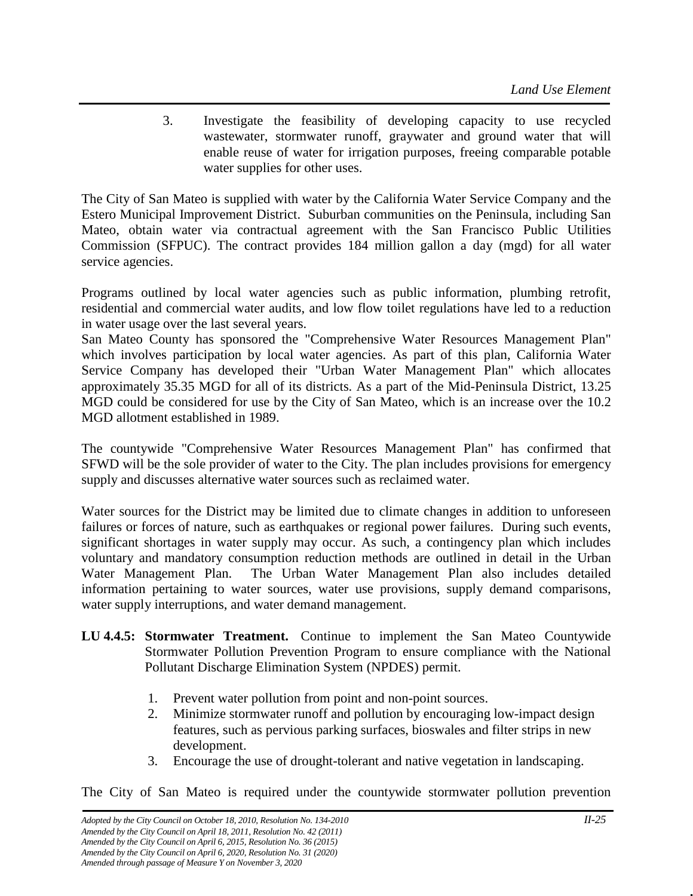3. Investigate the feasibility of developing capacity to use recycled wastewater, stormwater runoff, graywater and ground water that will enable reuse of water for irrigation purposes, freeing comparable potable water supplies for other uses.

The City of San Mateo is supplied with water by the California Water Service Company and the Estero Municipal Improvement District. Suburban communities on the Peninsula, including San Mateo, obtain water via contractual agreement with the San Francisco Public Utilities Commission (SFPUC). The contract provides 184 million gallon a day (mgd) for all water service agencies.

Programs outlined by local water agencies such as public information, plumbing retrofit, residential and commercial water audits, and low flow toilet regulations have led to a reduction in water usage over the last several years.

San Mateo County has sponsored the "Comprehensive Water Resources Management Plan" which involves participation by local water agencies. As part of this plan, California Water Service Company has developed their "Urban Water Management Plan" which allocates approximately 35.35 MGD for all of its districts. As a part of the Mid-Peninsula District, 13.25 MGD could be considered for use by the City of San Mateo, which is an increase over the 10.2 MGD allotment established in 1989.

The countywide "Comprehensive Water Resources Management Plan" has confirmed that SFWD will be the sole provider of water to the City. The plan includes provisions for emergency supply and discusses alternative water sources such as reclaimed water.

Water sources for the District may be limited due to climate changes in addition to unforeseen failures or forces of nature, such as earthquakes or regional power failures. During such events, significant shortages in water supply may occur. As such, a contingency plan which includes voluntary and mandatory consumption reduction methods are outlined in detail in the Urban Water Management Plan. The Urban Water Management Plan also includes detailed information pertaining to water sources, water use provisions, supply demand comparisons, water supply interruptions, and water demand management.

- **LU 4.4.5: Stormwater Treatment.** Continue to implement the San Mateo Countywide Stormwater Pollution Prevention Program to ensure compliance with the National Pollutant Discharge Elimination System (NPDES) permit.
	- 1. Prevent water pollution from point and non-point sources.
	- 2. Minimize stormwater runoff and pollution by encouraging low-impact design features, such as pervious parking surfaces, bioswales and filter strips in new development.
	- 3. Encourage the use of drought-tolerant and native vegetation in landscaping.

The City of San Mateo is required under the countywide stormwater pollution prevention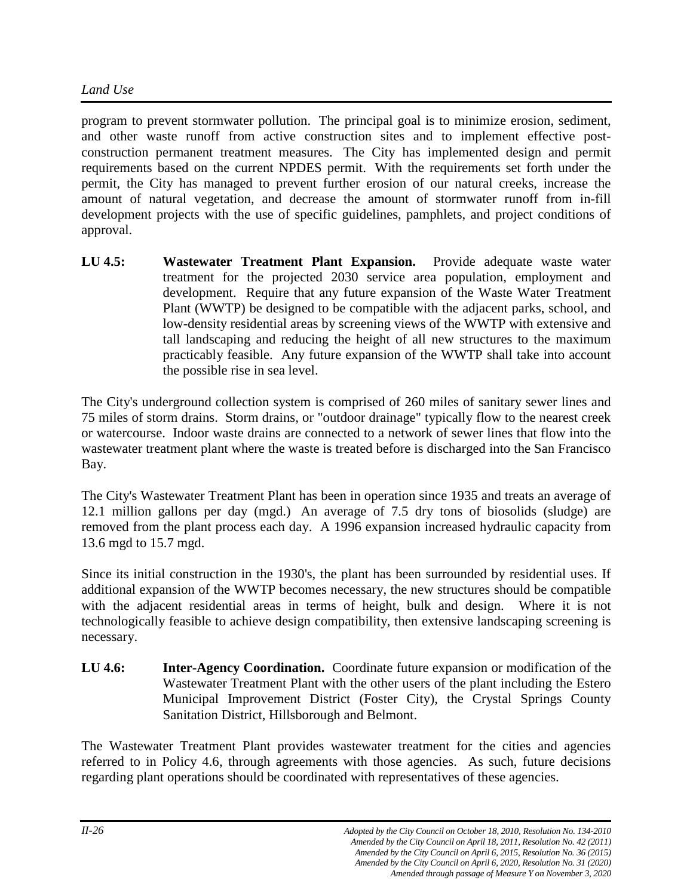program to prevent stormwater pollution. The principal goal is to minimize erosion, sediment, and other waste runoff from active construction sites and to implement effective postconstruction permanent treatment measures. The City has implemented design and permit requirements based on the current NPDES permit. With the requirements set forth under the permit, the City has managed to prevent further erosion of our natural creeks, increase the amount of natural vegetation, and decrease the amount of stormwater runoff from in-fill development projects with the use of specific guidelines, pamphlets, and project conditions of approval.

**LU 4.5: Wastewater Treatment Plant Expansion.** Provide adequate waste water treatment for the projected 2030 service area population, employment and development. Require that any future expansion of the Waste Water Treatment Plant (WWTP) be designed to be compatible with the adjacent parks, school, and low-density residential areas by screening views of the WWTP with extensive and tall landscaping and reducing the height of all new structures to the maximum practicably feasible. Any future expansion of the WWTP shall take into account the possible rise in sea level.

The City's underground collection system is comprised of 260 miles of sanitary sewer lines and 75 miles of storm drains. Storm drains, or "outdoor drainage" typically flow to the nearest creek or watercourse. Indoor waste drains are connected to a network of sewer lines that flow into the wastewater treatment plant where the waste is treated before is discharged into the San Francisco Bay.

The City's Wastewater Treatment Plant has been in operation since 1935 and treats an average of 12.1 million gallons per day (mgd.) An average of 7.5 dry tons of biosolids (sludge) are removed from the plant process each day. A 1996 expansion increased hydraulic capacity from 13.6 mgd to 15.7 mgd.

Since its initial construction in the 1930's, the plant has been surrounded by residential uses. If additional expansion of the WWTP becomes necessary, the new structures should be compatible with the adjacent residential areas in terms of height, bulk and design. Where it is not technologically feasible to achieve design compatibility, then extensive landscaping screening is necessary.

**LU 4.6: Inter-Agency Coordination.** Coordinate future expansion or modification of the Wastewater Treatment Plant with the other users of the plant including the Estero Municipal Improvement District (Foster City), the Crystal Springs County Sanitation District, Hillsborough and Belmont.

The Wastewater Treatment Plant provides wastewater treatment for the cities and agencies referred to in Policy 4.6, through agreements with those agencies. As such, future decisions regarding plant operations should be coordinated with representatives of these agencies.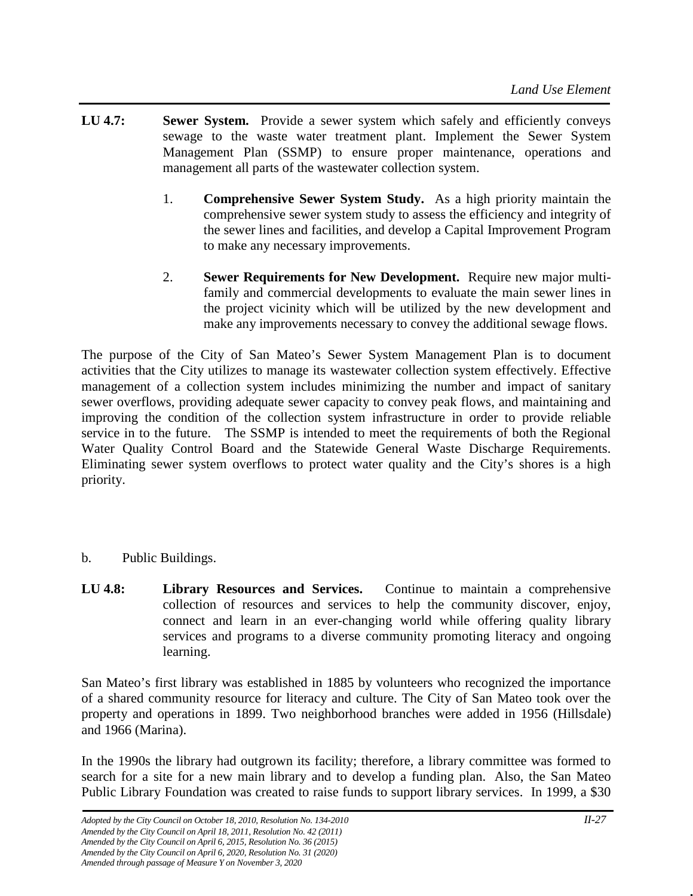- **LU 4.7: Sewer System.** Provide a sewer system which safely and efficiently conveys sewage to the waste water treatment plant. Implement the Sewer System Management Plan (SSMP) to ensure proper maintenance, operations and management all parts of the wastewater collection system.
	- 1. **Comprehensive Sewer System Study.** As a high priority maintain the comprehensive sewer system study to assess the efficiency and integrity of the sewer lines and facilities, and develop a Capital Improvement Program to make any necessary improvements.
	- 2. **Sewer Requirements for New Development.** Require new major multifamily and commercial developments to evaluate the main sewer lines in the project vicinity which will be utilized by the new development and make any improvements necessary to convey the additional sewage flows.

The purpose of the City of San Mateo's Sewer System Management Plan is to document activities that the City utilizes to manage its wastewater collection system effectively. Effective management of a collection system includes minimizing the number and impact of sanitary sewer overflows, providing adequate sewer capacity to convey peak flows, and maintaining and improving the condition of the collection system infrastructure in order to provide reliable service in to the future. The SSMP is intended to meet the requirements of both the Regional Water Quality Control Board and the Statewide General Waste Discharge Requirements. Eliminating sewer system overflows to protect water quality and the City's shores is a high priority.

- b. Public Buildings.
- **LU 4.8: Library Resources and Services.** Continue to maintain a comprehensive collection of resources and services to help the community discover, enjoy, connect and learn in an ever-changing world while offering quality library services and programs to a diverse community promoting literacy and ongoing learning.

San Mateo's first library was established in 1885 by volunteers who recognized the importance of a shared community resource for literacy and culture. The City of San Mateo took over the property and operations in 1899. Two neighborhood branches were added in 1956 (Hillsdale) and 1966 (Marina).

In the 1990s the library had outgrown its facility; therefore, a library committee was formed to search for a site for a new main library and to develop a funding plan. Also, the San Mateo Public Library Foundation was created to raise funds to support library services. In 1999, a \$30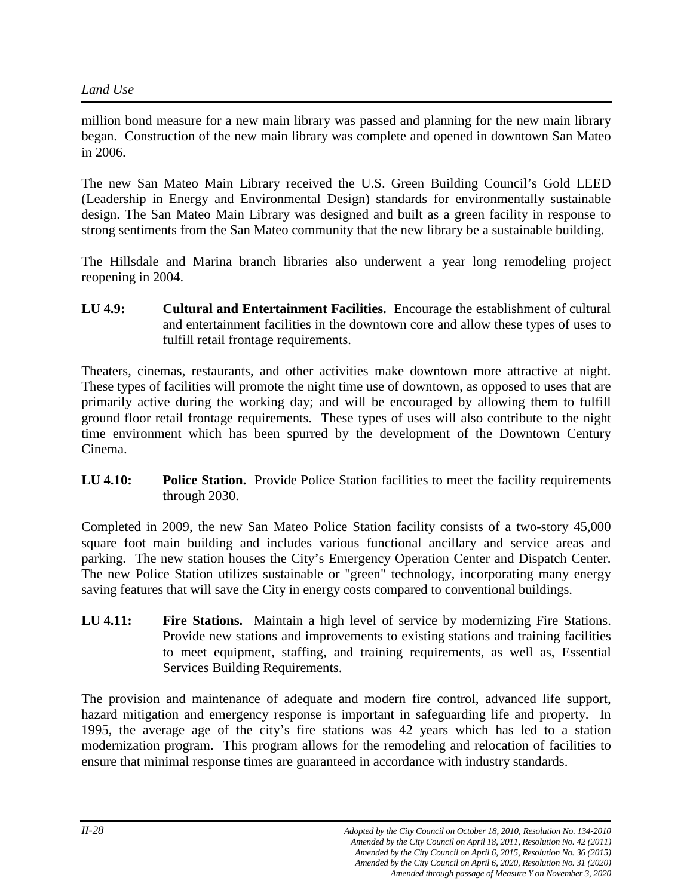million bond measure for a new main library was passed and planning for the new main library began. Construction of the new main library was complete and opened in downtown San Mateo in 2006.

The new San Mateo Main Library received the U.S. Green Building Council's Gold LEED (Leadership in Energy and Environmental Design) standards for environmentally sustainable design. The San Mateo Main Library was designed and built as a green facility in response to strong sentiments from the San Mateo community that the new library be a sustainable building.

The Hillsdale and Marina branch libraries also underwent a year long remodeling project reopening in 2004.

**LU 4.9: Cultural and Entertainment Facilities.** Encourage the establishment of cultural and entertainment facilities in the downtown core and allow these types of uses to fulfill retail frontage requirements.

Theaters, cinemas, restaurants, and other activities make downtown more attractive at night. These types of facilities will promote the night time use of downtown, as opposed to uses that are primarily active during the working day; and will be encouraged by allowing them to fulfill ground floor retail frontage requirements. These types of uses will also contribute to the night time environment which has been spurred by the development of the Downtown Century Cinema.

**LU 4.10: Police Station.** Provide Police Station facilities to meet the facility requirements through 2030.

Completed in 2009, the new San Mateo Police Station facility consists of a two-story 45,000 square foot main building and includes various functional ancillary and service areas and parking. The new station houses the City's Emergency Operation Center and Dispatch Center. The new Police Station utilizes sustainable or "green" technology, incorporating many energy saving features that will save the City in energy costs compared to conventional buildings.

**LU 4.11: Fire Stations.** Maintain a high level of service by modernizing Fire Stations. Provide new stations and improvements to existing stations and training facilities to meet equipment, staffing, and training requirements, as well as, Essential Services Building Requirements.

The provision and maintenance of adequate and modern fire control, advanced life support, hazard mitigation and emergency response is important in safeguarding life and property. In 1995, the average age of the city's fire stations was 42 years which has led to a station modernization program. This program allows for the remodeling and relocation of facilities to ensure that minimal response times are guaranteed in accordance with industry standards.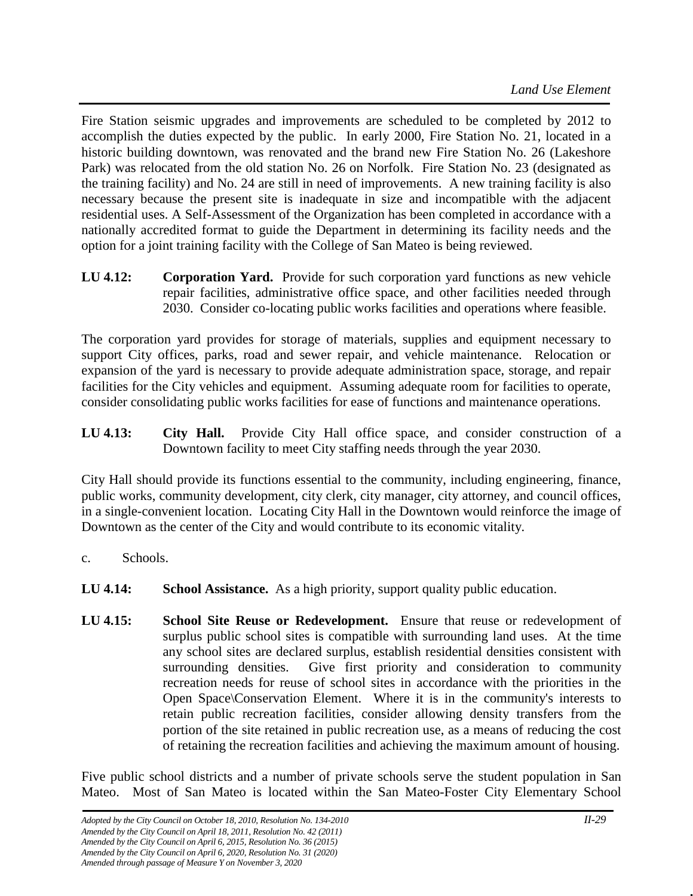Fire Station seismic upgrades and improvements are scheduled to be completed by 2012 to accomplish the duties expected by the public. In early 2000, Fire Station No. 21, located in a historic building downtown, was renovated and the brand new Fire Station No. 26 (Lakeshore Park) was relocated from the old station No. 26 on Norfolk. Fire Station No. 23 (designated as the training facility) and No. 24 are still in need of improvements. A new training facility is also necessary because the present site is inadequate in size and incompatible with the adjacent residential uses. A Self-Assessment of the Organization has been completed in accordance with a nationally accredited format to guide the Department in determining its facility needs and the option for a joint training facility with the College of San Mateo is being reviewed.

**LU 4.12: Corporation Yard.** Provide for such corporation yard functions as new vehicle repair facilities, administrative office space, and other facilities needed through 2030. Consider co-locating public works facilities and operations where feasible.

The corporation yard provides for storage of materials, supplies and equipment necessary to support City offices, parks, road and sewer repair, and vehicle maintenance. Relocation or expansion of the yard is necessary to provide adequate administration space, storage, and repair facilities for the City vehicles and equipment. Assuming adequate room for facilities to operate, consider consolidating public works facilities for ease of functions and maintenance operations.

**LU 4.13: City Hall.** Provide City Hall office space, and consider construction of a Downtown facility to meet City staffing needs through the year 2030.

City Hall should provide its functions essential to the community, including engineering, finance, public works, community development, city clerk, city manager, city attorney, and council offices, in a single-convenient location. Locating City Hall in the Downtown would reinforce the image of Downtown as the center of the City and would contribute to its economic vitality.

- c. Schools.
- **LU 4.14: School Assistance.** As a high priority, support quality public education.
- **LU 4.15: School Site Reuse or Redevelopment.** Ensure that reuse or redevelopment of surplus public school sites is compatible with surrounding land uses. At the time any school sites are declared surplus, establish residential densities consistent with surrounding densities. Give first priority and consideration to community recreation needs for reuse of school sites in accordance with the priorities in the Open Space\Conservation Element. Where it is in the community's interests to retain public recreation facilities, consider allowing density transfers from the portion of the site retained in public recreation use, as a means of reducing the cost of retaining the recreation facilities and achieving the maximum amount of housing.

Five public school districts and a number of private schools serve the student population in San Mateo. Most of San Mateo is located within the San Mateo-Foster City Elementary School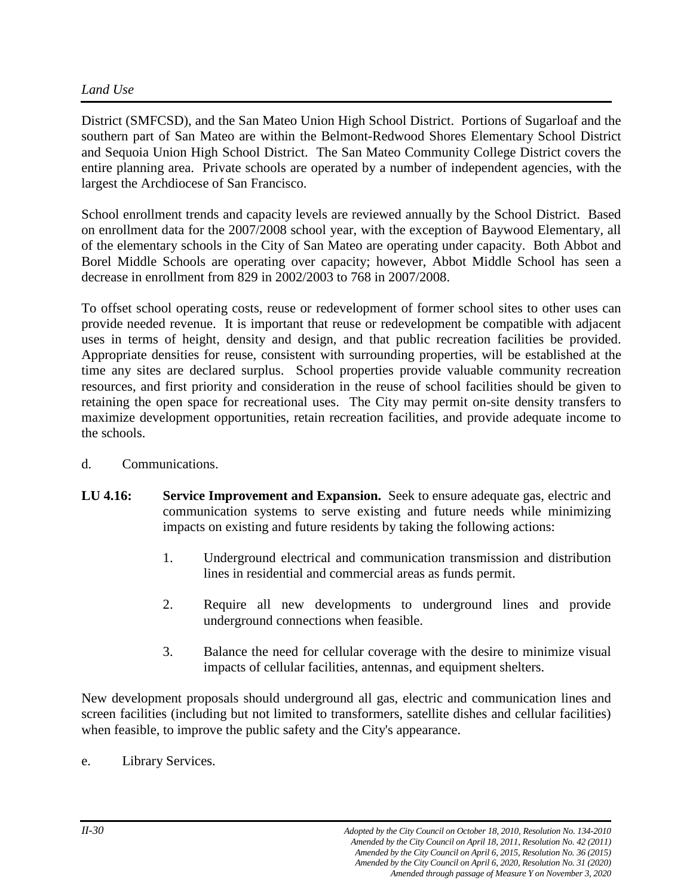# *Land Use*

District (SMFCSD), and the San Mateo Union High School District. Portions of Sugarloaf and the southern part of San Mateo are within the Belmont-Redwood Shores Elementary School District and Sequoia Union High School District. The San Mateo Community College District covers the entire planning area. Private schools are operated by a number of independent agencies, with the largest the Archdiocese of San Francisco.

School enrollment trends and capacity levels are reviewed annually by the School District. Based on enrollment data for the 2007/2008 school year, with the exception of Baywood Elementary, all of the elementary schools in the City of San Mateo are operating under capacity. Both Abbot and Borel Middle Schools are operating over capacity; however, Abbot Middle School has seen a decrease in enrollment from 829 in 2002/2003 to 768 in 2007/2008.

To offset school operating costs, reuse or redevelopment of former school sites to other uses can provide needed revenue. It is important that reuse or redevelopment be compatible with adjacent uses in terms of height, density and design, and that public recreation facilities be provided. Appropriate densities for reuse, consistent with surrounding properties, will be established at the time any sites are declared surplus. School properties provide valuable community recreation resources, and first priority and consideration in the reuse of school facilities should be given to retaining the open space for recreational uses. The City may permit on-site density transfers to maximize development opportunities, retain recreation facilities, and provide adequate income to the schools.

- d. Communications.
- **LU 4.16: Service Improvement and Expansion.** Seek to ensure adequate gas, electric and communication systems to serve existing and future needs while minimizing impacts on existing and future residents by taking the following actions:
	- 1. Underground electrical and communication transmission and distribution lines in residential and commercial areas as funds permit.
	- 2. Require all new developments to underground lines and provide underground connections when feasible.
	- 3. Balance the need for cellular coverage with the desire to minimize visual impacts of cellular facilities, antennas, and equipment shelters.

New development proposals should underground all gas, electric and communication lines and screen facilities (including but not limited to transformers, satellite dishes and cellular facilities) when feasible, to improve the public safety and the City's appearance.

e. Library Services.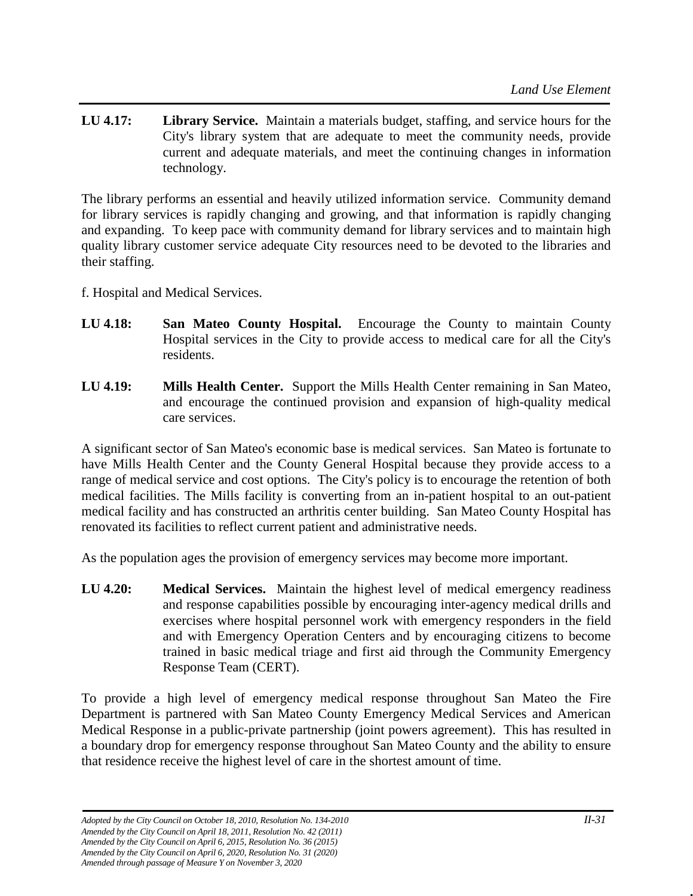**LU 4.17: Library Service.** Maintain a materials budget, staffing, and service hours for the City's library system that are adequate to meet the community needs, provide current and adequate materials, and meet the continuing changes in information technology.

The library performs an essential and heavily utilized information service. Community demand for library services is rapidly changing and growing, and that information is rapidly changing and expanding. To keep pace with community demand for library services and to maintain high quality library customer service adequate City resources need to be devoted to the libraries and their staffing.

- f. Hospital and Medical Services.
- **LU 4.18: San Mateo County Hospital.** Encourage the County to maintain County Hospital services in the City to provide access to medical care for all the City's residents.
- **LU 4.19: Mills Health Center.** Support the Mills Health Center remaining in San Mateo, and encourage the continued provision and expansion of high-quality medical care services.

A significant sector of San Mateo's economic base is medical services. San Mateo is fortunate to have Mills Health Center and the County General Hospital because they provide access to a range of medical service and cost options. The City's policy is to encourage the retention of both medical facilities. The Mills facility is converting from an in-patient hospital to an out-patient medical facility and has constructed an arthritis center building. San Mateo County Hospital has renovated its facilities to reflect current patient and administrative needs.

As the population ages the provision of emergency services may become more important.

**LU 4.20: Medical Services.** Maintain the highest level of medical emergency readiness and response capabilities possible by encouraging inter-agency medical drills and exercises where hospital personnel work with emergency responders in the field and with Emergency Operation Centers and by encouraging citizens to become trained in basic medical triage and first aid through the Community Emergency Response Team (CERT).

To provide a high level of emergency medical response throughout San Mateo the Fire Department is partnered with San Mateo County Emergency Medical Services and American Medical Response in a public-private partnership (joint powers agreement). This has resulted in a boundary drop for emergency response throughout San Mateo County and the ability to ensure that residence receive the highest level of care in the shortest amount of time.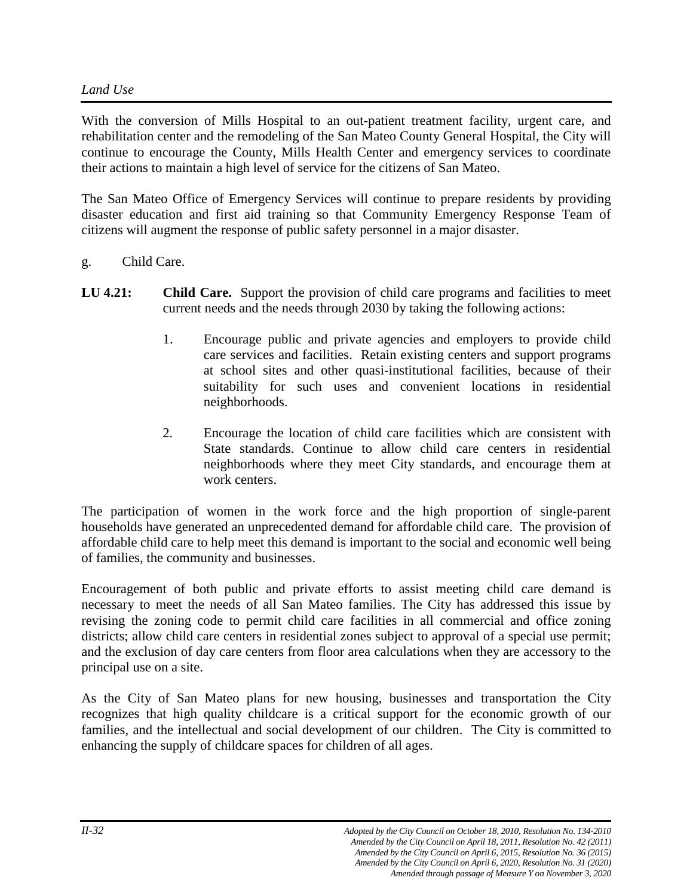#### *Land Use*

With the conversion of Mills Hospital to an out-patient treatment facility, urgent care, and rehabilitation center and the remodeling of the San Mateo County General Hospital, the City will continue to encourage the County, Mills Health Center and emergency services to coordinate their actions to maintain a high level of service for the citizens of San Mateo.

The San Mateo Office of Emergency Services will continue to prepare residents by providing disaster education and first aid training so that Community Emergency Response Team of citizens will augment the response of public safety personnel in a major disaster.

- g. Child Care.
- **LU 4.21:** Child Care. Support the provision of child care programs and facilities to meet current needs and the needs through 2030 by taking the following actions:
	- 1. Encourage public and private agencies and employers to provide child care services and facilities. Retain existing centers and support programs at school sites and other quasi-institutional facilities, because of their suitability for such uses and convenient locations in residential neighborhoods.
	- 2. Encourage the location of child care facilities which are consistent with State standards. Continue to allow child care centers in residential neighborhoods where they meet City standards, and encourage them at work centers.

The participation of women in the work force and the high proportion of single-parent households have generated an unprecedented demand for affordable child care.The provision of affordable child care to help meet this demand is important to the social and economic well being of families, the community and businesses.

Encouragement of both public and private efforts to assist meeting child care demand is necessary to meet the needs of all San Mateo families. The City has addressed this issue by revising the zoning code to permit child care facilities in all commercial and office zoning districts; allow child care centers in residential zones subject to approval of a special use permit; and the exclusion of day care centers from floor area calculations when they are accessory to the principal use on a site.

As the City of San Mateo plans for new housing, businesses and transportation the City recognizes that high quality childcare is a critical support for the economic growth of our families, and the intellectual and social development of our children. The City is committed to enhancing the supply of childcare spaces for children of all ages.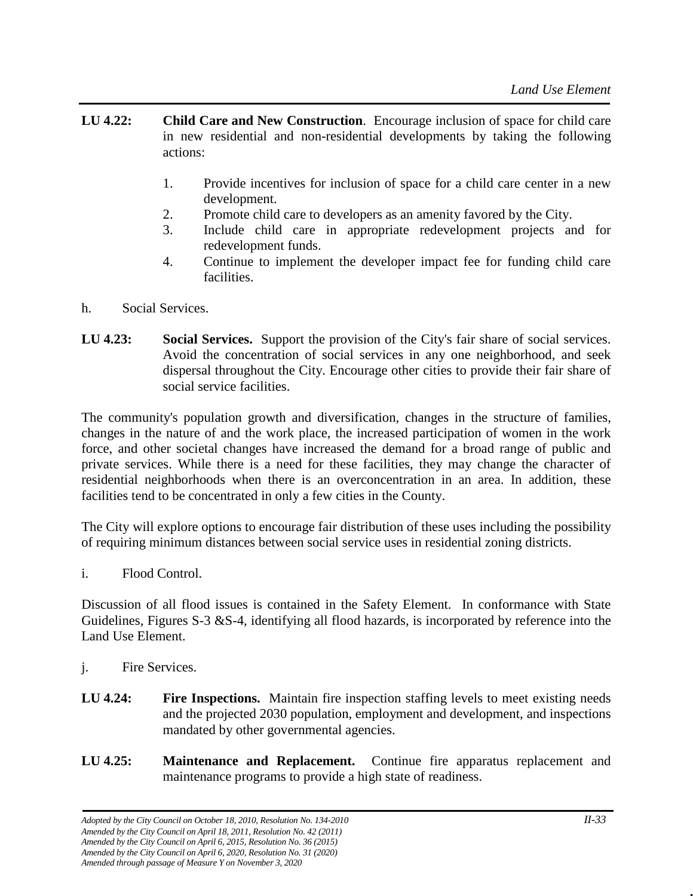- **LU 4.22: Child Care and New Construction**. Encourage inclusion of space for child care in new residential and non-residential developments by taking the following actions:
	- 1. Provide incentives for inclusion of space for a child care center in a new development.
	- 2. Promote child care to developers as an amenity favored by the City.
	- 3. Include child care in appropriate redevelopment projects and for redevelopment funds.
	- 4. Continue to implement the developer impact fee for funding child care facilities.
- h. Social Services.
- **LU 4.23: Social Services.** Support the provision of the City's fair share of social services. Avoid the concentration of social services in any one neighborhood, and seek dispersal throughout the City. Encourage other cities to provide their fair share of social service facilities.

The community's population growth and diversification, changes in the structure of families, changes in the nature of and the work place, the increased participation of women in the work force, and other societal changes have increased the demand for a broad range of public and private services. While there is a need for these facilities, they may change the character of residential neighborhoods when there is an overconcentration in an area. In addition, these facilities tend to be concentrated in only a few cities in the County.

The City will explore options to encourage fair distribution of these uses including the possibility of requiring minimum distances between social service uses in residential zoning districts.

i. Flood Control.

Discussion of all flood issues is contained in the Safety Element. In conformance with State Guidelines, Figures S-3 &S-4, identifying all flood hazards, is incorporated by reference into the Land Use Element.

- j. Fire Services.
- **LU 4.24:** Fire Inspections. Maintain fire inspection staffing levels to meet existing needs and the projected 2030 population, employment and development, and inspections mandated by other governmental agencies.
- **LU 4.25: Maintenance and Replacement.** Continue fire apparatus replacement and maintenance programs to provide a high state of readiness.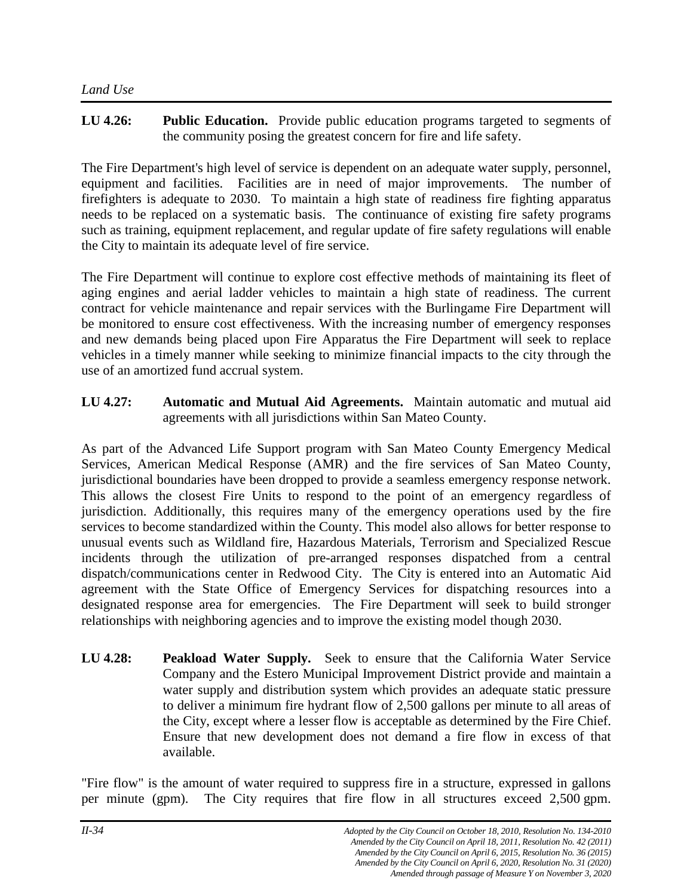# **LU 4.26: Public Education.** Provide public education programs targeted to segments of the community posing the greatest concern for fire and life safety.

The Fire Department's high level of service is dependent on an adequate water supply, personnel, equipment and facilities. Facilities are in need of major improvements. The number of firefighters is adequate to 2030. To maintain a high state of readiness fire fighting apparatus needs to be replaced on a systematic basis. The continuance of existing fire safety programs such as training, equipment replacement, and regular update of fire safety regulations will enable the City to maintain its adequate level of fire service.

The Fire Department will continue to explore cost effective methods of maintaining its fleet of aging engines and aerial ladder vehicles to maintain a high state of readiness. The current contract for vehicle maintenance and repair services with the Burlingame Fire Department will be monitored to ensure cost effectiveness. With the increasing number of emergency responses and new demands being placed upon Fire Apparatus the Fire Department will seek to replace vehicles in a timely manner while seeking to minimize financial impacts to the city through the use of an amortized fund accrual system.

**LU 4.27: Automatic and Mutual Aid Agreements.** Maintain automatic and mutual aid agreements with all jurisdictions within San Mateo County.

As part of the Advanced Life Support program with San Mateo County Emergency Medical Services, American Medical Response (AMR) and the fire services of San Mateo County, jurisdictional boundaries have been dropped to provide a seamless emergency response network. This allows the closest Fire Units to respond to the point of an emergency regardless of jurisdiction. Additionally, this requires many of the emergency operations used by the fire services to become standardized within the County. This model also allows for better response to unusual events such as Wildland fire, Hazardous Materials, Terrorism and Specialized Rescue incidents through the utilization of pre-arranged responses dispatched from a central dispatch/communications center in Redwood City. The City is entered into an Automatic Aid agreement with the State Office of Emergency Services for dispatching resources into a designated response area for emergencies. The Fire Department will seek to build stronger relationships with neighboring agencies and to improve the existing model though 2030.

**LU 4.28: Peakload Water Supply.** Seek to ensure that the California Water Service Company and the Estero Municipal Improvement District provide and maintain a water supply and distribution system which provides an adequate static pressure to deliver a minimum fire hydrant flow of 2,500 gallons per minute to all areas of the City, except where a lesser flow is acceptable as determined by the Fire Chief. Ensure that new development does not demand a fire flow in excess of that available.

"Fire flow" is the amount of water required to suppress fire in a structure, expressed in gallons per minute (gpm). The City requires that fire flow in all structures exceed 2,500 gpm.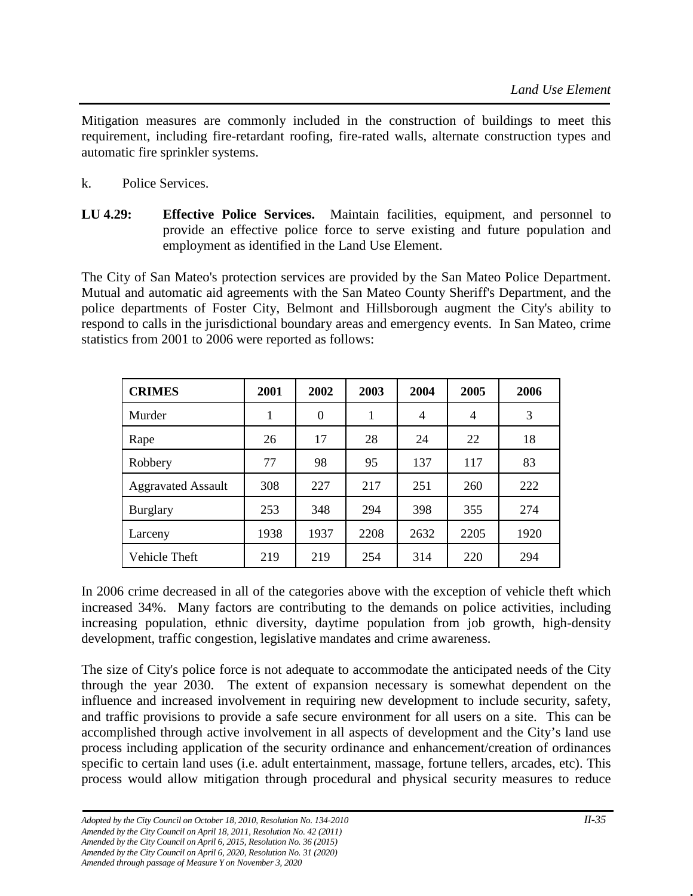Mitigation measures are commonly included in the construction of buildings to meet this requirement, including fire-retardant roofing, fire-rated walls, alternate construction types and automatic fire sprinkler systems.

- k. Police Services.
- **LU 4.29: Effective Police Services.** Maintain facilities, equipment, and personnel to provide an effective police force to serve existing and future population and employment as identified in the Land Use Element.

The City of San Mateo's protection services are provided by the San Mateo Police Department. Mutual and automatic aid agreements with the San Mateo County Sheriff's Department, and the police departments of Foster City, Belmont and Hillsborough augment the City's ability to respond to calls in the jurisdictional boundary areas and emergency events. In San Mateo, crime statistics from 2001 to 2006 were reported as follows:

| <b>CRIMES</b>             | 2001 | 2002     | 2003 | 2004           | 2005 | 2006 |
|---------------------------|------|----------|------|----------------|------|------|
| Murder                    | 1    | $\theta$ | 1    | $\overline{4}$ | 4    | 3    |
| Rape                      | 26   | 17       | 28   | 24             | 22   | 18   |
| Robbery                   | 77   | 98       | 95   | 137            | 117  | 83   |
| <b>Aggravated Assault</b> | 308  | 227      | 217  | 251            | 260  | 222  |
| <b>Burglary</b>           | 253  | 348      | 294  | 398            | 355  | 274  |
| Larceny                   | 1938 | 1937     | 2208 | 2632           | 2205 | 1920 |
| Vehicle Theft             | 219  | 219      | 254  | 314            | 220  | 294  |

In 2006 crime decreased in all of the categories above with the exception of vehicle theft which increased 34%. Many factors are contributing to the demands on police activities, including increasing population, ethnic diversity, daytime population from job growth, high-density development, traffic congestion, legislative mandates and crime awareness.

The size of City's police force is not adequate to accommodate the anticipated needs of the City through the year 2030. The extent of expansion necessary is somewhat dependent on the influence and increased involvement in requiring new development to include security, safety, and traffic provisions to provide a safe secure environment for all users on a site. This can be accomplished through active involvement in all aspects of development and the City's land use process including application of the security ordinance and enhancement/creation of ordinances specific to certain land uses (i.e. adult entertainment, massage, fortune tellers, arcades, etc). This process would allow mitigation through procedural and physical security measures to reduce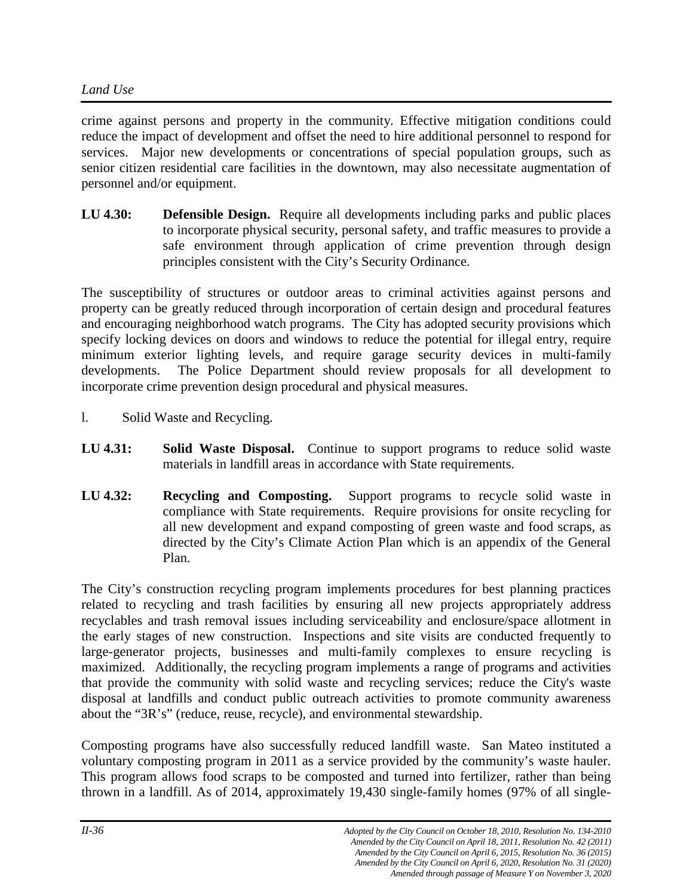crime against persons and property in the community. Effective mitigation conditions could reduce the impact of development and offset the need to hire additional personnel to respond for services. Major new developments or concentrations of special population groups, such as senior citizen residential care facilities in the downtown, may also necessitate augmentation of personnel and/or equipment.

**LU 4.30: Defensible Design.** Require all developments including parks and public places to incorporate physical security, personal safety, and traffic measures to provide a safe environment through application of crime prevention through design principles consistent with the City's Security Ordinance.

The susceptibility of structures or outdoor areas to criminal activities against persons and property can be greatly reduced through incorporation of certain design and procedural features and encouraging neighborhood watch programs. The City has adopted security provisions which specify locking devices on doors and windows to reduce the potential for illegal entry, require minimum exterior lighting levels, and require garage security devices in multi-family developments. The Police Department should review proposals for all development to incorporate crime prevention design procedural and physical measures.

- l. Solid Waste and Recycling.
- **LU 4.31: Solid Waste Disposal.** Continue to support programs to reduce solid waste materials in landfill areas in accordance with State requirements.
- **LU 4.32: Recycling and Composting.** Support programs to recycle solid waste in compliance with State requirements. Require provisions for onsite recycling for all new development and expand composting of green waste and food scraps, as directed by the City's Climate Action Plan which is an appendix of the General Plan.

The City's construction recycling program implements procedures for best planning practices related to recycling and trash facilities by ensuring all new projects appropriately address recyclables and trash removal issues including serviceability and enclosure/space allotment in the early stages of new construction. Inspections and site visits are conducted frequently to large-generator projects, businesses and multi-family complexes to ensure recycling is maximized. Additionally, the recycling program implements a range of programs and activities that provide the community with solid waste and recycling services; reduce the City's waste disposal at landfills and conduct public outreach activities to promote community awareness about the "3R's" (reduce, reuse, recycle), and environmental stewardship.

Composting programs have also successfully reduced landfill waste. San Mateo instituted a voluntary composting program in 2011 as a service provided by the community's waste hauler. This program allows food scraps to be composted and turned into fertilizer, rather than being thrown in a landfill. As of 2014, approximately 19,430 single-family homes (97% of all single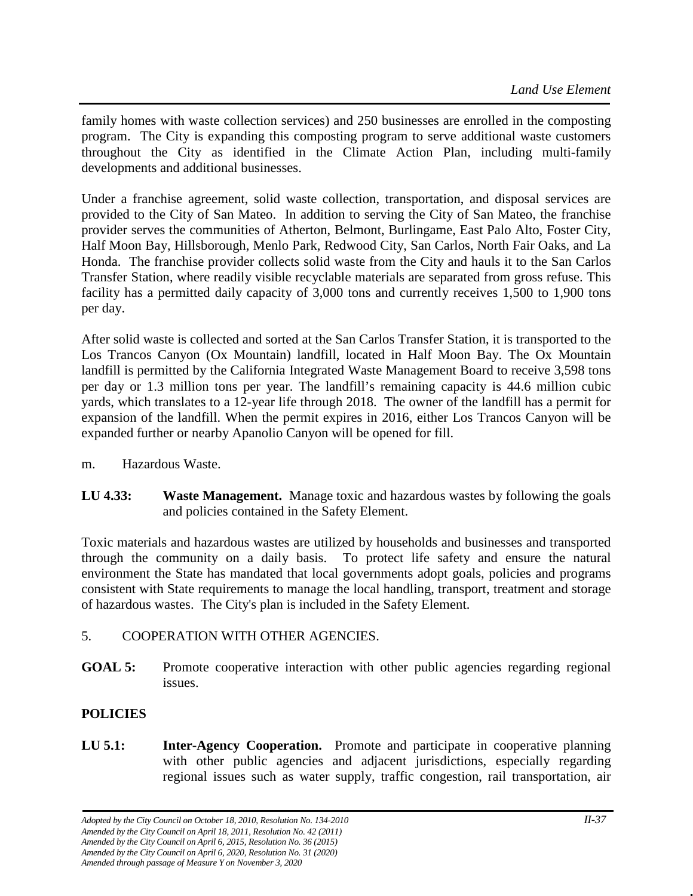family homes with waste collection services) and 250 businesses are enrolled in the composting program. The City is expanding this composting program to serve additional waste customers throughout the City as identified in the Climate Action Plan, including multi-family developments and additional businesses.

Under a franchise agreement, solid waste collection, transportation, and disposal services are provided to the City of San Mateo. In addition to serving the City of San Mateo, the franchise provider serves the communities of Atherton, Belmont, Burlingame, East Palo Alto, Foster City, Half Moon Bay, Hillsborough, Menlo Park, Redwood City, San Carlos, North Fair Oaks, and La Honda. The franchise provider collects solid waste from the City and hauls it to the San Carlos Transfer Station, where readily visible recyclable materials are separated from gross refuse. This facility has a permitted daily capacity of 3,000 tons and currently receives 1,500 to 1,900 tons per day.

After solid waste is collected and sorted at the San Carlos Transfer Station, it is transported to the Los Trancos Canyon (Ox Mountain) landfill, located in Half Moon Bay. The Ox Mountain landfill is permitted by the California Integrated Waste Management Board to receive 3,598 tons per day or 1.3 million tons per year. The landfill's remaining capacity is 44.6 million cubic yards, which translates to a 12-year life through 2018. The owner of the landfill has a permit for expansion of the landfill. When the permit expires in 2016, either Los Trancos Canyon will be expanded further or nearby Apanolio Canyon will be opened for fill.

- m. Hazardous Waste.
- **LU 4.33: Waste Management.** Manage toxic and hazardous wastes by following the goals and policies contained in the Safety Element.

Toxic materials and hazardous wastes are utilized by households and businesses and transported through the community on a daily basis. To protect life safety and ensure the natural environment the State has mandated that local governments adopt goals, policies and programs consistent with State requirements to manage the local handling, transport, treatment and storage of hazardous wastes. The City's plan is included in the Safety Element.

# 5. COOPERATION WITH OTHER AGENCIES.

**GOAL 5:** Promote cooperative interaction with other public agencies regarding regional issues.

# **POLICIES**

**LU 5.1: Inter-Agency Cooperation.** Promote and participate in cooperative planning with other public agencies and adjacent jurisdictions, especially regarding regional issues such as water supply, traffic congestion, rail transportation, air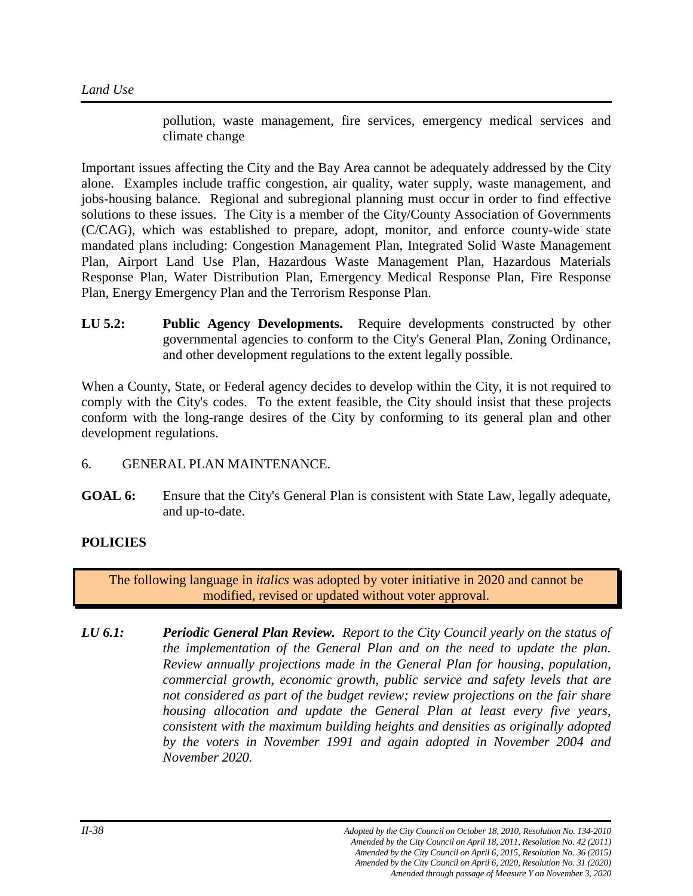pollution, waste management, fire services, emergency medical services and climate change

Important issues affecting the City and the Bay Area cannot be adequately addressed by the City alone. Examples include traffic congestion, air quality, water supply, waste management, and jobs-housing balance. Regional and subregional planning must occur in order to find effective solutions to these issues. The City is a member of the City/County Association of Governments (C/CAG), which was established to prepare, adopt, monitor, and enforce county-wide state mandated plans including: Congestion Management Plan, Integrated Solid Waste Management Plan, Airport Land Use Plan, Hazardous Waste Management Plan, Hazardous Materials Response Plan, Water Distribution Plan, Emergency Medical Response Plan, Fire Response Plan, Energy Emergency Plan and the Terrorism Response Plan.

**LU 5.2: Public Agency Developments.** Require developments constructed by other governmental agencies to conform to the City's General Plan, Zoning Ordinance, and other development regulations to the extent legally possible.

When a County, State, or Federal agency decides to develop within the City, it is not required to comply with the City's codes. To the extent feasible, the City should insist that these projects conform with the long-range desires of the City by conforming to its general plan and other development regulations.

- 6. GENERAL PLAN MAINTENANCE.
- **GOAL 6:** Ensure that the City's General Plan is consistent with State Law, legally adequate, and up-to-date.

# **POLICIES**

The following language in *italics* was adopted by voter initiative in 2020 and cannot be modified, revised or updated without voter approval.

*LU 6.1: Periodic General Plan Review. Report to the City Council yearly on the status of the implementation of the General Plan and on the need to update the plan. Review annually projections made in the General Plan for housing, population, commercial growth, economic growth, public service and safety levels that are not considered as part of the budget review; review projections on the fair share housing allocation and update the General Plan at least every five years, consistent with the maximum building heights and densities as originally adopted by the voters in November 1991 and again adopted in November 2004 and November 2020.*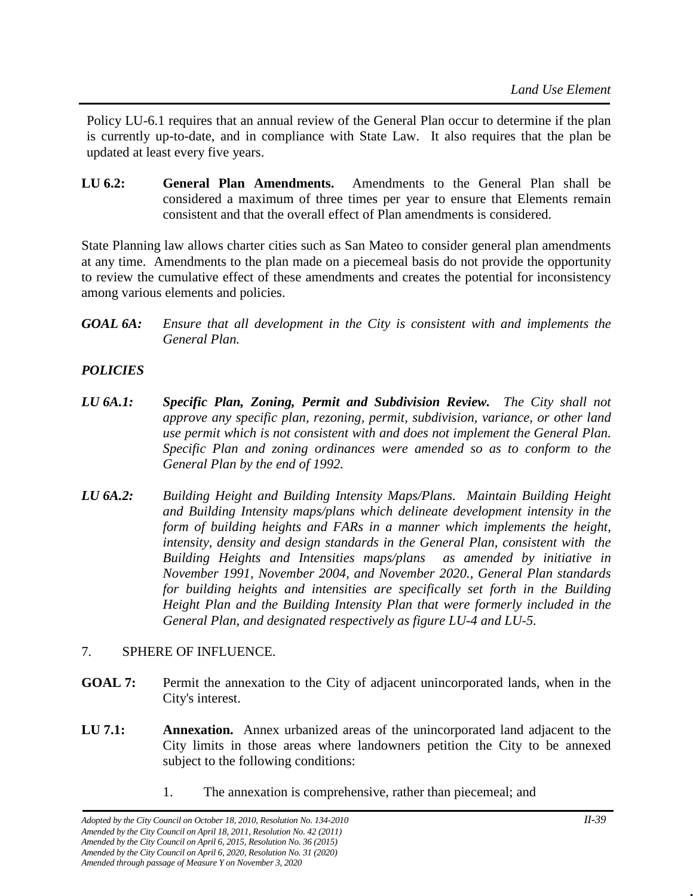Policy LU-6.1 requires that an annual review of the General Plan occur to determine if the plan is currently up-to-date, and in compliance with State Law. It also requires that the plan be updated at least every five years.

**LU 6.2: General Plan Amendments.** Amendments to the General Plan shall be considered a maximum of three times per year to ensure that Elements remain consistent and that the overall effect of Plan amendments is considered.

State Planning law allows charter cities such as San Mateo to consider general plan amendments at any time. Amendments to the plan made on a piecemeal basis do not provide the opportunity to review the cumulative effect of these amendments and creates the potential for inconsistency among various elements and policies.

*GOAL 6A: Ensure that all development in the City is consistent with and implements the General Plan.*

# *POLICIES*

- *LU 6A.1: Specific Plan, Zoning, Permit and Subdivision Review. The City shall not approve any specific plan, rezoning, permit, subdivision, variance, or other land use permit which is not consistent with and does not implement the General Plan. Specific Plan and zoning ordinances were amended so as to conform to the General Plan by the end of 1992.*
- *LU 6A.2: Building Height and Building Intensity Maps/Plans. Maintain Building Height and Building Intensity maps/plans which delineate development intensity in the form of building heights and FARs in a manner which implements the height, intensity, density and design standards in the General Plan, consistent with the Building Heights and Intensities maps/plans as amended by initiative in November 1991, November 2004, and November 2020., General Plan standards for building heights and intensities are specifically set forth in the Building Height Plan and the Building Intensity Plan that were formerly included in the General Plan, and designated respectively as figure LU-4 and LU-5.*

#### 7. SPHERE OF INFLUENCE.

- **GOAL 7:** Permit the annexation to the City of adjacent unincorporated lands, when in the City's interest.
- **LU 7.1: Annexation.** Annex urbanized areas of the unincorporated land adjacent to the City limits in those areas where landowners petition the City to be annexed subject to the following conditions:
	- 1. The annexation is comprehensive, rather than piecemeal; and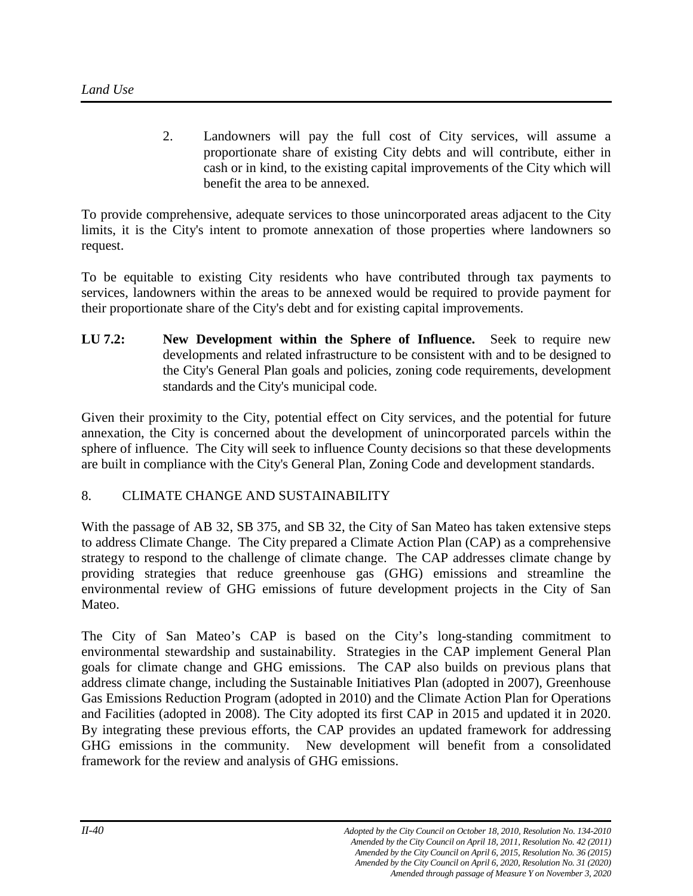2. Landowners will pay the full cost of City services, will assume a proportionate share of existing City debts and will contribute, either in cash or in kind, to the existing capital improvements of the City which will benefit the area to be annexed.

To provide comprehensive, adequate services to those unincorporated areas adjacent to the City limits, it is the City's intent to promote annexation of those properties where landowners so request.

To be equitable to existing City residents who have contributed through tax payments to services, landowners within the areas to be annexed would be required to provide payment for their proportionate share of the City's debt and for existing capital improvements.

**LU 7.2: New Development within the Sphere of Influence.** Seek to require new developments and related infrastructure to be consistent with and to be designed to the City's General Plan goals and policies, zoning code requirements, development standards and the City's municipal code.

Given their proximity to the City, potential effect on City services, and the potential for future annexation, the City is concerned about the development of unincorporated parcels within the sphere of influence. The City will seek to influence County decisions so that these developments are built in compliance with the City's General Plan, Zoning Code and development standards.

# 8. CLIMATE CHANGE AND SUSTAINABILITY

With the passage of AB 32, SB 375, and SB 32, the City of San Mateo has taken extensive steps to address Climate Change. The City prepared a Climate Action Plan (CAP) as a comprehensive strategy to respond to the challenge of climate change. The CAP addresses climate change by providing strategies that reduce greenhouse gas (GHG) emissions and streamline the environmental review of GHG emissions of future development projects in the City of San Mateo.

The City of San Mateo's CAP is based on the City's long-standing commitment to environmental stewardship and sustainability. Strategies in the CAP implement General Plan goals for climate change and GHG emissions. The CAP also builds on previous plans that address climate change, including the Sustainable Initiatives Plan (adopted in 2007), Greenhouse Gas Emissions Reduction Program (adopted in 2010) and the Climate Action Plan for Operations and Facilities (adopted in 2008). The City adopted its first CAP in 2015 and updated it in 2020. By integrating these previous efforts, the CAP provides an updated framework for addressing GHG emissions in the community. New development will benefit from a consolidated framework for the review and analysis of GHG emissions.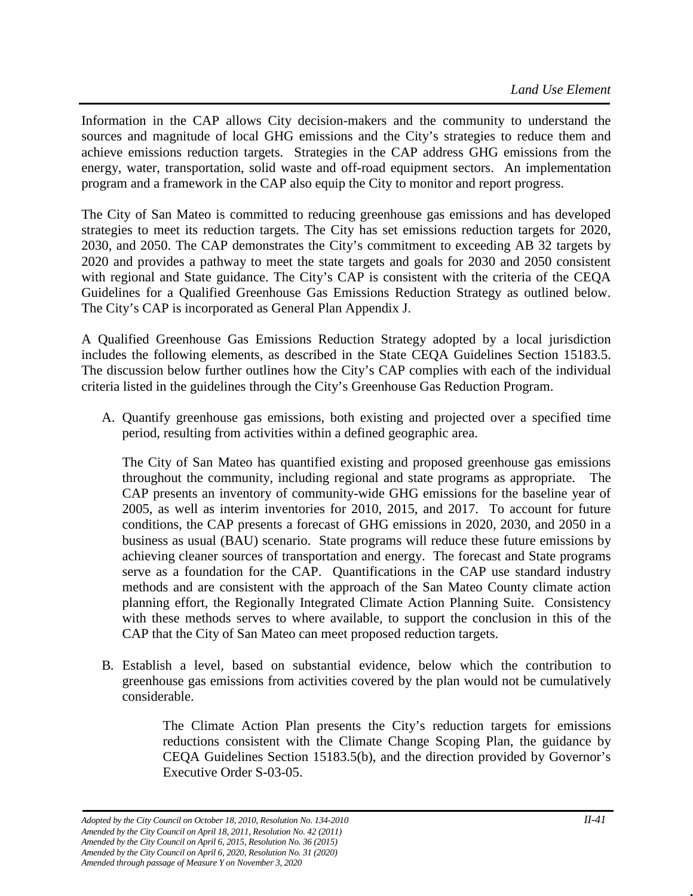Information in the CAP allows City decision-makers and the community to understand the sources and magnitude of local GHG emissions and the City's strategies to reduce them and achieve emissions reduction targets. Strategies in the CAP address GHG emissions from the energy, water, transportation, solid waste and off-road equipment sectors. An implementation program and a framework in the CAP also equip the City to monitor and report progress.

The City of San Mateo is committed to reducing greenhouse gas emissions and has developed strategies to meet its reduction targets. The City has set emissions reduction targets for 2020, 2030, and 2050. The CAP demonstrates the City's commitment to exceeding AB 32 targets by 2020 and provides a pathway to meet the state targets and goals for 2030 and 2050 consistent with regional and State guidance. The City's CAP is consistent with the criteria of the CEQA Guidelines for a Qualified Greenhouse Gas Emissions Reduction Strategy as outlined below. The City's CAP is incorporated as General Plan Appendix J.

A Qualified Greenhouse Gas Emissions Reduction Strategy adopted by a local jurisdiction includes the following elements, as described in the State CEQA Guidelines Section 15183.5. The discussion below further outlines how the City's CAP complies with each of the individual criteria listed in the guidelines through the City's Greenhouse Gas Reduction Program.

A. Quantify greenhouse gas emissions, both existing and projected over a specified time period, resulting from activities within a defined geographic area.

The City of San Mateo has quantified existing and proposed greenhouse gas emissions throughout the community, including regional and state programs as appropriate. The CAP presents an inventory of community-wide GHG emissions for the baseline year of 2005, as well as interim inventories for 2010, 2015, and 2017. To account for future conditions, the CAP presents a forecast of GHG emissions in 2020, 2030, and 2050 in a business as usual (BAU) scenario. State programs will reduce these future emissions by achieving cleaner sources of transportation and energy. The forecast and State programs serve as a foundation for the CAP. Quantifications in the CAP use standard industry methods and are consistent with the approach of the San Mateo County climate action planning effort, the Regionally Integrated Climate Action Planning Suite. Consistency with these methods serves to where available, to support the conclusion in this of the CAP that the City of San Mateo can meet proposed reduction targets.

B. Establish a level, based on substantial evidence, below which the contribution to greenhouse gas emissions from activities covered by the plan would not be cumulatively considerable.

> The Climate Action Plan presents the City's reduction targets for emissions reductions consistent with the Climate Change Scoping Plan, the guidance by CEQA Guidelines Section 15183.5(b), and the direction provided by Governor's Executive Order S-03-05.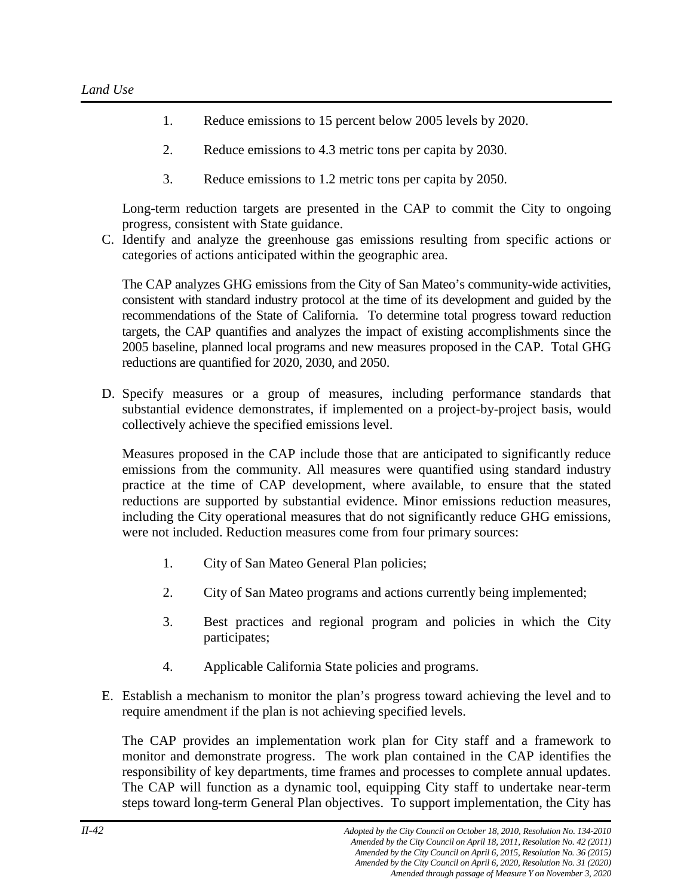- 1. Reduce emissions to 15 percent below 2005 levels by 2020.
- 2. Reduce emissions to 4.3 metric tons per capita by 2030.
- 3. Reduce emissions to 1.2 metric tons per capita by 2050.

Long-term reduction targets are presented in the CAP to commit the City to ongoing progress, consistent with State guidance.

C. Identify and analyze the greenhouse gas emissions resulting from specific actions or categories of actions anticipated within the geographic area.

The CAP analyzes GHG emissions from the City of San Mateo's community-wide activities, consistent with standard industry protocol at the time of its development and guided by the recommendations of the State of California. To determine total progress toward reduction targets, the CAP quantifies and analyzes the impact of existing accomplishments since the 2005 baseline, planned local programs and new measures proposed in the CAP. Total GHG reductions are quantified for 2020, 2030, and 2050.

D. Specify measures or a group of measures, including performance standards that substantial evidence demonstrates, if implemented on a project-by-project basis, would collectively achieve the specified emissions level.

Measures proposed in the CAP include those that are anticipated to significantly reduce emissions from the community. All measures were quantified using standard industry practice at the time of CAP development, where available, to ensure that the stated reductions are supported by substantial evidence. Minor emissions reduction measures, including the City operational measures that do not significantly reduce GHG emissions, were not included. Reduction measures come from four primary sources:

- 1. City of San Mateo General Plan policies;
- 2. City of San Mateo programs and actions currently being implemented;
- 3. Best practices and regional program and policies in which the City participates;
- 4. Applicable California State policies and programs.
- E. Establish a mechanism to monitor the plan's progress toward achieving the level and to require amendment if the plan is not achieving specified levels.

The CAP provides an implementation work plan for City staff and a framework to monitor and demonstrate progress. The work plan contained in the CAP identifies the responsibility of key departments, time frames and processes to complete annual updates. The CAP will function as a dynamic tool, equipping City staff to undertake near-term steps toward long-term General Plan objectives. To support implementation, the City has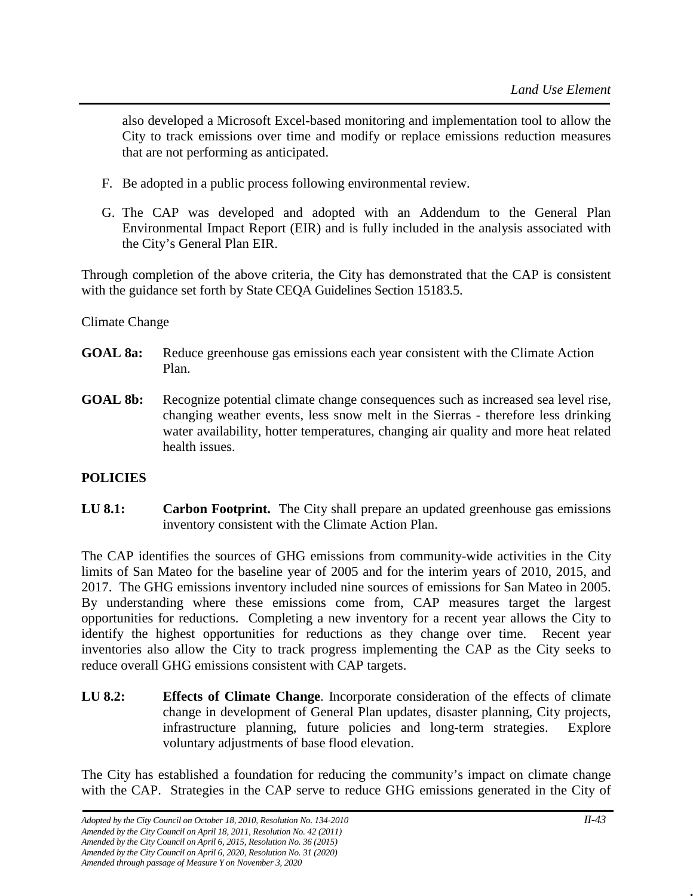also developed a Microsoft Excel-based monitoring and implementation tool to allow the City to track emissions over time and modify or replace emissions reduction measures that are not performing as anticipated.

- F. Be adopted in a public process following environmental review.
- G. The CAP was developed and adopted with an Addendum to the General Plan Environmental Impact Report (EIR) and is fully included in the analysis associated with the City's General Plan EIR.

Through completion of the above criteria, the City has demonstrated that the CAP is consistent with the guidance set forth by State CEQA Guidelines Section 15183.5.

#### Climate Change

- **GOAL 8a:** Reduce greenhouse gas emissions each year consistent with the Climate Action Plan.
- **GOAL 8b:** Recognize potential climate change consequences such as increased sea level rise, changing weather events, less snow melt in the Sierras - therefore less drinking water availability, hotter temperatures, changing air quality and more heat related health issues.

# **POLICIES**

**LU 8.1: Carbon Footprint.** The City shall prepare an updated greenhouse gas emissions inventory consistent with the Climate Action Plan.

The CAP identifies the sources of GHG emissions from community-wide activities in the City limits of San Mateo for the baseline year of 2005 and for the interim years of 2010, 2015, and 2017. The GHG emissions inventory included nine sources of emissions for San Mateo in 2005. By understanding where these emissions come from, CAP measures target the largest opportunities for reductions. Completing a new inventory for a recent year allows the City to identify the highest opportunities for reductions as they change over time. Recent year inventories also allow the City to track progress implementing the CAP as the City seeks to reduce overall GHG emissions consistent with CAP targets.

**LU 8.2: Effects of Climate Change**. Incorporate consideration of the effects of climate change in development of General Plan updates, disaster planning, City projects, infrastructure planning, future policies and long-term strategies. Explore voluntary adjustments of base flood elevation.

The City has established a foundation for reducing the community's impact on climate change with the CAP. Strategies in the CAP serve to reduce GHG emissions generated in the City of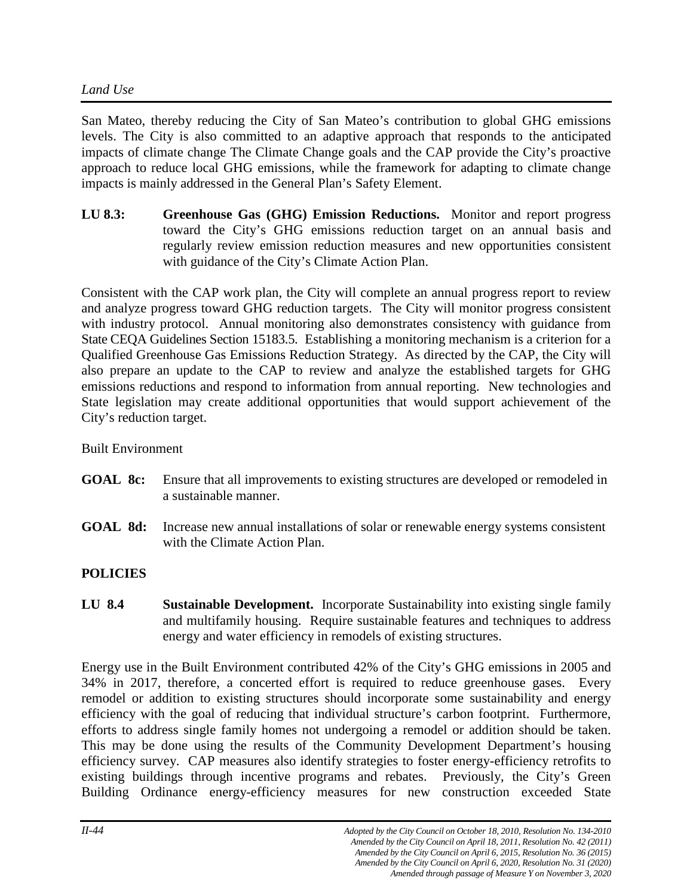# *Land Use*

San Mateo, thereby reducing the City of San Mateo's contribution to global GHG emissions levels. The City is also committed to an adaptive approach that responds to the anticipated impacts of climate change The Climate Change goals and the CAP provide the City's proactive approach to reduce local GHG emissions, while the framework for adapting to climate change impacts is mainly addressed in the General Plan's Safety Element.

**LU 8.3: Greenhouse Gas (GHG) Emission Reductions.** Monitor and report progress toward the City's GHG emissions reduction target on an annual basis and regularly review emission reduction measures and new opportunities consistent with guidance of the City's Climate Action Plan.

Consistent with the CAP work plan, the City will complete an annual progress report to review and analyze progress toward GHG reduction targets. The City will monitor progress consistent with industry protocol. Annual monitoring also demonstrates consistency with guidance from State CEQA Guidelines Section 15183.5. Establishing a monitoring mechanism is a criterion for a Qualified Greenhouse Gas Emissions Reduction Strategy. As directed by the CAP, the City will also prepare an update to the CAP to review and analyze the established targets for GHG emissions reductions and respond to information from annual reporting. New technologies and State legislation may create additional opportunities that would support achievement of the City's reduction target.

Built Environment

- **GOAL 8c:** Ensure that all improvements to existing structures are developed or remodeled in a sustainable manner.
- **GOAL 8d:** Increase new annual installations of solar or renewable energy systems consistent with the Climate Action Plan.

# **POLICIES**

**LU 8.4 Sustainable Development.** Incorporate Sustainability into existing single family and multifamily housing. Require sustainable features and techniques to address energy and water efficiency in remodels of existing structures.

Energy use in the Built Environment contributed 42% of the City's GHG emissions in 2005 and 34% in 2017, therefore, a concerted effort is required to reduce greenhouse gases. Every remodel or addition to existing structures should incorporate some sustainability and energy efficiency with the goal of reducing that individual structure's carbon footprint. Furthermore, efforts to address single family homes not undergoing a remodel or addition should be taken. This may be done using the results of the Community Development Department's housing efficiency survey. CAP measures also identify strategies to foster energy-efficiency retrofits to existing buildings through incentive programs and rebates. Previously, the City's Green Building Ordinance energy-efficiency measures for new construction exceeded State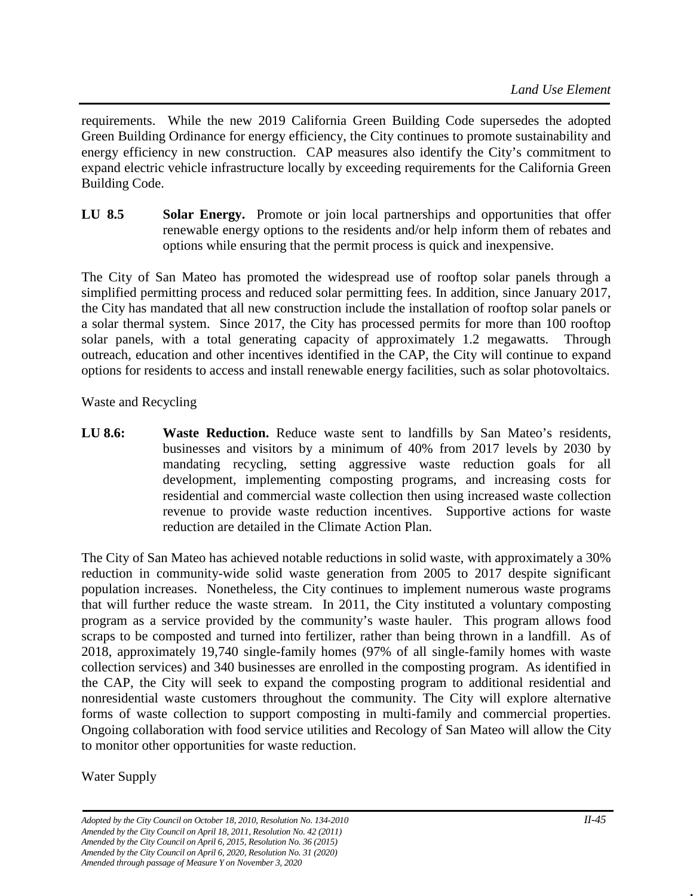requirements. While the new 2019 California Green Building Code supersedes the adopted Green Building Ordinance for energy efficiency, the City continues to promote sustainability and energy efficiency in new construction. CAP measures also identify the City's commitment to expand electric vehicle infrastructure locally by exceeding requirements for the California Green Building Code.

**LU 8.5 Solar Energy.** Promote or join local partnerships and opportunities that offer renewable energy options to the residents and/or help inform them of rebates and options while ensuring that the permit process is quick and inexpensive.

The City of San Mateo has promoted the widespread use of rooftop solar panels through a simplified permitting process and reduced solar permitting fees. In addition, since January 2017, the City has mandated that all new construction include the installation of rooftop solar panels or a solar thermal system. Since 2017, the City has processed permits for more than 100 rooftop solar panels, with a total generating capacity of approximately 1.2 megawatts. Through outreach, education and other incentives identified in the CAP, the City will continue to expand options for residents to access and install renewable energy facilities, such as solar photovoltaics.

# Waste and Recycling

**LU** 8.6: **Waste Reduction.** Reduce waste sent to landfills by San Mateo's residents, businesses and visitors by a minimum of 40% from 2017 levels by 2030 by mandating recycling, setting aggressive waste reduction goals for all development, implementing composting programs, and increasing costs for residential and commercial waste collection then using increased waste collection revenue to provide waste reduction incentives. Supportive actions for waste reduction are detailed in the Climate Action Plan.

The City of San Mateo has achieved notable reductions in solid waste, with approximately a 30% reduction in community-wide solid waste generation from 2005 to 2017 despite significant population increases. Nonetheless, the City continues to implement numerous waste programs that will further reduce the waste stream. In 2011, the City instituted a voluntary composting program as a service provided by the community's waste hauler. This program allows food scraps to be composted and turned into fertilizer, rather than being thrown in a landfill. As of 2018, approximately 19,740 single-family homes (97% of all single-family homes with waste collection services) and 340 businesses are enrolled in the composting program. As identified in the CAP, the City will seek to expand the composting program to additional residential and nonresidential waste customers throughout the community. The City will explore alternative forms of waste collection to support composting in multi-family and commercial properties. Ongoing collaboration with food service utilities and Recology of San Mateo will allow the City to monitor other opportunities for waste reduction.

Water Supply

*Adopted by the City Council on October 18, 2010, Resolution No. 134-2010 II-45 Amended by the City Council on April 18, 2011, Resolution No. 42 (2011) Amended by the City Council on April 6, 2015, Resolution No. 36 (2015) Amended by the City Council on April 6, 2020, Resolution No. 31 (2020) Amended through passage of Measure Y on November 3, 2020*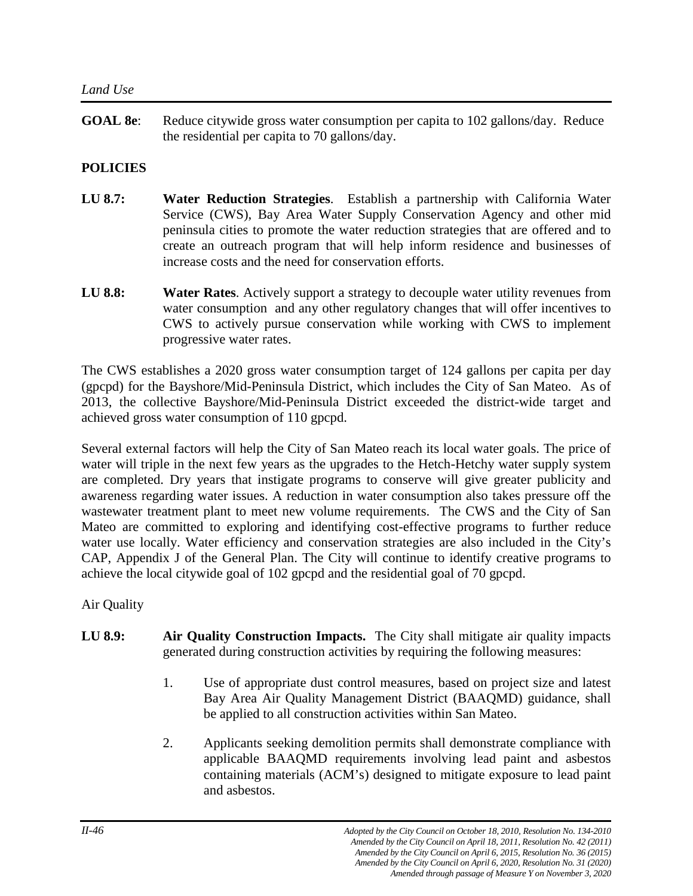**GOAL 8e**: Reduce citywide gross water consumption per capita to 102 gallons/day. Reduce the residential per capita to 70 gallons/day.

# **POLICIES**

- **LU 8.7: Water Reduction Strategies**. Establish a partnership with California Water Service (CWS), Bay Area Water Supply Conservation Agency and other mid peninsula cities to promote the water reduction strategies that are offered and to create an outreach program that will help inform residence and businesses of increase costs and the need for conservation efforts.
- **LU 8.8: Water Rates**. Actively support a strategy to decouple water utility revenues from water consumption and any other regulatory changes that will offer incentives to CWS to actively pursue conservation while working with CWS to implement progressive water rates.

The CWS establishes a 2020 gross water consumption target of 124 gallons per capita per day (gpcpd) for the Bayshore/Mid-Peninsula District, which includes the City of San Mateo. As of 2013, the collective Bayshore/Mid-Peninsula District exceeded the district-wide target and achieved gross water consumption of 110 gpcpd.

Several external factors will help the City of San Mateo reach its local water goals. The price of water will triple in the next few years as the upgrades to the Hetch-Hetchy water supply system are completed. Dry years that instigate programs to conserve will give greater publicity and awareness regarding water issues. A reduction in water consumption also takes pressure off the wastewater treatment plant to meet new volume requirements. The CWS and the City of San Mateo are committed to exploring and identifying cost-effective programs to further reduce water use locally. Water efficiency and conservation strategies are also included in the City's CAP, Appendix J of the General Plan. The City will continue to identify creative programs to achieve the local citywide goal of 102 gpcpd and the residential goal of 70 gpcpd.

Air Quality

- **LU 8.9:** Air Quality Construction Impacts. The City shall mitigate air quality impacts generated during construction activities by requiring the following measures:
	- 1. Use of appropriate dust control measures, based on project size and latest Bay Area Air Quality Management District (BAAQMD) guidance, shall be applied to all construction activities within San Mateo.
	- 2. Applicants seeking demolition permits shall demonstrate compliance with applicable BAAQMD requirements involving lead paint and asbestos containing materials (ACM's) designed to mitigate exposure to lead paint and asbestos.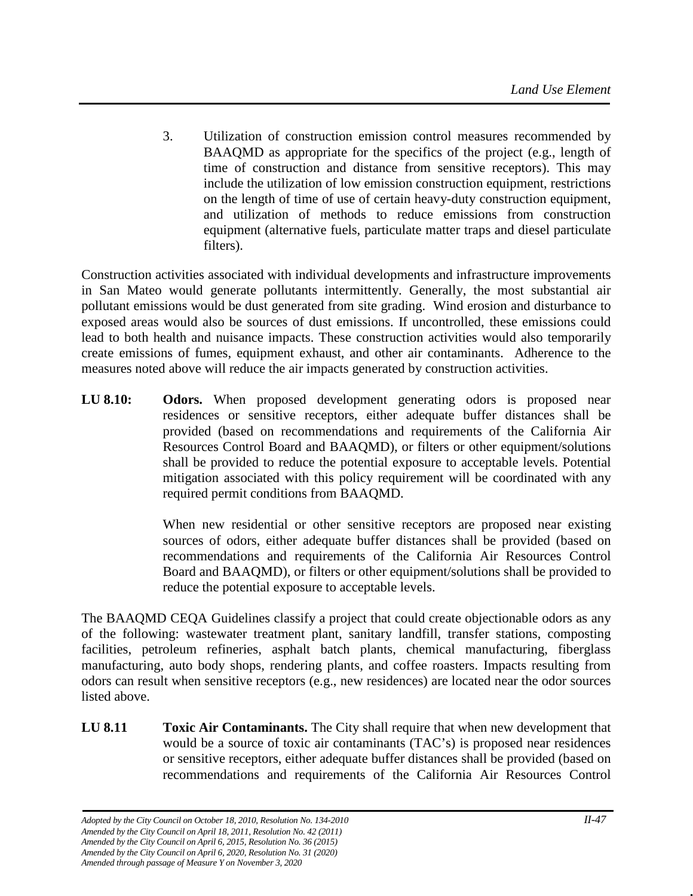3. Utilization of construction emission control measures recommended by BAAQMD as appropriate for the specifics of the project (e.g., length of time of construction and distance from sensitive receptors). This may include the utilization of low emission construction equipment, restrictions on the length of time of use of certain heavy-duty construction equipment, and utilization of methods to reduce emissions from construction equipment (alternative fuels, particulate matter traps and diesel particulate filters).

Construction activities associated with individual developments and infrastructure improvements in San Mateo would generate pollutants intermittently. Generally, the most substantial air pollutant emissions would be dust generated from site grading. Wind erosion and disturbance to exposed areas would also be sources of dust emissions. If uncontrolled, these emissions could lead to both health and nuisance impacts. These construction activities would also temporarily create emissions of fumes, equipment exhaust, and other air contaminants. Adherence to the measures noted above will reduce the air impacts generated by construction activities.

**LU 8.10: Odors.** When proposed development generating odors is proposed near residences or sensitive receptors, either adequate buffer distances shall be provided (based on recommendations and requirements of the California Air Resources Control Board and BAAQMD), or filters or other equipment/solutions shall be provided to reduce the potential exposure to acceptable levels. Potential mitigation associated with this policy requirement will be coordinated with any required permit conditions from BAAQMD.

> When new residential or other sensitive receptors are proposed near existing sources of odors, either adequate buffer distances shall be provided (based on recommendations and requirements of the California Air Resources Control Board and BAAQMD), or filters or other equipment/solutions shall be provided to reduce the potential exposure to acceptable levels.

The BAAQMD CEQA Guidelines classify a project that could create objectionable odors as any of the following: wastewater treatment plant, sanitary landfill, transfer stations, composting facilities, petroleum refineries, asphalt batch plants, chemical manufacturing, fiberglass manufacturing, auto body shops, rendering plants, and coffee roasters. Impacts resulting from odors can result when sensitive receptors (e.g., new residences) are located near the odor sources listed above.

**LU 8.11 Toxic Air Contaminants.** The City shall require that when new development that would be a source of toxic air contaminants (TAC's) is proposed near residences or sensitive receptors, either adequate buffer distances shall be provided (based on recommendations and requirements of the California Air Resources Control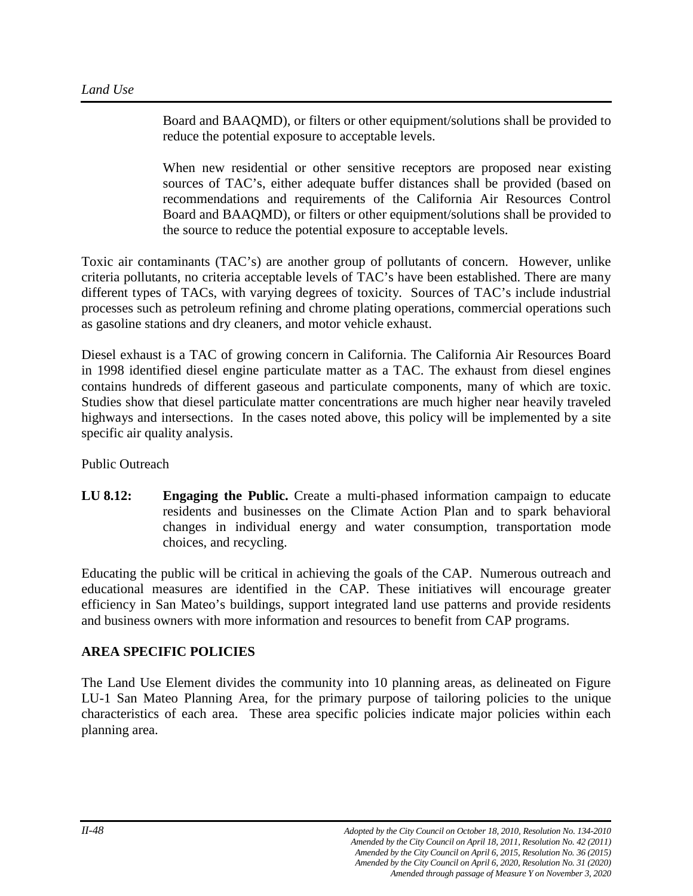Board and BAAQMD), or filters or other equipment/solutions shall be provided to reduce the potential exposure to acceptable levels.

When new residential or other sensitive receptors are proposed near existing sources of TAC's, either adequate buffer distances shall be provided (based on recommendations and requirements of the California Air Resources Control Board and BAAQMD), or filters or other equipment/solutions shall be provided to the source to reduce the potential exposure to acceptable levels.

Toxic air contaminants (TAC's) are another group of pollutants of concern. However, unlike criteria pollutants, no criteria acceptable levels of TAC's have been established. There are many different types of TACs, with varying degrees of toxicity. Sources of TAC's include industrial processes such as petroleum refining and chrome plating operations, commercial operations such as gasoline stations and dry cleaners, and motor vehicle exhaust.

Diesel exhaust is a TAC of growing concern in California. The California Air Resources Board in 1998 identified diesel engine particulate matter as a TAC. The exhaust from diesel engines contains hundreds of different gaseous and particulate components, many of which are toxic. Studies show that diesel particulate matter concentrations are much higher near heavily traveled highways and intersections. In the cases noted above, this policy will be implemented by a site specific air quality analysis.

Public Outreach

**LU 8.12: Engaging the Public.** Create a multi-phased information campaign to educate residents and businesses on the Climate Action Plan and to spark behavioral changes in individual energy and water consumption, transportation mode choices, and recycling.

Educating the public will be critical in achieving the goals of the CAP. Numerous outreach and educational measures are identified in the CAP. These initiatives will encourage greater efficiency in San Mateo's buildings, support integrated land use patterns and provide residents and business owners with more information and resources to benefit from CAP programs.

# **AREA SPECIFIC POLICIES**

The Land Use Element divides the community into 10 planning areas, as delineated on Figure LU-1 San Mateo Planning Area, for the primary purpose of tailoring policies to the unique characteristics of each area. These area specific policies indicate major policies within each planning area.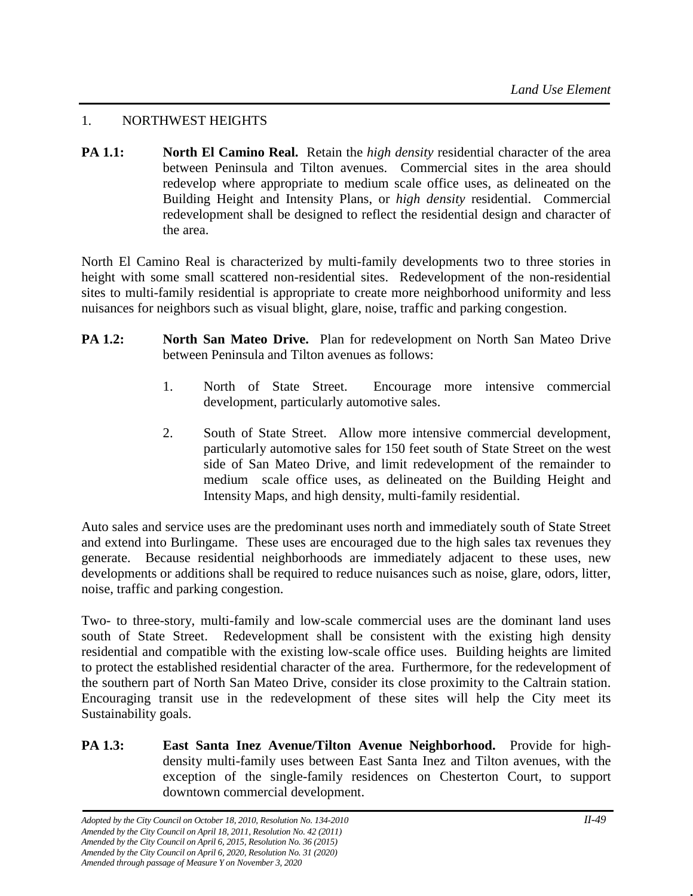# 1. NORTHWEST HEIGHTS

**PA 1.1: North El Camino Real.** Retain the *high density* residential character of the area between Peninsula and Tilton avenues. Commercial sites in the area should redevelop where appropriate to medium scale office uses, as delineated on the Building Height and Intensity Plans, or *high density* residential. Commercial redevelopment shall be designed to reflect the residential design and character of the area.

North El Camino Real is characterized by multi-family developments two to three stories in height with some small scattered non-residential sites. Redevelopment of the non-residential sites to multi-family residential is appropriate to create more neighborhood uniformity and less nuisances for neighbors such as visual blight, glare, noise, traffic and parking congestion.

- **PA 1.2:** North San Mateo Drive. Plan for redevelopment on North San Mateo Drive between Peninsula and Tilton avenues as follows:
	- 1. North of State Street. Encourage more intensive commercial development, particularly automotive sales.
	- 2. South of State Street. Allow more intensive commercial development, particularly automotive sales for 150 feet south of State Street on the west side of San Mateo Drive, and limit redevelopment of the remainder to medium scale office uses, as delineated on the Building Height and Intensity Maps, and high density, multi-family residential.

Auto sales and service uses are the predominant uses north and immediately south of State Street and extend into Burlingame. These uses are encouraged due to the high sales tax revenues they generate. Because residential neighborhoods are immediately adjacent to these uses, new developments or additions shall be required to reduce nuisances such as noise, glare, odors, litter, noise, traffic and parking congestion.

Two- to three-story, multi-family and low-scale commercial uses are the dominant land uses south of State Street. Redevelopment shall be consistent with the existing high density residential and compatible with the existing low-scale office uses. Building heights are limited to protect the established residential character of the area. Furthermore, for the redevelopment of the southern part of North San Mateo Drive, consider its close proximity to the Caltrain station. Encouraging transit use in the redevelopment of these sites will help the City meet its Sustainability goals.

**PA 1.3: East Santa Inez Avenue/Tilton Avenue Neighborhood.** Provide for highdensity multi-family uses between East Santa Inez and Tilton avenues, with the exception of the single-family residences on Chesterton Court, to support downtown commercial development.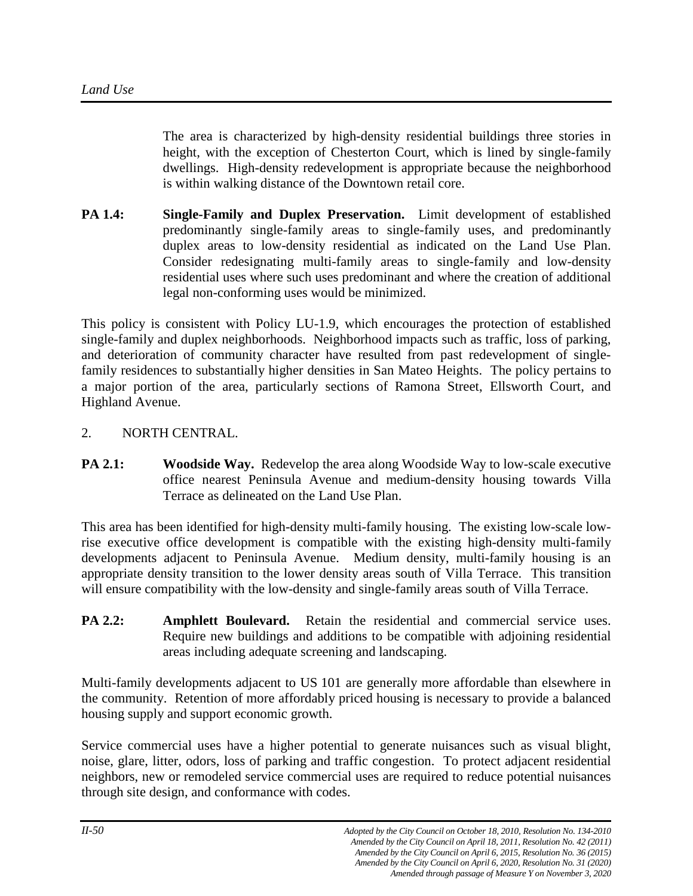The area is characterized by high-density residential buildings three stories in height, with the exception of Chesterton Court, which is lined by single-family dwellings. High-density redevelopment is appropriate because the neighborhood is within walking distance of the Downtown retail core.

**PA 1.4: Single-Family and Duplex Preservation.** Limit development of established predominantly single-family areas to single-family uses, and predominantly duplex areas to low-density residential as indicated on the Land Use Plan. Consider redesignating multi-family areas to single-family and low-density residential uses where such uses predominant and where the creation of additional legal non-conforming uses would be minimized.

This policy is consistent with Policy LU-1.9, which encourages the protection of established single-family and duplex neighborhoods. Neighborhood impacts such as traffic, loss of parking, and deterioration of community character have resulted from past redevelopment of singlefamily residences to substantially higher densities in San Mateo Heights. The policy pertains to a major portion of the area, particularly sections of Ramona Street, Ellsworth Court, and Highland Avenue.

#### 2. NORTH CENTRAL.

**PA 2.1: Woodside Way.** Redevelop the area along Woodside Way to low-scale executive office nearest Peninsula Avenue and medium-density housing towards Villa Terrace as delineated on the Land Use Plan.

This area has been identified for high-density multi-family housing. The existing low-scale lowrise executive office development is compatible with the existing high-density multi-family developments adjacent to Peninsula Avenue. Medium density, multi-family housing is an appropriate density transition to the lower density areas south of Villa Terrace. This transition will ensure compatibility with the low-density and single-family areas south of Villa Terrace.

**PA 2.2: Amphlett Boulevard.** Retain the residential and commercial service uses. Require new buildings and additions to be compatible with adjoining residential areas including adequate screening and landscaping.

Multi-family developments adjacent to US 101 are generally more affordable than elsewhere in the community. Retention of more affordably priced housing is necessary to provide a balanced housing supply and support economic growth.

Service commercial uses have a higher potential to generate nuisances such as visual blight, noise, glare, litter, odors, loss of parking and traffic congestion. To protect adjacent residential neighbors, new or remodeled service commercial uses are required to reduce potential nuisances through site design, and conformance with codes.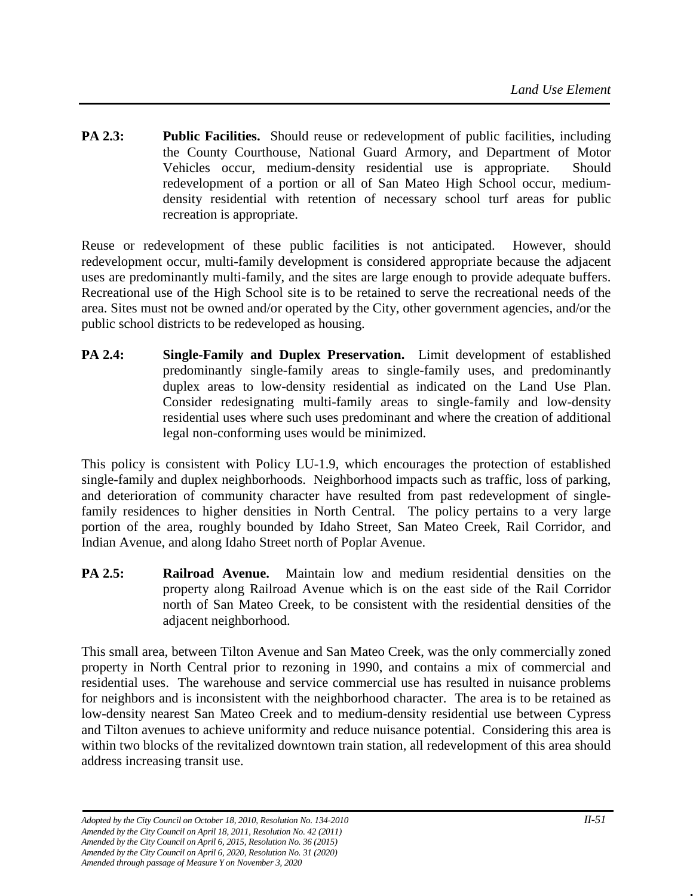**PA 2.3: Public Facilities.** Should reuse or redevelopment of public facilities, including the County Courthouse, National Guard Armory, and Department of Motor Vehicles occur, medium-density residential use is appropriate. Should redevelopment of a portion or all of San Mateo High School occur, mediumdensity residential with retention of necessary school turf areas for public recreation is appropriate.

Reuse or redevelopment of these public facilities is not anticipated. However, should redevelopment occur, multi-family development is considered appropriate because the adjacent uses are predominantly multi-family, and the sites are large enough to provide adequate buffers. Recreational use of the High School site is to be retained to serve the recreational needs of the area. Sites must not be owned and/or operated by the City, other government agencies, and/or the public school districts to be redeveloped as housing.

**PA 2.4: Single-Family and Duplex Preservation.** Limit development of established predominantly single-family areas to single-family uses, and predominantly duplex areas to low-density residential as indicated on the Land Use Plan. Consider redesignating multi-family areas to single-family and low-density residential uses where such uses predominant and where the creation of additional legal non-conforming uses would be minimized.

This policy is consistent with Policy LU-1.9, which encourages the protection of established single-family and duplex neighborhoods. Neighborhood impacts such as traffic, loss of parking, and deterioration of community character have resulted from past redevelopment of singlefamily residences to higher densities in North Central. The policy pertains to a very large portion of the area, roughly bounded by Idaho Street, San Mateo Creek, Rail Corridor, and Indian Avenue, and along Idaho Street north of Poplar Avenue.

**PA 2.5: Railroad Avenue.** Maintain low and medium residential densities on the property along Railroad Avenue which is on the east side of the Rail Corridor north of San Mateo Creek, to be consistent with the residential densities of the adjacent neighborhood.

This small area, between Tilton Avenue and San Mateo Creek, was the only commercially zoned property in North Central prior to rezoning in 1990, and contains a mix of commercial and residential uses. The warehouse and service commercial use has resulted in nuisance problems for neighbors and is inconsistent with the neighborhood character. The area is to be retained as low-density nearest San Mateo Creek and to medium-density residential use between Cypress and Tilton avenues to achieve uniformity and reduce nuisance potential. Considering this area is within two blocks of the revitalized downtown train station, all redevelopment of this area should address increasing transit use.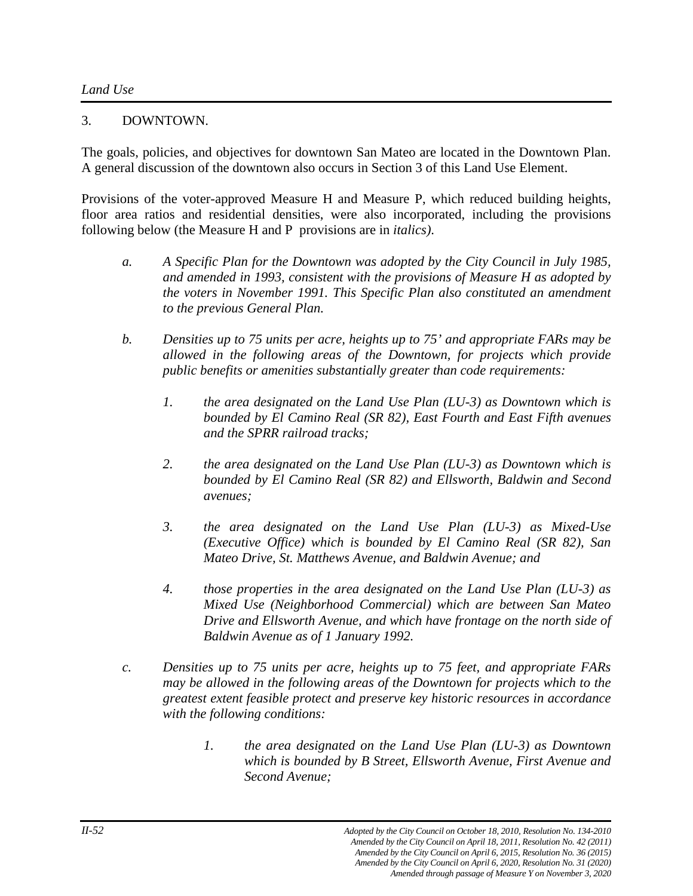#### 3. DOWNTOWN.

The goals, policies, and objectives for downtown San Mateo are located in the Downtown Plan. A general discussion of the downtown also occurs in Section 3 of this Land Use Element.

Provisions of the voter-approved Measure H and Measure P, which reduced building heights, floor area ratios and residential densities, were also incorporated, including the provisions following below (the Measure H and P provisions are in *italics)*.

- *a. A Specific Plan for the Downtown was adopted by the City Council in July 1985, and amended in 1993, consistent with the provisions of Measure H as adopted by the voters in November 1991. This Specific Plan also constituted an amendment to the previous General Plan.*
- *b. Densities up to 75 units per acre, heights up to 75' and appropriate FARs may be allowed in the following areas of the Downtown, for projects which provide public benefits or amenities substantially greater than code requirements:*
	- *1. the area designated on the Land Use Plan (LU-3) as Downtown which is bounded by El Camino Real (SR 82), East Fourth and East Fifth avenues and the SPRR railroad tracks;*
	- *2. the area designated on the Land Use Plan (LU-3) as Downtown which is bounded by El Camino Real (SR 82) and Ellsworth, Baldwin and Second avenues;*
	- *3. the area designated on the Land Use Plan (LU-3) as Mixed-Use (Executive Office) which is bounded by El Camino Real (SR 82), San Mateo Drive, St. Matthews Avenue, and Baldwin Avenue; and*
	- *4. those properties in the area designated on the Land Use Plan (LU-3) as Mixed Use (Neighborhood Commercial) which are between San Mateo Drive and Ellsworth Avenue, and which have frontage on the north side of Baldwin Avenue as of 1 January 1992.*
- *c. Densities up to 75 units per acre, heights up to 75 feet, and appropriate FARs may be allowed in the following areas of the Downtown for projects which to the greatest extent feasible protect and preserve key historic resources in accordance with the following conditions:*
	- *1. the area designated on the Land Use Plan (LU-3) as Downtown which is bounded by B Street, Ellsworth Avenue, First Avenue and Second Avenue;*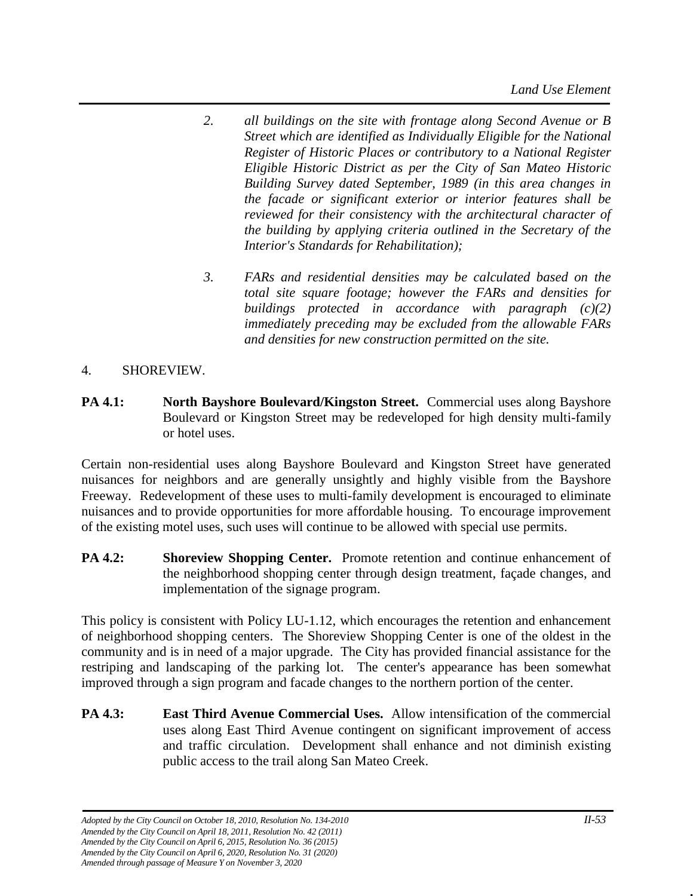- *2. all buildings on the site with frontage along Second Avenue or B Street which are identified as Individually Eligible for the National Register of Historic Places or contributory to a National Register Eligible Historic District as per the City of San Mateo Historic Building Survey dated September, 1989 (in this area changes in the facade or significant exterior or interior features shall be reviewed for their consistency with the architectural character of the building by applying criteria outlined in the Secretary of the Interior's Standards for Rehabilitation);*
- *3. FARs and residential densities may be calculated based on the total site square footage; however the FARs and densities for buildings protected in accordance with paragraph (c)(2) immediately preceding may be excluded from the allowable FARs and densities for new construction permitted on the site.*

# 4. SHOREVIEW.

**PA 4.1: North Bayshore Boulevard/Kingston Street.** Commercial uses along Bayshore Boulevard or Kingston Street may be redeveloped for high density multi-family or hotel uses.

Certain non-residential uses along Bayshore Boulevard and Kingston Street have generated nuisances for neighbors and are generally unsightly and highly visible from the Bayshore Freeway. Redevelopment of these uses to multi-family development is encouraged to eliminate nuisances and to provide opportunities for more affordable housing. To encourage improvement of the existing motel uses, such uses will continue to be allowed with special use permits.

**PA 4.2:** Shoreview Shopping Center. Promote retention and continue enhancement of the neighborhood shopping center through design treatment, façade changes, and implementation of the signage program.

This policy is consistent with Policy LU-1.12, which encourages the retention and enhancement of neighborhood shopping centers. The Shoreview Shopping Center is one of the oldest in the community and is in need of a major upgrade. The City has provided financial assistance for the restriping and landscaping of the parking lot. The center's appearance has been somewhat improved through a sign program and facade changes to the northern portion of the center.

**PA 4.3: East Third Avenue Commercial Uses.** Allow intensification of the commercial uses along East Third Avenue contingent on significant improvement of access and traffic circulation. Development shall enhance and not diminish existing public access to the trail along San Mateo Creek.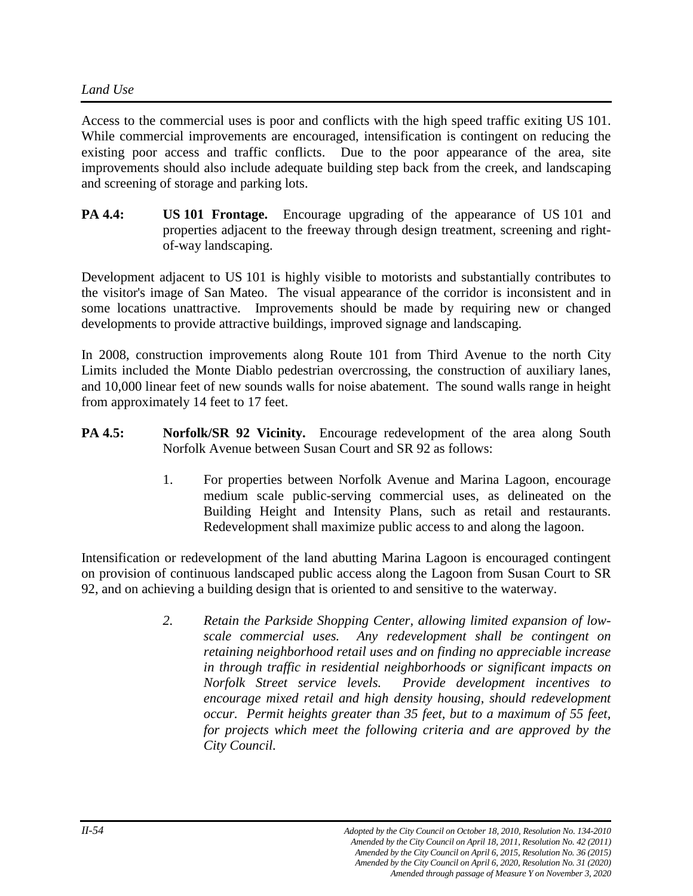#### *Land Use*

Access to the commercial uses is poor and conflicts with the high speed traffic exiting US 101. While commercial improvements are encouraged, intensification is contingent on reducing the existing poor access and traffic conflicts. Due to the poor appearance of the area, site improvements should also include adequate building step back from the creek, and landscaping and screening of storage and parking lots.

**PA 4.4: US 101 Frontage.** Encourage upgrading of the appearance of US 101 and properties adjacent to the freeway through design treatment, screening and rightof-way landscaping.

Development adjacent to US 101 is highly visible to motorists and substantially contributes to the visitor's image of San Mateo. The visual appearance of the corridor is inconsistent and in some locations unattractive. Improvements should be made by requiring new or changed developments to provide attractive buildings, improved signage and landscaping.

In 2008, construction improvements along Route 101 from Third Avenue to the north City Limits included the Monte Diablo pedestrian overcrossing, the construction of auxiliary lanes, and 10,000 linear feet of new sounds walls for noise abatement. The sound walls range in height from approximately 14 feet to 17 feet.

- **PA 4.5:** Norfolk/SR 92 Vicinity. Encourage redevelopment of the area along South Norfolk Avenue between Susan Court and SR 92 as follows:
	- 1. For properties between Norfolk Avenue and Marina Lagoon, encourage medium scale public-serving commercial uses, as delineated on the Building Height and Intensity Plans, such as retail and restaurants. Redevelopment shall maximize public access to and along the lagoon.

Intensification or redevelopment of the land abutting Marina Lagoon is encouraged contingent on provision of continuous landscaped public access along the Lagoon from Susan Court to SR 92, and on achieving a building design that is oriented to and sensitive to the waterway.

> *2. Retain the Parkside Shopping Center, allowing limited expansion of lowscale commercial uses. Any redevelopment shall be contingent on retaining neighborhood retail uses and on finding no appreciable increase in through traffic in residential neighborhoods or significant impacts on Norfolk Street service levels. Provide development incentives to encourage mixed retail and high density housing, should redevelopment occur. Permit heights greater than 35 feet, but to a maximum of 55 feet, for projects which meet the following criteria and are approved by the City Council.*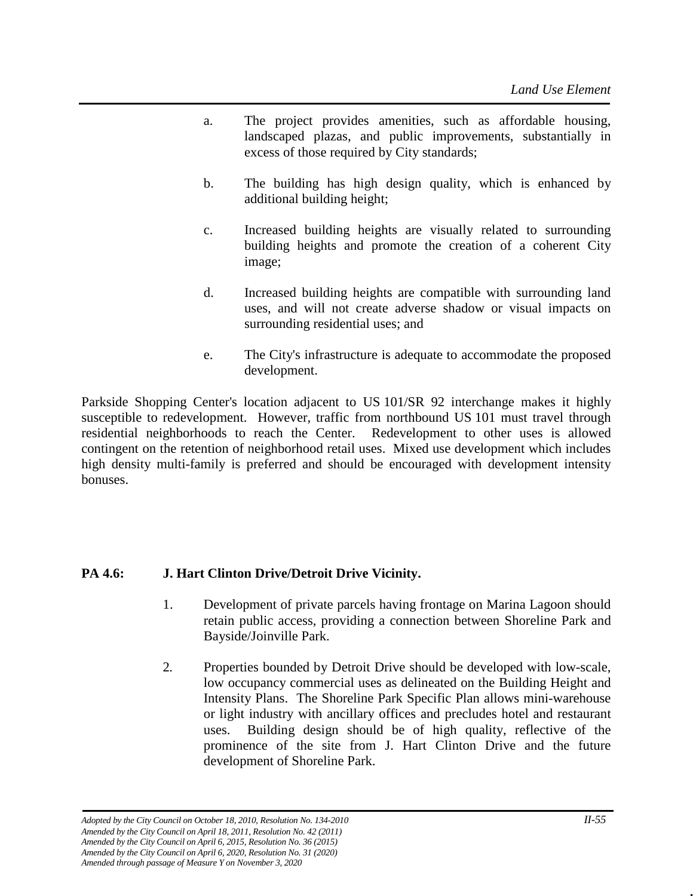- a. The project provides amenities, such as affordable housing, landscaped plazas, and public improvements, substantially in excess of those required by City standards;
- b. The building has high design quality, which is enhanced by additional building height;
- c. Increased building heights are visually related to surrounding building heights and promote the creation of a coherent City image;
- d. Increased building heights are compatible with surrounding land uses, and will not create adverse shadow or visual impacts on surrounding residential uses; and
- e. The City's infrastructure is adequate to accommodate the proposed development.

Parkside Shopping Center's location adjacent to US 101/SR 92 interchange makes it highly susceptible to redevelopment. However, traffic from northbound US 101 must travel through residential neighborhoods to reach the Center. Redevelopment to other uses is allowed contingent on the retention of neighborhood retail uses. Mixed use development which includes high density multi-family is preferred and should be encouraged with development intensity bonuses.

# **PA 4.6: J. Hart Clinton Drive/Detroit Drive Vicinity.**

- 1. Development of private parcels having frontage on Marina Lagoon should retain public access, providing a connection between Shoreline Park and Bayside/Joinville Park.
- 2. Properties bounded by Detroit Drive should be developed with low-scale, low occupancy commercial uses as delineated on the Building Height and Intensity Plans. The Shoreline Park Specific Plan allows mini-warehouse or light industry with ancillary offices and precludes hotel and restaurant uses. Building design should be of high quality, reflective of the prominence of the site from J. Hart Clinton Drive and the future development of Shoreline Park.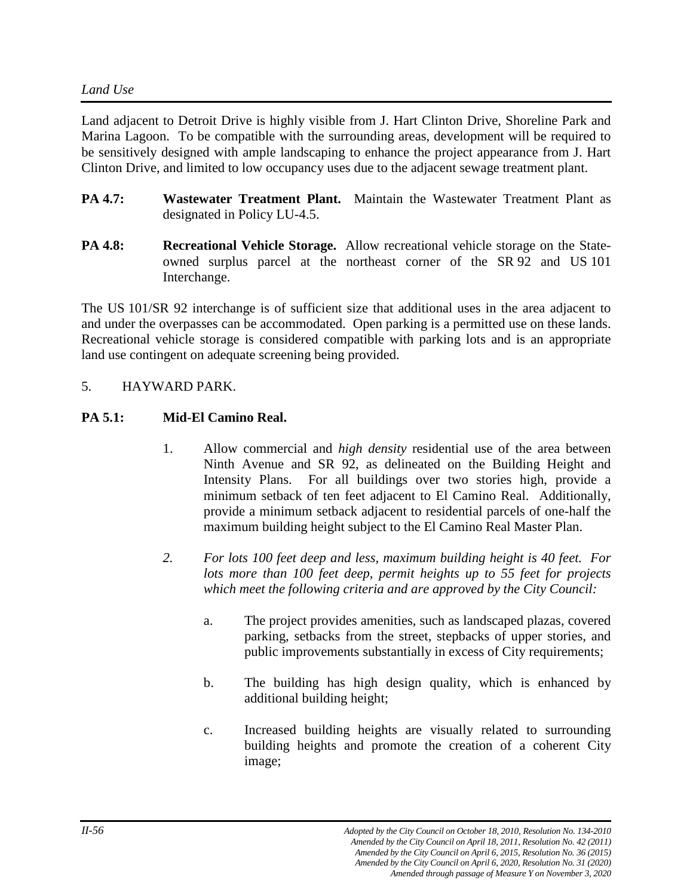Land adjacent to Detroit Drive is highly visible from J. Hart Clinton Drive, Shoreline Park and Marina Lagoon. To be compatible with the surrounding areas, development will be required to be sensitively designed with ample landscaping to enhance the project appearance from J. Hart Clinton Drive, and limited to low occupancy uses due to the adjacent sewage treatment plant.

- **PA 4.7: Wastewater Treatment Plant.** Maintain the Wastewater Treatment Plant as designated in Policy LU-4.5.
- **PA 4.8: Recreational Vehicle Storage.** Allow recreational vehicle storage on the Stateowned surplus parcel at the northeast corner of the SR 92 and US 101 Interchange.

The US 101/SR 92 interchange is of sufficient size that additional uses in the area adjacent to and under the overpasses can be accommodated. Open parking is a permitted use on these lands. Recreational vehicle storage is considered compatible with parking lots and is an appropriate land use contingent on adequate screening being provided.

# 5. HAYWARD PARK.

#### **PA 5.1: Mid-El Camino Real.**

- 1. Allow commercial and *high density* residential use of the area between Ninth Avenue and SR 92, as delineated on the Building Height and Intensity Plans. For all buildings over two stories high, provide a minimum setback of ten feet adjacent to El Camino Real. Additionally, provide a minimum setback adjacent to residential parcels of one-half the maximum building height subject to the El Camino Real Master Plan.
- *2. For lots 100 feet deep and less, maximum building height is 40 feet. For lots more than 100 feet deep, permit heights up to 55 feet for projects which meet the following criteria and are approved by the City Council:*
	- a. The project provides amenities, such as landscaped plazas, covered parking, setbacks from the street, stepbacks of upper stories, and public improvements substantially in excess of City requirements;
	- b. The building has high design quality, which is enhanced by additional building height;
	- c. Increased building heights are visually related to surrounding building heights and promote the creation of a coherent City image;

*Amended through passage of Measure Y on November 3, 2020*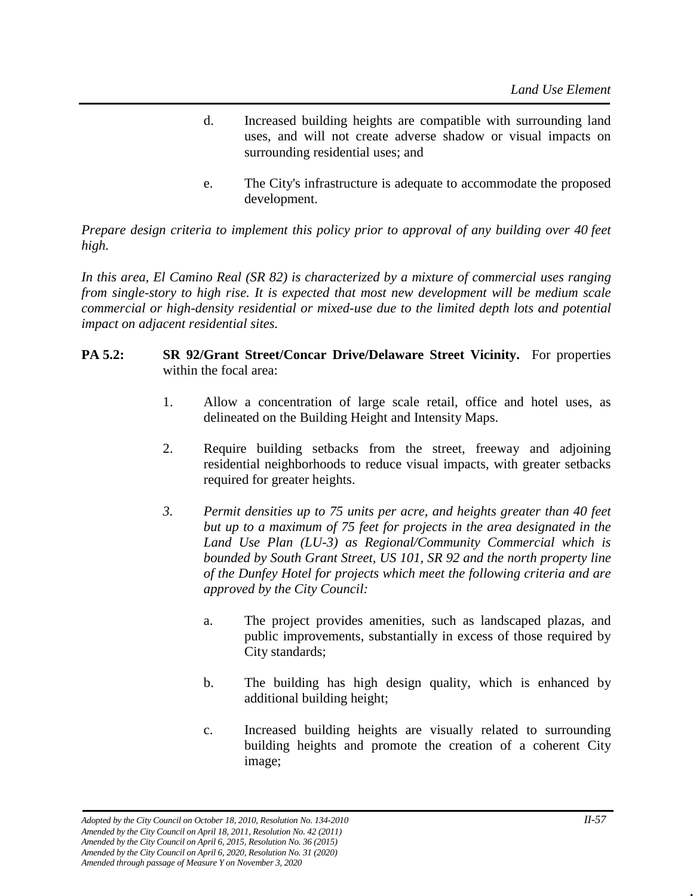- d. Increased building heights are compatible with surrounding land uses, and will not create adverse shadow or visual impacts on surrounding residential uses; and
- e. The City's infrastructure is adequate to accommodate the proposed development.

*Prepare design criteria to implement this policy prior to approval of any building over 40 feet high.*

*In this area, El Camino Real (SR 82) is characterized by a mixture of commercial uses ranging from single-story to high rise. It is expected that most new development will be medium scale commercial or high-density residential or mixed-use due to the limited depth lots and potential impact on adjacent residential sites.* 

#### **PA 5.2: SR 92/Grant Street/Concar Drive/Delaware Street Vicinity.** For properties within the focal area:

- 1. Allow a concentration of large scale retail, office and hotel uses, as delineated on the Building Height and Intensity Maps.
- 2. Require building setbacks from the street, freeway and adjoining residential neighborhoods to reduce visual impacts, with greater setbacks required for greater heights.
- *3. Permit densities up to 75 units per acre, and heights greater than 40 feet but up to a maximum of 75 feet for projects in the area designated in the Land Use Plan (LU-3) as Regional/Community Commercial which is bounded by South Grant Street, US 101, SR 92 and the north property line of the Dunfey Hotel for projects which meet the following criteria and are approved by the City Council:* 
	- a. The project provides amenities, such as landscaped plazas, and public improvements, substantially in excess of those required by City standards;
	- b. The building has high design quality, which is enhanced by additional building height;
	- c. Increased building heights are visually related to surrounding building heights and promote the creation of a coherent City image;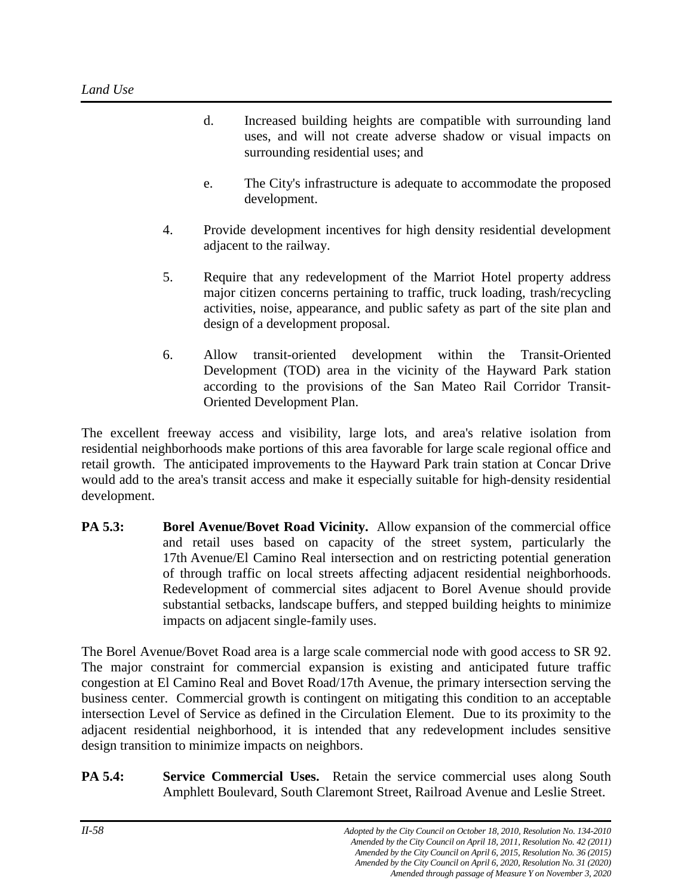- d. Increased building heights are compatible with surrounding land uses, and will not create adverse shadow or visual impacts on surrounding residential uses; and
- e. The City's infrastructure is adequate to accommodate the proposed development.
- 4. Provide development incentives for high density residential development adjacent to the railway.
- 5. Require that any redevelopment of the Marriot Hotel property address major citizen concerns pertaining to traffic, truck loading, trash/recycling activities, noise, appearance, and public safety as part of the site plan and design of a development proposal.
- 6. Allow transit-oriented development within the Transit-Oriented Development (TOD) area in the vicinity of the Hayward Park station according to the provisions of the San Mateo Rail Corridor Transit-Oriented Development Plan.

The excellent freeway access and visibility, large lots, and area's relative isolation from residential neighborhoods make portions of this area favorable for large scale regional office and retail growth. The anticipated improvements to the Hayward Park train station at Concar Drive would add to the area's transit access and make it especially suitable for high-density residential development.

**PA 5.3: Borel Avenue/Bovet Road Vicinity.** Allow expansion of the commercial office and retail uses based on capacity of the street system, particularly the 17th Avenue/El Camino Real intersection and on restricting potential generation of through traffic on local streets affecting adjacent residential neighborhoods. Redevelopment of commercial sites adjacent to Borel Avenue should provide substantial setbacks, landscape buffers, and stepped building heights to minimize impacts on adjacent single-family uses.

The Borel Avenue/Bovet Road area is a large scale commercial node with good access to SR 92. The major constraint for commercial expansion is existing and anticipated future traffic congestion at El Camino Real and Bovet Road/17th Avenue, the primary intersection serving the business center. Commercial growth is contingent on mitigating this condition to an acceptable intersection Level of Service as defined in the Circulation Element. Due to its proximity to the adjacent residential neighborhood, it is intended that any redevelopment includes sensitive design transition to minimize impacts on neighbors.

**PA 5.4: Service Commercial Uses.** Retain the service commercial uses along South Amphlett Boulevard, South Claremont Street, Railroad Avenue and Leslie Street.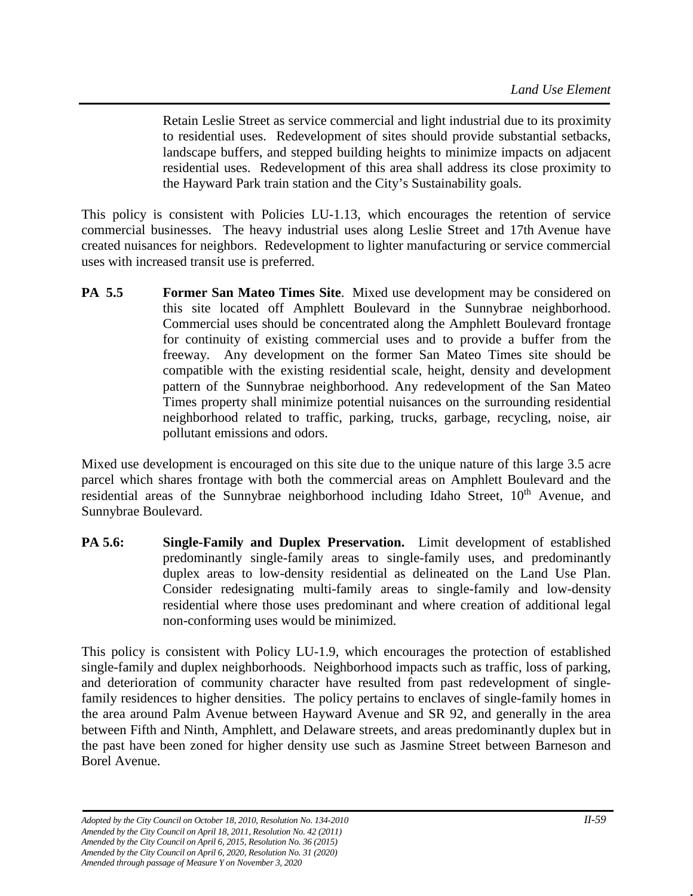Retain Leslie Street as service commercial and light industrial due to its proximity to residential uses. Redevelopment of sites should provide substantial setbacks, landscape buffers, and stepped building heights to minimize impacts on adjacent residential uses. Redevelopment of this area shall address its close proximity to the Hayward Park train station and the City's Sustainability goals.

This policy is consistent with Policies LU-1.13, which encourages the retention of service commercial businesses. The heavy industrial uses along Leslie Street and 17th Avenue have created nuisances for neighbors. Redevelopment to lighter manufacturing or service commercial uses with increased transit use is preferred.

**PA 5.5 Former San Mateo Times Site**. Mixed use development may be considered on this site located off Amphlett Boulevard in the Sunnybrae neighborhood. Commercial uses should be concentrated along the Amphlett Boulevard frontage for continuity of existing commercial uses and to provide a buffer from the freeway. Any development on the former San Mateo Times site should be compatible with the existing residential scale, height, density and development pattern of the Sunnybrae neighborhood. Any redevelopment of the San Mateo Times property shall minimize potential nuisances on the surrounding residential neighborhood related to traffic, parking, trucks, garbage, recycling, noise, air pollutant emissions and odors.

Mixed use development is encouraged on this site due to the unique nature of this large 3.5 acre parcel which shares frontage with both the commercial areas on Amphlett Boulevard and the residential areas of the Sunnybrae neighborhood including Idaho Street,  $10<sup>th</sup>$  Avenue, and Sunnybrae Boulevard.

**PA 5.6: Single-Family and Duplex Preservation.** Limit development of established predominantly single-family areas to single-family uses, and predominantly duplex areas to low-density residential as delineated on the Land Use Plan. Consider redesignating multi-family areas to single-family and low-density residential where those uses predominant and where creation of additional legal non-conforming uses would be minimized.

This policy is consistent with Policy LU-1.9, which encourages the protection of established single-family and duplex neighborhoods. Neighborhood impacts such as traffic, loss of parking, and deterioration of community character have resulted from past redevelopment of singlefamily residences to higher densities. The policy pertains to enclaves of single-family homes in the area around Palm Avenue between Hayward Avenue and SR 92, and generally in the area between Fifth and Ninth, Amphlett, and Delaware streets, and areas predominantly duplex but in the past have been zoned for higher density use such as Jasmine Street between Barneson and Borel Avenue.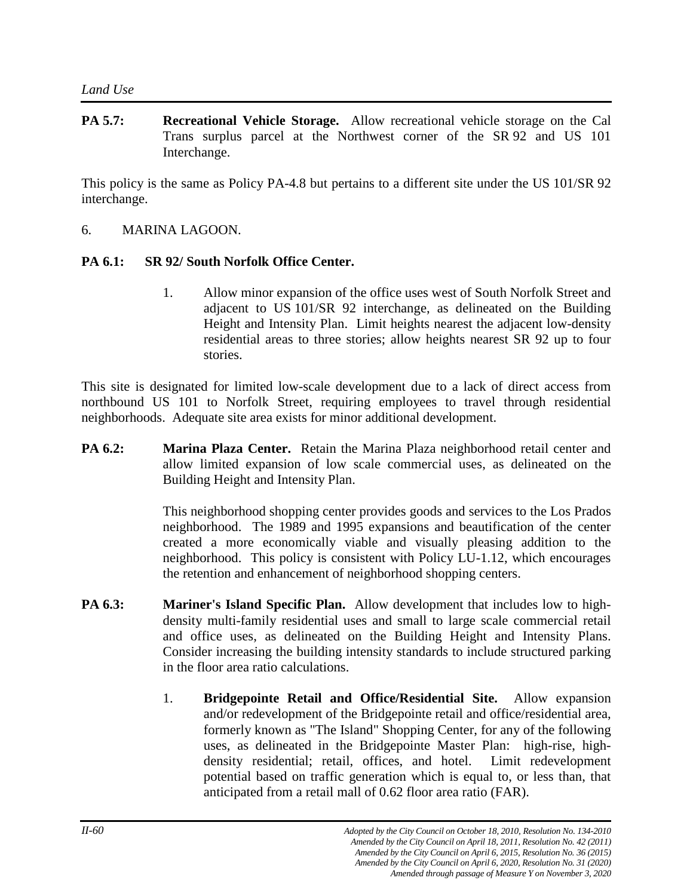**PA 5.7: Recreational Vehicle Storage.** Allow recreational vehicle storage on the Cal Trans surplus parcel at the Northwest corner of the SR 92 and US 101 Interchange.

This policy is the same as Policy PA-4.8 but pertains to a different site under the US 101/SR 92 interchange.

6. MARINA LAGOON.

#### **PA 6.1: SR 92/ South Norfolk Office Center.**

1. Allow minor expansion of the office uses west of South Norfolk Street and adjacent to US 101/SR 92 interchange, as delineated on the Building Height and Intensity Plan. Limit heights nearest the adjacent low-density residential areas to three stories; allow heights nearest SR 92 up to four stories.

This site is designated for limited low-scale development due to a lack of direct access from northbound US 101 to Norfolk Street, requiring employees to travel through residential neighborhoods. Adequate site area exists for minor additional development.

**PA 6.2: Marina Plaza Center.** Retain the Marina Plaza neighborhood retail center and allow limited expansion of low scale commercial uses, as delineated on the Building Height and Intensity Plan.

> This neighborhood shopping center provides goods and services to the Los Prados neighborhood. The 1989 and 1995 expansions and beautification of the center created a more economically viable and visually pleasing addition to the neighborhood. This policy is consistent with Policy LU-1.12, which encourages the retention and enhancement of neighborhood shopping centers.

- **PA 6.3: Mariner's Island Specific Plan.** Allow development that includes low to highdensity multi-family residential uses and small to large scale commercial retail and office uses, as delineated on the Building Height and Intensity Plans. Consider increasing the building intensity standards to include structured parking in the floor area ratio calculations.
	- 1. **Bridgepointe Retail and Office/Residential Site.** Allow expansion and/or redevelopment of the Bridgepointe retail and office/residential area, formerly known as "The Island" Shopping Center, for any of the following uses, as delineated in the Bridgepointe Master Plan: high-rise, highdensity residential; retail, offices, and hotel. Limit redevelopment potential based on traffic generation which is equal to, or less than, that anticipated from a retail mall of 0.62 floor area ratio (FAR).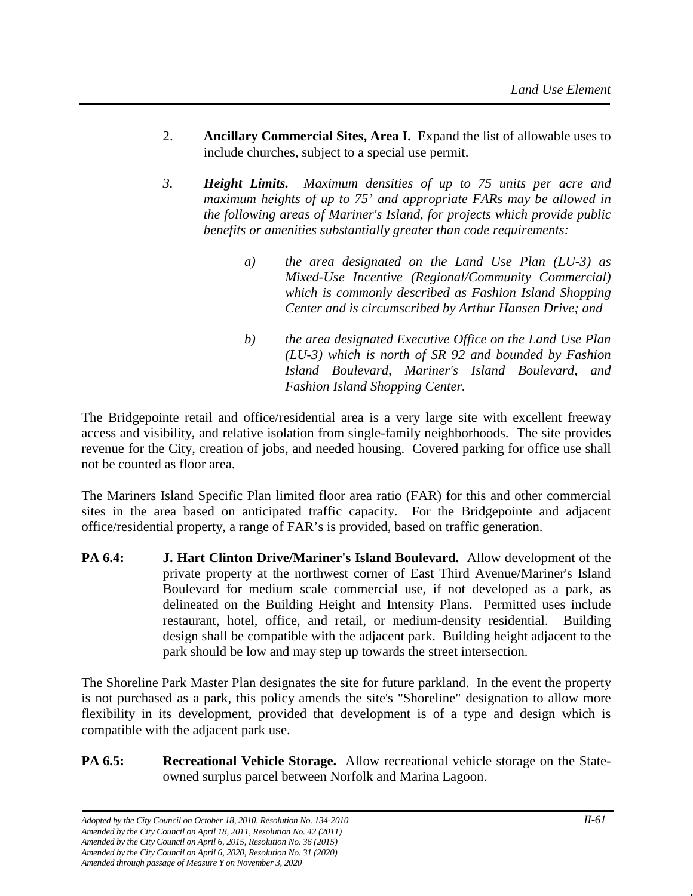- 2. **Ancillary Commercial Sites, Area I.** Expand the list of allowable uses to include churches, subject to a special use permit.
- *3. Height Limits. Maximum densities of up to 75 units per acre and maximum heights of up to 75' and appropriate FARs may be allowed in the following areas of Mariner's Island, for projects which provide public benefits or amenities substantially greater than code requirements:*
	- *a) the area designated on the Land Use Plan (LU-3) as Mixed-Use Incentive (Regional/Community Commercial) which is commonly described as Fashion Island Shopping Center and is circumscribed by Arthur Hansen Drive; and*
	- *b) the area designated Executive Office on the Land Use Plan (LU-3) which is north of SR 92 and bounded by Fashion Island Boulevard, Mariner's Island Boulevard, and Fashion Island Shopping Center.*

The Bridgepointe retail and office/residential area is a very large site with excellent freeway access and visibility, and relative isolation from single-family neighborhoods. The site provides revenue for the City, creation of jobs, and needed housing. Covered parking for office use shall not be counted as floor area.

The Mariners Island Specific Plan limited floor area ratio (FAR) for this and other commercial sites in the area based on anticipated traffic capacity. For the Bridgepointe and adjacent office/residential property, a range of FAR's is provided, based on traffic generation.

**PA 6.4: J. Hart Clinton Drive/Mariner's Island Boulevard.** Allow development of the private property at the northwest corner of East Third Avenue/Mariner's Island Boulevard for medium scale commercial use, if not developed as a park, as delineated on the Building Height and Intensity Plans. Permitted uses include restaurant, hotel, office, and retail, or medium-density residential. Building design shall be compatible with the adjacent park. Building height adjacent to the park should be low and may step up towards the street intersection.

The Shoreline Park Master Plan designates the site for future parkland. In the event the property is not purchased as a park, this policy amends the site's "Shoreline" designation to allow more flexibility in its development, provided that development is of a type and design which is compatible with the adjacent park use.

**PA 6.5: Recreational Vehicle Storage.** Allow recreational vehicle storage on the Stateowned surplus parcel between Norfolk and Marina Lagoon.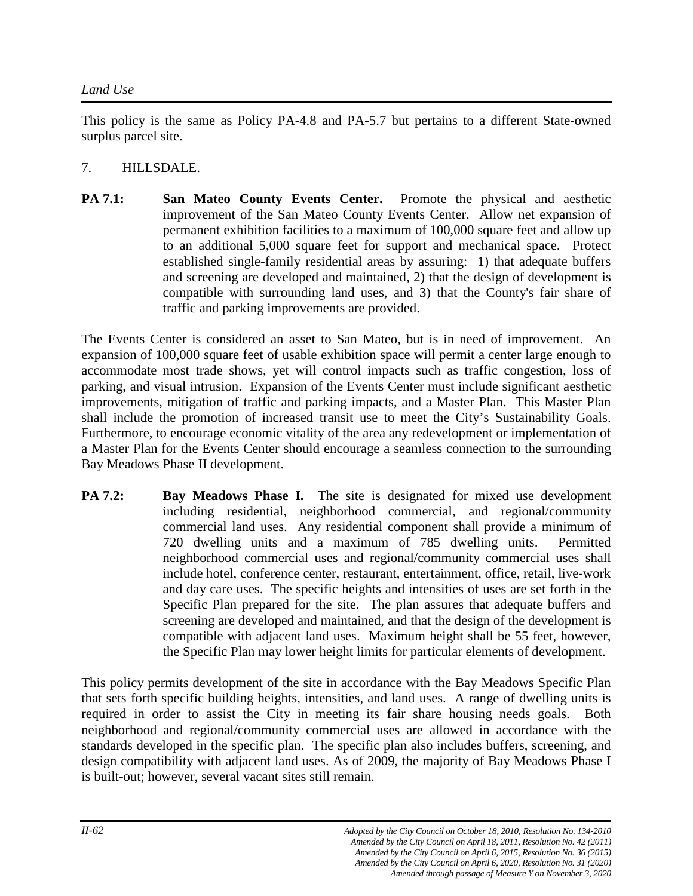This policy is the same as Policy PA-4.8 and PA-5.7 but pertains to a different State-owned surplus parcel site.

# 7. HILLSDALE.

**PA 7.1: San Mateo County Events Center.** Promote the physical and aesthetic improvement of the San Mateo County Events Center. Allow net expansion of permanent exhibition facilities to a maximum of 100,000 square feet and allow up to an additional 5,000 square feet for support and mechanical space. Protect established single-family residential areas by assuring: 1) that adequate buffers and screening are developed and maintained, 2) that the design of development is compatible with surrounding land uses, and 3) that the County's fair share of traffic and parking improvements are provided.

The Events Center is considered an asset to San Mateo, but is in need of improvement. An expansion of 100,000 square feet of usable exhibition space will permit a center large enough to accommodate most trade shows, yet will control impacts such as traffic congestion, loss of parking, and visual intrusion. Expansion of the Events Center must include significant aesthetic improvements, mitigation of traffic and parking impacts, and a Master Plan. This Master Plan shall include the promotion of increased transit use to meet the City's Sustainability Goals. Furthermore, to encourage economic vitality of the area any redevelopment or implementation of a Master Plan for the Events Center should encourage a seamless connection to the surrounding Bay Meadows Phase II development.

**PA 7.2: Bay Meadows Phase I.** The site is designated for mixed use development including residential, neighborhood commercial, and regional/community commercial land uses. Any residential component shall provide a minimum of 720 dwelling units and a maximum of 785 dwelling units. Permitted neighborhood commercial uses and regional/community commercial uses shall include hotel, conference center, restaurant, entertainment, office, retail, live-work and day care uses. The specific heights and intensities of uses are set forth in the Specific Plan prepared for the site. The plan assures that adequate buffers and screening are developed and maintained, and that the design of the development is compatible with adjacent land uses. Maximum height shall be 55 feet, however, the Specific Plan may lower height limits for particular elements of development.

This policy permits development of the site in accordance with the Bay Meadows Specific Plan that sets forth specific building heights, intensities, and land uses. A range of dwelling units is required in order to assist the City in meeting its fair share housing needs goals. Both neighborhood and regional/community commercial uses are allowed in accordance with the standards developed in the specific plan. The specific plan also includes buffers, screening, and design compatibility with adjacent land uses. As of 2009, the majority of Bay Meadows Phase I is built-out; however, several vacant sites still remain.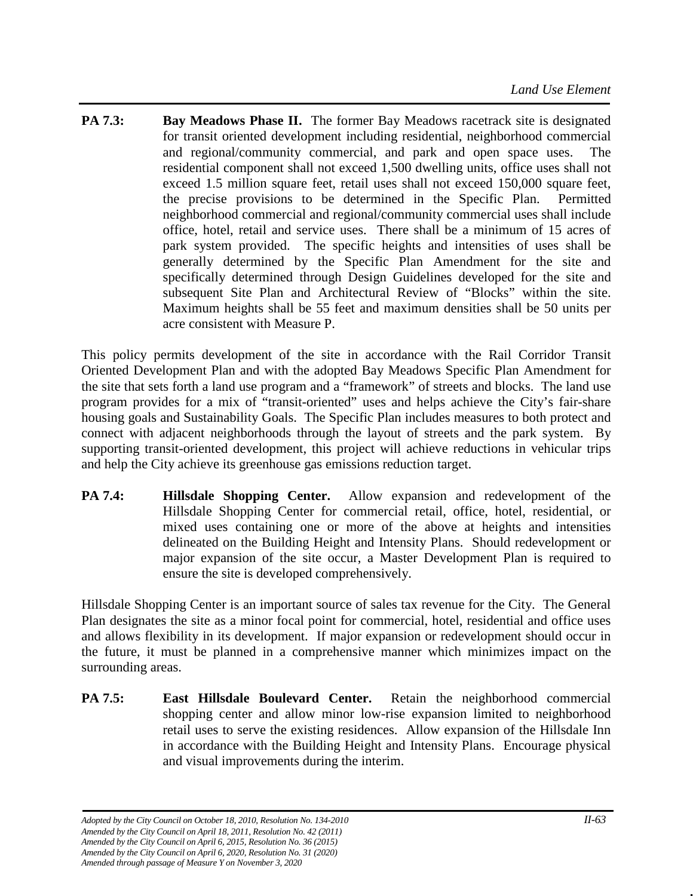**PA 7.3: Bay Meadows Phase II.** The former Bay Meadows racetrack site is designated for transit oriented development including residential, neighborhood commercial and regional/community commercial, and park and open space uses. The residential component shall not exceed 1,500 dwelling units, office uses shall not exceed 1.5 million square feet, retail uses shall not exceed 150,000 square feet, the precise provisions to be determined in the Specific Plan. Permitted neighborhood commercial and regional/community commercial uses shall include office, hotel, retail and service uses. There shall be a minimum of 15 acres of park system provided. The specific heights and intensities of uses shall be generally determined by the Specific Plan Amendment for the site and specifically determined through Design Guidelines developed for the site and subsequent Site Plan and Architectural Review of "Blocks" within the site. Maximum heights shall be 55 feet and maximum densities shall be 50 units per acre consistent with Measure P.

This policy permits development of the site in accordance with the Rail Corridor Transit Oriented Development Plan and with the adopted Bay Meadows Specific Plan Amendment for the site that sets forth a land use program and a "framework" of streets and blocks. The land use program provides for a mix of "transit-oriented" uses and helps achieve the City's fair-share housing goals and Sustainability Goals. The Specific Plan includes measures to both protect and connect with adjacent neighborhoods through the layout of streets and the park system. By supporting transit-oriented development, this project will achieve reductions in vehicular trips and help the City achieve its greenhouse gas emissions reduction target.

**PA 7.4: Hillsdale Shopping Center.** Allow expansion and redevelopment of the Hillsdale Shopping Center for commercial retail, office, hotel, residential, or mixed uses containing one or more of the above at heights and intensities delineated on the Building Height and Intensity Plans. Should redevelopment or major expansion of the site occur, a Master Development Plan is required to ensure the site is developed comprehensively.

Hillsdale Shopping Center is an important source of sales tax revenue for the City. The General Plan designates the site as a minor focal point for commercial, hotel, residential and office uses and allows flexibility in its development. If major expansion or redevelopment should occur in the future, it must be planned in a comprehensive manner which minimizes impact on the surrounding areas.

**PA 7.5: East Hillsdale Boulevard Center.** Retain the neighborhood commercial shopping center and allow minor low-rise expansion limited to neighborhood retail uses to serve the existing residences. Allow expansion of the Hillsdale Inn in accordance with the Building Height and Intensity Plans. Encourage physical and visual improvements during the interim.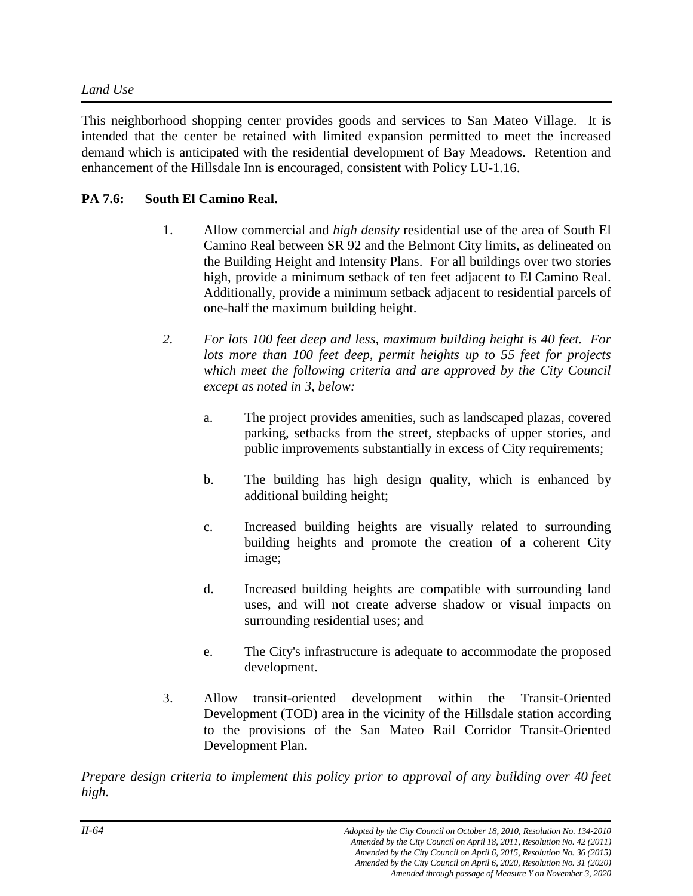This neighborhood shopping center provides goods and services to San Mateo Village. It is intended that the center be retained with limited expansion permitted to meet the increased demand which is anticipated with the residential development of Bay Meadows. Retention and enhancement of the Hillsdale Inn is encouraged, consistent with Policy LU-1.16.

# **PA 7.6: South El Camino Real.**

- 1. Allow commercial and *high density* residential use of the area of South El Camino Real between SR 92 and the Belmont City limits, as delineated on the Building Height and Intensity Plans. For all buildings over two stories high, provide a minimum setback of ten feet adjacent to El Camino Real. Additionally, provide a minimum setback adjacent to residential parcels of one-half the maximum building height.
- *2. For lots 100 feet deep and less, maximum building height is 40 feet. For lots more than 100 feet deep, permit heights up to 55 feet for projects which meet the following criteria and are approved by the City Council except as noted in 3, below:*
	- a. The project provides amenities, such as landscaped plazas, covered parking, setbacks from the street, stepbacks of upper stories, and public improvements substantially in excess of City requirements;
	- b. The building has high design quality, which is enhanced by additional building height;
	- c. Increased building heights are visually related to surrounding building heights and promote the creation of a coherent City image;
	- d. Increased building heights are compatible with surrounding land uses, and will not create adverse shadow or visual impacts on surrounding residential uses; and
	- e. The City's infrastructure is adequate to accommodate the proposed development.
- 3. Allow transit-oriented development within the Transit-Oriented Development (TOD) area in the vicinity of the Hillsdale station according to the provisions of the San Mateo Rail Corridor Transit-Oriented Development Plan.

*Prepare design criteria to implement this policy prior to approval of any building over 40 feet high.*

*Amended by the City Council on April 6, 2020, Resolution No. 31 (2020)*

*Amended by the City Council on April 6, 2015, Resolution No. 36 (2015)*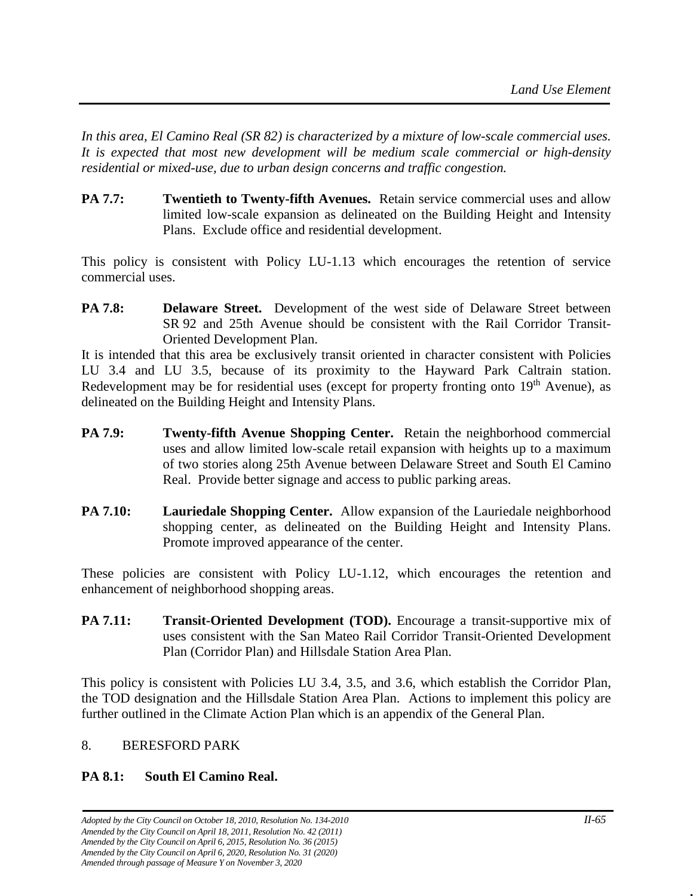*In this area, El Camino Real (SR 82) is characterized by a mixture of low-scale commercial uses. It is expected that most new development will be medium scale commercial or high-density residential or mixed-use, due to urban design concerns and traffic congestion.*

**PA 7.7: Twentieth to Twenty-fifth Avenues.** Retain service commercial uses and allow limited low-scale expansion as delineated on the Building Height and Intensity Plans. Exclude office and residential development.

This policy is consistent with Policy LU-1.13 which encourages the retention of service commercial uses.

**PA 7.8: Delaware Street.** Development of the west side of Delaware Street between SR 92 and 25th Avenue should be consistent with the Rail Corridor Transit-Oriented Development Plan.

It is intended that this area be exclusively transit oriented in character consistent with Policies LU 3.4 and LU 3.5, because of its proximity to the Hayward Park Caltrain station. Redevelopment may be for residential uses (except for property fronting onto  $19<sup>th</sup>$  Avenue), as delineated on the Building Height and Intensity Plans.

- **PA 7.9: Twenty-fifth Avenue Shopping Center.** Retain the neighborhood commercial uses and allow limited low-scale retail expansion with heights up to a maximum of two stories along 25th Avenue between Delaware Street and South El Camino Real. Provide better signage and access to public parking areas.
- **PA 7.10:** Lauriedale Shopping Center. Allow expansion of the Lauriedale neighborhood shopping center, as delineated on the Building Height and Intensity Plans. Promote improved appearance of the center.

These policies are consistent with Policy LU-1.12, which encourages the retention and enhancement of neighborhood shopping areas.

**PA 7.11: Transit-Oriented Development (TOD).** Encourage a transit-supportive mix of uses consistent with the San Mateo Rail Corridor Transit-Oriented Development Plan (Corridor Plan) and Hillsdale Station Area Plan.

This policy is consistent with Policies LU 3.4, 3.5, and 3.6, which establish the Corridor Plan, the TOD designation and the Hillsdale Station Area Plan. Actions to implement this policy are further outlined in the Climate Action Plan which is an appendix of the General Plan.

# 8. BERESFORD PARK

# **PA 8.1: South El Camino Real.**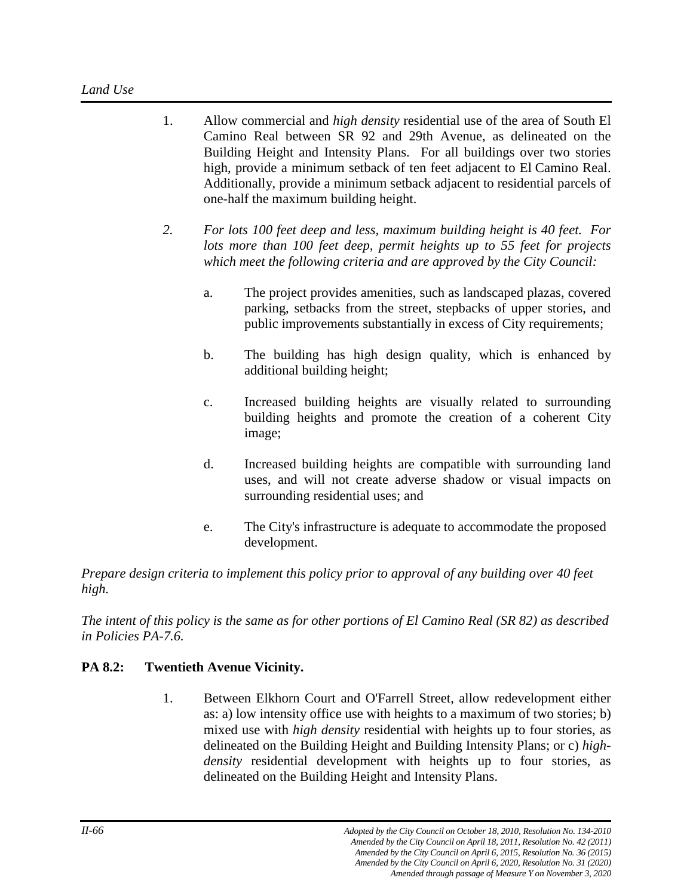- 1. Allow commercial and *high density* residential use of the area of South El Camino Real between SR 92 and 29th Avenue, as delineated on the Building Height and Intensity Plans. For all buildings over two stories high, provide a minimum setback of ten feet adjacent to El Camino Real. Additionally, provide a minimum setback adjacent to residential parcels of one-half the maximum building height.
- *2. For lots 100 feet deep and less, maximum building height is 40 feet. For lots more than 100 feet deep, permit heights up to 55 feet for projects which meet the following criteria and are approved by the City Council:*
	- a. The project provides amenities, such as landscaped plazas, covered parking, setbacks from the street, stepbacks of upper stories, and public improvements substantially in excess of City requirements;
	- b. The building has high design quality, which is enhanced by additional building height;
	- c. Increased building heights are visually related to surrounding building heights and promote the creation of a coherent City image;
	- d. Increased building heights are compatible with surrounding land uses, and will not create adverse shadow or visual impacts on surrounding residential uses; and
	- e. The City's infrastructure is adequate to accommodate the proposed development.

*Prepare design criteria to implement this policy prior to approval of any building over 40 feet high.*

*The intent of this policy is the same as for other portions of El Camino Real (SR 82) as described in Policies PA-7.6.*

# **PA 8.2: Twentieth Avenue Vicinity.**

1. Between Elkhorn Court and O'Farrell Street, allow redevelopment either as: a) low intensity office use with heights to a maximum of two stories; b) mixed use with *high density* residential with heights up to four stories, as delineated on the Building Height and Building Intensity Plans; or c) *highdensity* residential development with heights up to four stories, as delineated on the Building Height and Intensity Plans.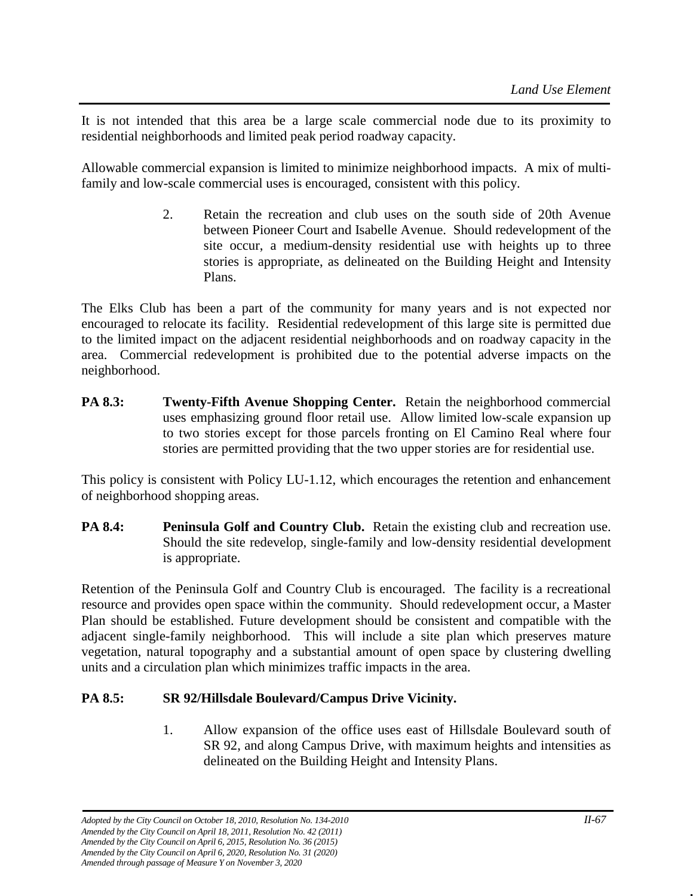It is not intended that this area be a large scale commercial node due to its proximity to residential neighborhoods and limited peak period roadway capacity.

Allowable commercial expansion is limited to minimize neighborhood impacts. A mix of multifamily and low-scale commercial uses is encouraged, consistent with this policy.

> 2. Retain the recreation and club uses on the south side of 20th Avenue between Pioneer Court and Isabelle Avenue. Should redevelopment of the site occur, a medium-density residential use with heights up to three stories is appropriate, as delineated on the Building Height and Intensity Plans.

The Elks Club has been a part of the community for many years and is not expected nor encouraged to relocate its facility. Residential redevelopment of this large site is permitted due to the limited impact on the adjacent residential neighborhoods and on roadway capacity in the area. Commercial redevelopment is prohibited due to the potential adverse impacts on the neighborhood.

**PA 8.3: Twenty-Fifth Avenue Shopping Center.** Retain the neighborhood commercial uses emphasizing ground floor retail use. Allow limited low-scale expansion up to two stories except for those parcels fronting on El Camino Real where four stories are permitted providing that the two upper stories are for residential use.

This policy is consistent with Policy LU-1.12, which encourages the retention and enhancement of neighborhood shopping areas.

**PA 8.4: Peninsula Golf and Country Club.** Retain the existing club and recreation use. Should the site redevelop, single-family and low-density residential development is appropriate.

Retention of the Peninsula Golf and Country Club is encouraged. The facility is a recreational resource and provides open space within the community. Should redevelopment occur, a Master Plan should be established. Future development should be consistent and compatible with the adjacent single-family neighborhood. This will include a site plan which preserves mature vegetation, natural topography and a substantial amount of open space by clustering dwelling units and a circulation plan which minimizes traffic impacts in the area.

# **PA 8.5: SR 92/Hillsdale Boulevard/Campus Drive Vicinity.**

1. Allow expansion of the office uses east of Hillsdale Boulevard south of SR 92, and along Campus Drive, with maximum heights and intensities as delineated on the Building Height and Intensity Plans.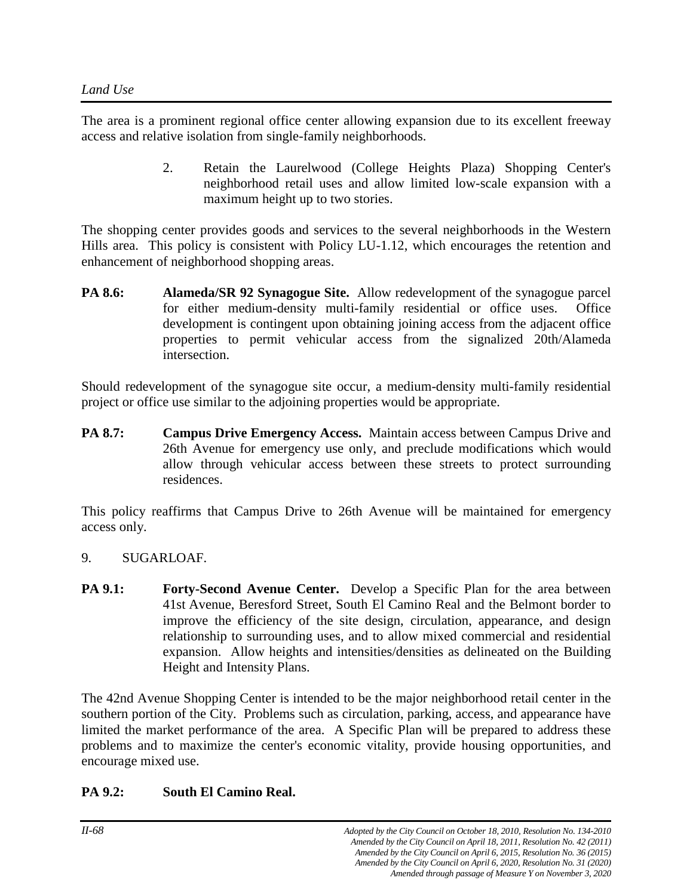The area is a prominent regional office center allowing expansion due to its excellent freeway access and relative isolation from single-family neighborhoods.

> 2. Retain the Laurelwood (College Heights Plaza) Shopping Center's neighborhood retail uses and allow limited low-scale expansion with a maximum height up to two stories.

The shopping center provides goods and services to the several neighborhoods in the Western Hills area. This policy is consistent with Policy LU-1.12, which encourages the retention and enhancement of neighborhood shopping areas.

**PA 8.6: Alameda/SR 92 Synagogue Site.** Allow redevelopment of the synagogue parcel for either medium-density multi-family residential or office uses. Office development is contingent upon obtaining joining access from the adjacent office properties to permit vehicular access from the signalized 20th/Alameda intersection.

Should redevelopment of the synagogue site occur, a medium-density multi-family residential project or office use similar to the adjoining properties would be appropriate.

**PA 8.7: Campus Drive Emergency Access.** Maintain access between Campus Drive and 26th Avenue for emergency use only, and preclude modifications which would allow through vehicular access between these streets to protect surrounding residences.

This policy reaffirms that Campus Drive to 26th Avenue will be maintained for emergency access only.

- 9. SUGARLOAF.
- **PA 9.1: Forty-Second Avenue Center.** Develop a Specific Plan for the area between 41st Avenue, Beresford Street, South El Camino Real and the Belmont border to improve the efficiency of the site design, circulation, appearance, and design relationship to surrounding uses, and to allow mixed commercial and residential expansion. Allow heights and intensities/densities as delineated on the Building Height and Intensity Plans.

The 42nd Avenue Shopping Center is intended to be the major neighborhood retail center in the southern portion of the City. Problems such as circulation, parking, access, and appearance have limited the market performance of the area. A Specific Plan will be prepared to address these problems and to maximize the center's economic vitality, provide housing opportunities, and encourage mixed use.

# **PA 9.2: South El Camino Real.**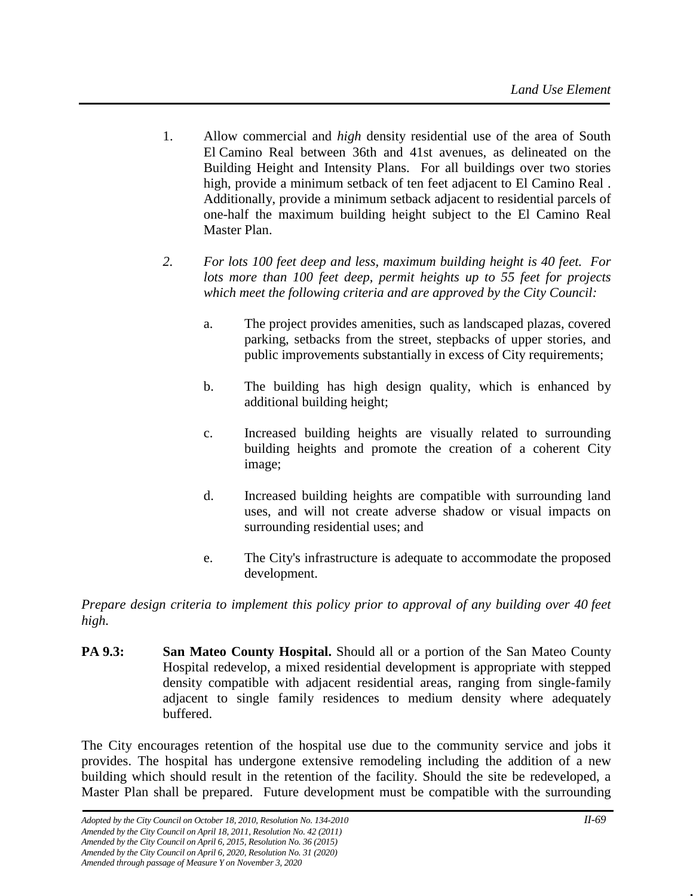- 1. Allow commercial and *high* density residential use of the area of South El Camino Real between 36th and 41st avenues, as delineated on the Building Height and Intensity Plans. For all buildings over two stories high, provide a minimum setback of ten feet adjacent to El Camino Real . Additionally, provide a minimum setback adjacent to residential parcels of one-half the maximum building height subject to the El Camino Real Master Plan.
- *2. For lots 100 feet deep and less, maximum building height is 40 feet. For lots more than 100 feet deep, permit heights up to 55 feet for projects which meet the following criteria and are approved by the City Council:*
	- a. The project provides amenities, such as landscaped plazas, covered parking, setbacks from the street, stepbacks of upper stories, and public improvements substantially in excess of City requirements;
	- b. The building has high design quality, which is enhanced by additional building height;
	- c. Increased building heights are visually related to surrounding building heights and promote the creation of a coherent City image;
	- d. Increased building heights are compatible with surrounding land uses, and will not create adverse shadow or visual impacts on surrounding residential uses; and
	- e. The City's infrastructure is adequate to accommodate the proposed development.

*Prepare design criteria to implement this policy prior to approval of any building over 40 feet high.*

**PA 9.3: San Mateo County Hospital.** Should all or a portion of the San Mateo County Hospital redevelop, a mixed residential development is appropriate with stepped density compatible with adjacent residential areas, ranging from single-family adjacent to single family residences to medium density where adequately buffered.

The City encourages retention of the hospital use due to the community service and jobs it provides. The hospital has undergone extensive remodeling including the addition of a new building which should result in the retention of the facility. Should the site be redeveloped, a Master Plan shall be prepared. Future development must be compatible with the surrounding